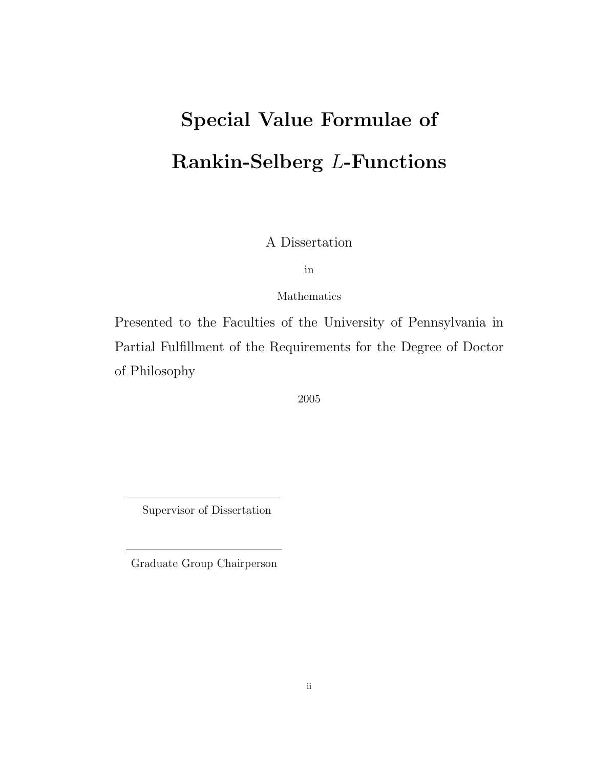# Special Value Formulae of Rankin-Selberg L-Functions

A Dissertation

in

Mathematics

Presented to the Faculties of the University of Pennsylvania in Partial Fulfillment of the Requirements for the Degree of Doctor of Philosophy

2005

Supervisor of Dissertation

Graduate Group Chairperson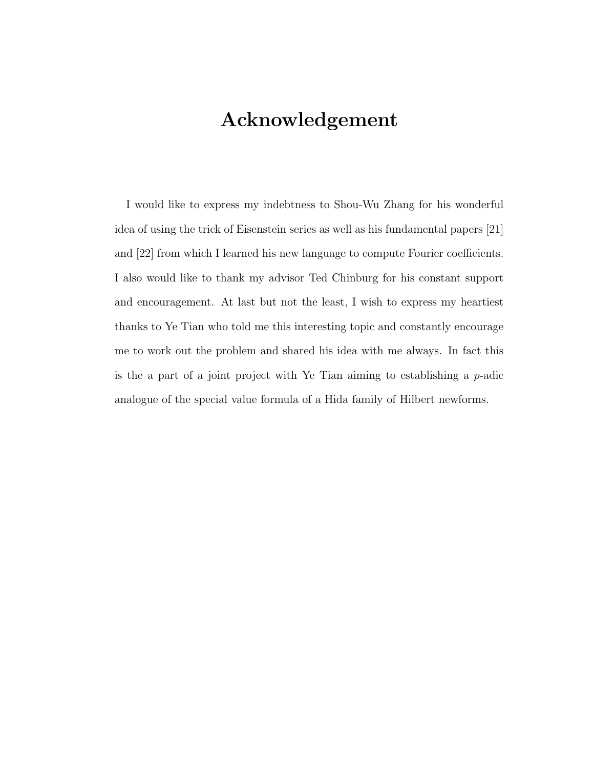# Acknowledgement

I would like to express my indebtness to Shou-Wu Zhang for his wonderful idea of using the trick of Eisenstein series as well as his fundamental papers [21] and [22] from which I learned his new language to compute Fourier coefficients. I also would like to thank my advisor Ted Chinburg for his constant support and encouragement. At last but not the least, I wish to express my heartiest thanks to Ye Tian who told me this interesting topic and constantly encourage me to work out the problem and shared his idea with me always. In fact this is the a part of a joint project with Ye Tian aiming to establishing a  $p$ -adic analogue of the special value formula of a Hida family of Hilbert newforms.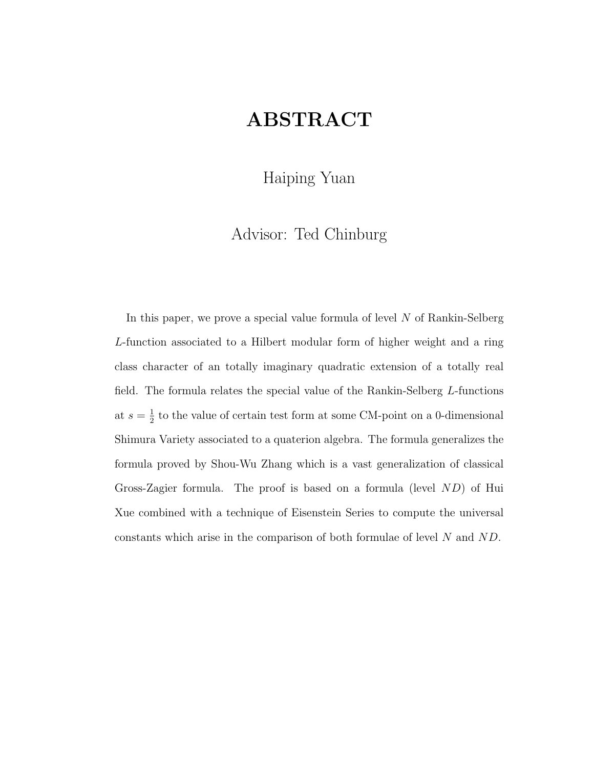# ABSTRACT

Haiping Yuan

Advisor: Ted Chinburg

In this paper, we prove a special value formula of level N of Rankin-Selberg L-function associated to a Hilbert modular form of higher weight and a ring class character of an totally imaginary quadratic extension of a totally real field. The formula relates the special value of the Rankin-Selberg L-functions at  $s=\frac{1}{2}$  $\frac{1}{2}$  to the value of certain test form at some CM-point on a 0-dimensional Shimura Variety associated to a quaterion algebra. The formula generalizes the formula proved by Shou-Wu Zhang which is a vast generalization of classical Gross-Zagier formula. The proof is based on a formula (level ND) of Hui Xue combined with a technique of Eisenstein Series to compute the universal constants which arise in the comparison of both formulae of level N and ND.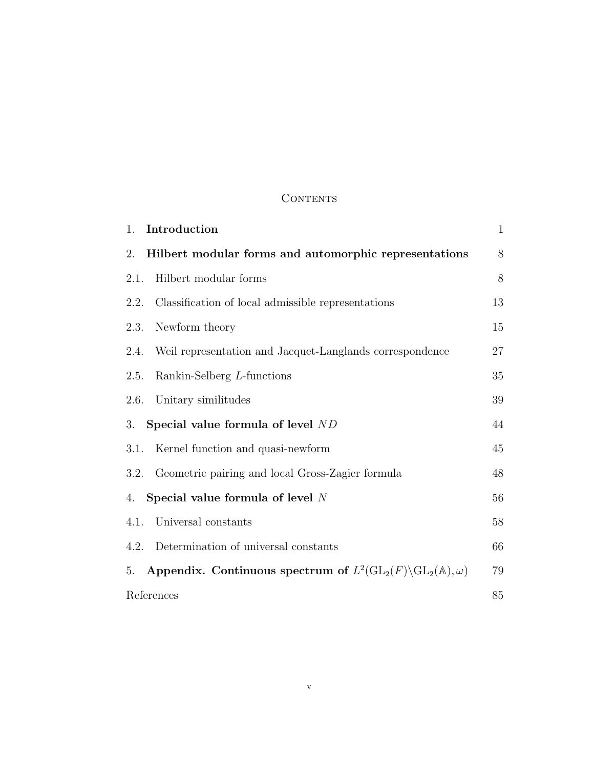## **CONTENTS**

| Introduction<br>1.                                                                                   | $\mathbf{1}$ |
|------------------------------------------------------------------------------------------------------|--------------|
| Hilbert modular forms and automorphic representations<br>2.                                          | 8            |
| Hilbert modular forms<br>2.1.                                                                        | 8            |
| Classification of local admissible representations<br>2.2.                                           | 13           |
| Newform theory<br>2.3.                                                                               | 15           |
| Weil representation and Jacquet-Langlands correspondence<br>2.4.                                     | 27           |
| Rankin-Selberg L-functions<br>2.5.                                                                   | 35           |
| Unitary similitudes<br>2.6.                                                                          | 39           |
| Special value formula of level ND<br>3.                                                              | 44           |
| Kernel function and quasi-newform<br>3.1.                                                            | 45           |
| Geometric pairing and local Gross-Zagier formula<br>3.2.                                             | 48           |
| Special value formula of level $N$<br>4.                                                             | 56           |
| Universal constants<br>4.1.                                                                          | 58           |
| Determination of universal constants<br>4.2.                                                         | 66           |
| Appendix. Continuous spectrum of $L^2(\text{GL}_2(F)\backslash\text{GL}_2(\mathbb{A}),\omega)$<br>5. | 79           |
| References                                                                                           | 85           |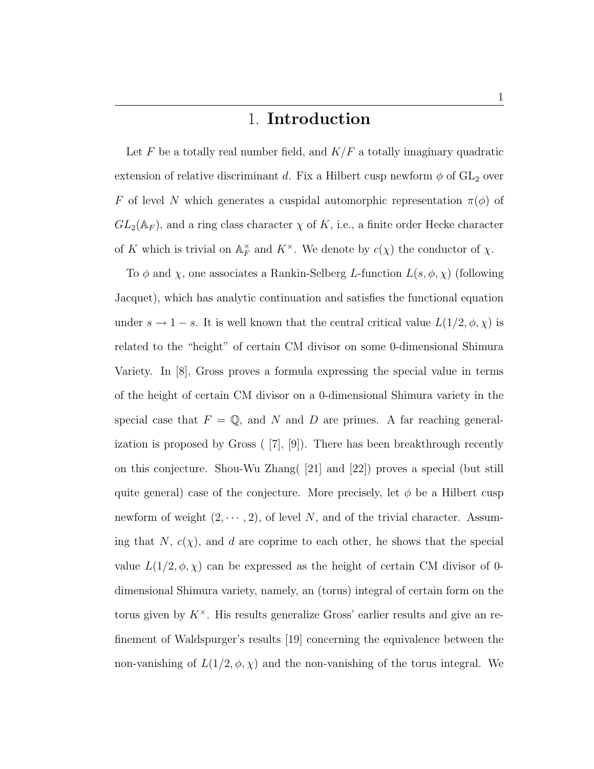# 1. Introduction

Let F be a totally real number field, and  $K/F$  a totally imaginary quadratic extension of relative discriminant d. Fix a Hilbert cusp newform  $\phi$  of  $GL_2$  over F of level N which generates a cuspidal automorphic representation  $\pi(\phi)$  of  $GL_2(\mathbb{A}_F)$ , and a ring class character  $\chi$  of K, i.e., a finite order Hecke character of K which is trivial on  $\mathbb{A}_F^{\times}$  $_{F}^{\times}$  and  $K^{\times}$ . We denote by  $c(\chi)$  the conductor of  $\chi$ .

To  $\phi$  and  $\chi$ , one associates a Rankin-Selberg L-function  $L(s, \phi, \chi)$  (following Jacquet), which has analytic continuation and satisfies the functional equation under  $s \to 1-s$ . It is well known that the central critical value  $L(1/2, \phi, \chi)$  is related to the "height" of certain CM divisor on some 0-dimensional Shimura Variety. In [8], Gross proves a formula expressing the special value in terms of the height of certain CM divisor on a 0-dimensional Shimura variety in the special case that  $F = \mathbb{Q}$ , and N and D are primes. A far reaching generalization is proposed by Gross ( [7], [9]). There has been breakthrough recently on this conjecture. Shou-Wu Zhang( [21] and [22]) proves a special (but still quite general) case of the conjecture. More precisely, let  $\phi$  be a Hilbert cusp newform of weight  $(2, \dots, 2)$ , of level N, and of the trivial character. Assuming that  $N, c(\chi)$ , and d are coprime to each other, he shows that the special value  $L(1/2, \phi, \chi)$  can be expressed as the height of certain CM divisor of 0dimensional Shimura variety, namely, an (torus) integral of certain form on the torus given by  $K^{\times}$ . His results generalize Gross' earlier results and give an refinement of Waldspurger's results [19] concerning the equivalence between the non-vanishing of  $L(1/2, \phi, \chi)$  and the non-vanishing of the torus integral. We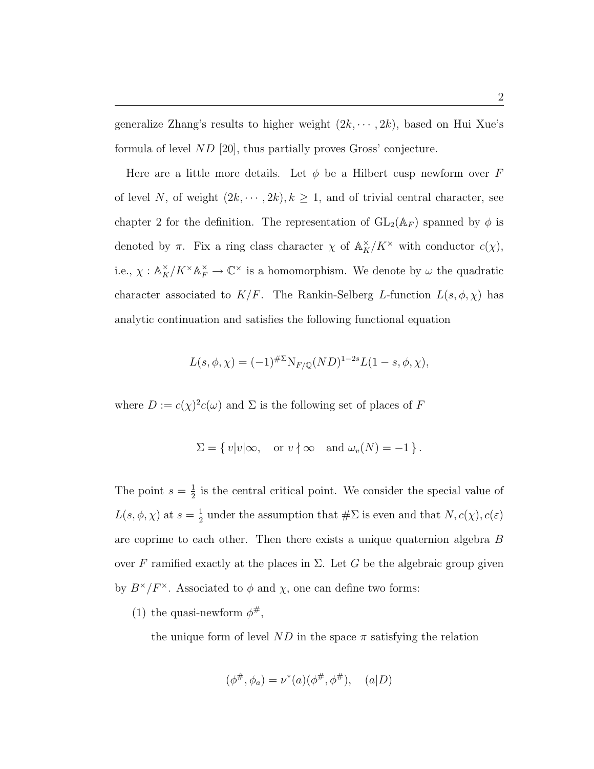generalize Zhang's results to higher weight  $(2k, \dots, 2k)$ , based on Hui Xue's formula of level ND [20], thus partially proves Gross' conjecture.

Here are a little more details. Let  $\phi$  be a Hilbert cusp newform over F of level N, of weight  $(2k, \dots, 2k)$ ,  $k \geq 1$ , and of trivial central character, see chapter 2 for the definition. The representation of  $GL_2(\mathbb{A}_F)$  spanned by  $\phi$  is denoted by  $\pi$ . Fix a ring class character  $\chi$  of  $\mathbb{A}_K^{\times}/K^{\times}$  with conductor  $c(\chi)$ , i.e.,  $\chi: \mathbb{A}_K^\times/K^\times \mathbb{A}_F^\times \to \mathbb{C}^\times$  is a homomorphism. We denote by  $\omega$  the quadratic character associated to  $K/F$ . The Rankin-Selberg L-function  $L(s, \phi, \chi)$  has analytic continuation and satisfies the following functional equation

$$
L(s, \phi, \chi) = (-1)^{\# \Sigma} N_{F/\mathbb{Q}} (ND)^{1-2s} L(1-s, \phi, \chi),
$$

where  $D := c(\chi)^2 c(\omega)$  and  $\Sigma$  is the following set of places of F

$$
\Sigma = \{ v |v| \infty, \text{ or } v \nmid \infty \text{ and } \omega_v(N) = -1 \}.
$$

The point  $s=\frac{1}{2}$  $\frac{1}{2}$  is the central critical point. We consider the special value of  $L(s, \phi, \chi)$  at  $s = \frac{1}{2}$  $\frac{1}{2}$  under the assumption that  $\#\Sigma$  is even and that  $N, c(\chi), c(\varepsilon)$ are coprime to each other. Then there exists a unique quaternion algebra  $B$ over F ramified exactly at the places in  $\Sigma$ . Let G be the algebraic group given by  $B^{\times}/F^{\times}$ . Associated to  $\phi$  and  $\chi$ , one can define two forms:

(1) the quasi-newform  $\phi^{\#}$ ,

the unique form of level ND in the space  $\pi$  satisfying the relation

$$
(\phi^{\#}, \phi_a) = \nu^*(a)(\phi^{\#}, \phi^{\#}), \quad (a|D)
$$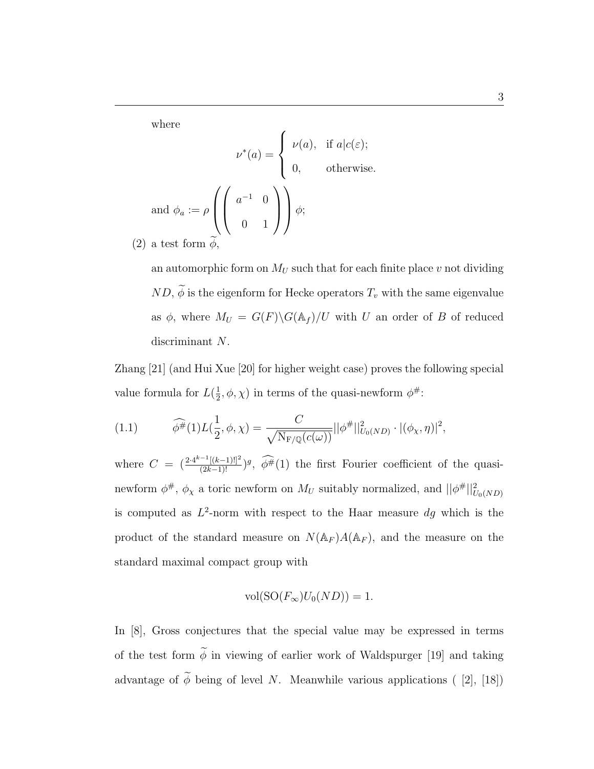where

 $(2)$ 

where  
\n
$$
\nu^*(a) = \begin{cases}\n\nu(a), & \text{if } a|c(\varepsilon); \\
0, & \text{otherwise.} \n\end{cases}
$$
\nand  $\phi_a := \rho \left( \begin{pmatrix} a^{-1} & 0 \\ 0 & 1 \end{pmatrix} \right) \phi$ ;  
\na test form  $\phi$ ,

an automorphic form on  $M_U$  such that for each finite place v not dividing  $ND, \widetilde{\phi}$  is the eigenform for Hecke operators  $T_v$  with the same eigenvalue as  $\phi$ , where  $M_U = G(F) \backslash G(\mathbb{A}_f) / U$  with U an order of B of reduced discriminant N.

Zhang [21] (and Hui Xue [20] for higher weight case) proves the following special value formula for  $L(\frac{1}{2})$  $(\frac{1}{2}, \phi, \chi)$  in terms of the quasi-newform  $\phi^{\#}$ :

(1.1) 
$$
\widehat{\phi^{\#}}(1)L(\frac{1}{2}, \phi, \chi) = \frac{C}{\sqrt{\mathrm{N}_{\mathrm{F}/\mathbb{Q}}(c(\omega))}}||\phi^{\#}||_{U_0(ND)}^2 \cdot |(\phi_{\chi}, \eta)|^2,
$$

where  $C = \left(\frac{2 \cdot 4^{k-1}[(k-1)!]^2}{(2k-1)!}\right)^g$ ,  $\widehat{\phi^{\#}}(1)$  the first Fourier coefficient of the quasinewform  $\phi^{\#}$ ,  $\phi_{\chi}$  a toric newform on  $M_U$  suitably normalized, and  $||\phi^{\#}||_{U_0(ND)}^2$ is computed as  $L^2$ -norm with respect to the Haar measure  $dg$  which is the product of the standard measure on  $N(\mathbb{A}_F)A(\mathbb{A}_F)$ , and the measure on the standard maximal compact group with

$$
\text{vol}(\text{SO}(F_{\infty})U_0(ND)) = 1.
$$

In [8], Gross conjectures that the special value may be expressed in terms of the test form  $\widetilde{\phi}$  in viewing of earlier work of Waldspurger [19] and taking advantage of  $\widetilde{\phi}$  being of level N. Meanwhile various applications ( [2], [18])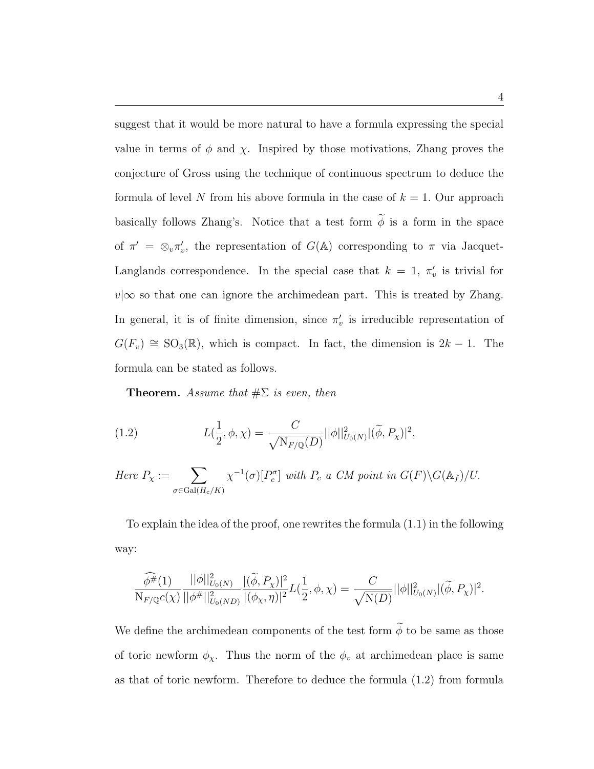suggest that it would be more natural to have a formula expressing the special value in terms of  $\phi$  and  $\chi$ . Inspired by those motivations, Zhang proves the conjecture of Gross using the technique of continuous spectrum to deduce the formula of level N from his above formula in the case of  $k = 1$ . Our approach basically follows Zhang's. Notice that a test form  $\tilde{\phi}$  is a form in the space of  $\pi' = \otimes_v \pi'_v$ , the representation of  $G(\mathbb{A})$  corresponding to  $\pi$  via Jacquet-Langlands correspondence. In the special case that  $k = 1, \pi'_{v}$  is trivial for  $v|\infty$  so that one can ignore the archimedean part. This is treated by Zhang. In general, it is of finite dimension, since  $\pi'_v$  is irreducible representation of  $G(F_v) \cong SO_3(\mathbb{R})$ , which is compact. In fact, the dimension is  $2k - 1$ . The formula can be stated as follows.

**Theorem.** Assume that  $\#\Sigma$  is even, then

(1.2) 
$$
L(\frac{1}{2}, \phi, \chi) = \frac{C}{\sqrt{\mathrm{N}_{F/\mathbb{Q}}(D)}} ||\phi||_{U_0(N)}^2 |(\widetilde{\phi}, P_\chi)|^2,
$$

Here  $P_{\chi} := \sum$  $\sigma \in \mathrm{Gal}(H_c/K)$  $\chi^{-1}(\sigma)[P_c^{\sigma}]$  with  $P_c$  a CM point in  $G(F)\backslash G(\mathbb{A}_f)/U$ .

To explain the idea of the proof, one rewrites the formula (1.1) in the following way:

$$
\frac{\widehat{\phi^{\#}}(1)}{N_{F/\mathbb{Q}}c(\chi)}\frac{||\phi||^2_{U_0(N)}}{||\phi^{\#}||^2_{U_0(ND)}}\frac{|\langle \widetilde{\phi},P_\chi \rangle|^2}{|(\phi_\chi,\eta)|^2}L(\frac{1}{2},\phi,\chi)=\frac{C}{\sqrt{N(D)}}||\phi||^2_{U_0(N)}|(\widetilde{\phi},P_\chi)|^2.
$$

We define the archimedean components of the test form  $\widetilde{\phi}$  to be same as those of toric newform  $\phi_{\chi}$ . Thus the norm of the  $\phi_{v}$  at archimedean place is same as that of toric newform. Therefore to deduce the formula (1.2) from formula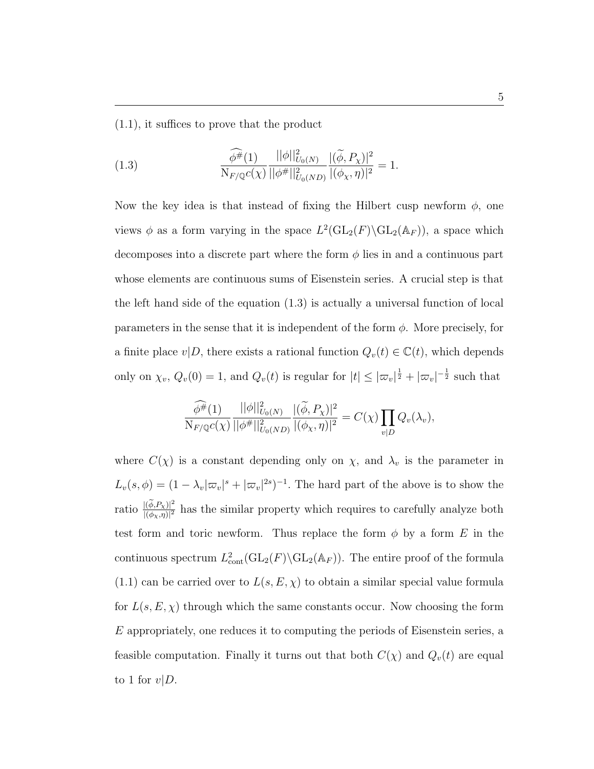(1.1), it suffices to prove that the product

(1.3) 
$$
\frac{\widehat{\phi^{\#}}(1)}{\mathrm{N}_{F/\mathbb{Q}}c(\chi)}\frac{||\phi||_{U_0(N)}^2}{||\phi^{\#}||_{U_0(ND)}^2}\frac{|\widetilde{(\phi},P_\chi)|^2}{|(\phi_\chi,\eta)|^2}=1.
$$

Now the key idea is that instead of fixing the Hilbert cusp newform  $\phi$ , one views  $\phi$  as a form varying in the space  $L^2(\text{GL}_2(F) \backslash \text{GL}_2(\mathbb{A}_F))$ , a space which decomposes into a discrete part where the form  $\phi$  lies in and a continuous part whose elements are continuous sums of Eisenstein series. A crucial step is that the left hand side of the equation (1.3) is actually a universal function of local parameters in the sense that it is independent of the form  $\phi$ . More precisely, for a finite place  $v|D$ , there exists a rational function  $Q_v(t) \in \mathbb{C}(t)$ , which depends only on  $\chi_v$ ,  $Q_v(0) = 1$ , and  $Q_v(t)$  is regular for  $|t| \leq |\varpi_v|^{\frac{1}{2}} + |\varpi_v|^{-\frac{1}{2}}$  such that

$$
\frac{\widehat{\phi^{\#}}(1)}{N_{F/\mathbb{Q}}c(\chi)}\frac{||\phi||_{U_0(N)}}{||\phi^{\#}||_{U_0(ND)}^2}\frac{|\langle \widetilde{\phi}, P_\chi \rangle|^2}{|(\phi_\chi, \eta)|^2} = C(\chi)\prod_{v|D}Q_v(\lambda_v),
$$

where  $C(\chi)$  is a constant depending only on  $\chi$ , and  $\lambda_v$  is the parameter in  $L_v(s, \phi) = (1 - \lambda_v |\varpi_v|^s + |\varpi_v|^{2s})^{-1}$ . The hard part of the above is to show the ratio  $\frac{|(\widetilde{\phi},P_\chi)|^2}{|(f_0-p)|^2}$  $\frac{|(\phi, P_X)|^2}{|(\phi_X, \eta)|^2}$  has the similar property which requires to carefully analyze both test form and toric newform. Thus replace the form  $\phi$  by a form E in the continuous spectrum  $L^2_{\text{cont}}(\text{GL}_2(F) \backslash \text{GL}_2(\mathbb{A}_F))$ . The entire proof of the formula  $(1.1)$  can be carried over to  $L(s, E, \chi)$  to obtain a similar special value formula for  $L(s, E, \chi)$  through which the same constants occur. Now choosing the form  $E$  appropriately, one reduces it to computing the periods of Eisenstein series, a feasible computation. Finally it turns out that both  $C(\chi)$  and  $Q_v(t)$  are equal to 1 for  $v|D$ .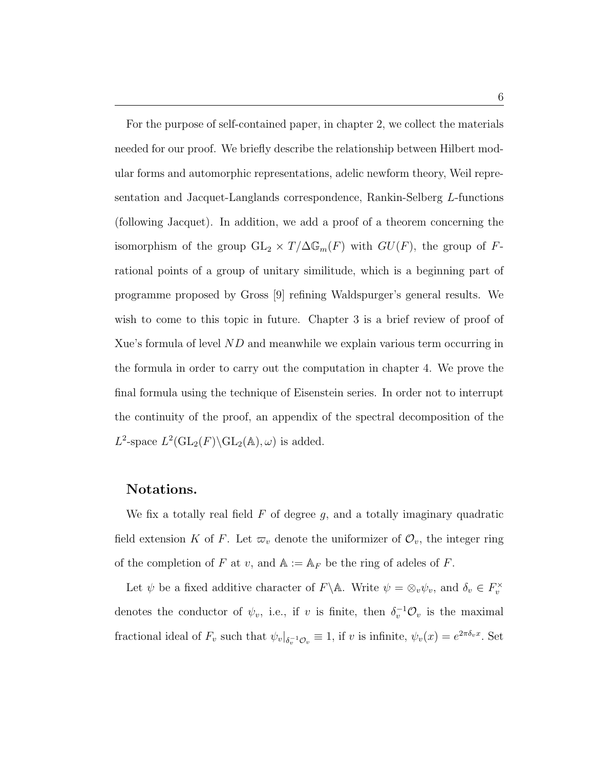For the purpose of self-contained paper, in chapter 2, we collect the materials needed for our proof. We briefly describe the relationship between Hilbert modular forms and automorphic representations, adelic newform theory, Weil representation and Jacquet-Langlands correspondence, Rankin-Selberg L-functions (following Jacquet). In addition, we add a proof of a theorem concerning the isomorphism of the group  $GL_2 \times T/\Delta \mathbb{G}_m(F)$  with  $GU(F)$ , the group of Frational points of a group of unitary similitude, which is a beginning part of programme proposed by Gross [9] refining Waldspurger's general results. We wish to come to this topic in future. Chapter 3 is a brief review of proof of Xue's formula of level  $ND$  and meanwhile we explain various term occurring in the formula in order to carry out the computation in chapter 4. We prove the final formula using the technique of Eisenstein series. In order not to interrupt the continuity of the proof, an appendix of the spectral decomposition of the  $L^2$ -space  $L^2(\mathrm{GL}_2(F)\backslash \mathrm{GL}_2(\mathbb{A}),\omega)$  is added.

### Notations.

We fix a totally real field  $F$  of degree  $g$ , and a totally imaginary quadratic field extension K of F. Let  $\varpi_v$  denote the uniformizer of  $\mathcal{O}_v$ , the integer ring of the completion of F at v, and  $A := A_F$  be the ring of adeles of F.

Let  $\psi$  be a fixed additive character of  $F \backslash \mathbb{A}$ . Write  $\psi = \otimes_v \psi_v$ , and  $\delta_v \in F_v^{\times}$ denotes the conductor of  $\psi_v$ , i.e., if v is finite, then  $\delta_v^{-1} \mathcal{O}_v$  is the maximal fractional ideal of  $F_v$  such that  $\psi_v|_{\delta_v^{-1}\mathcal{O}_v} \equiv 1$ , if v is infinite,  $\psi_v(x) = e^{2\pi \delta_v x}$ . Set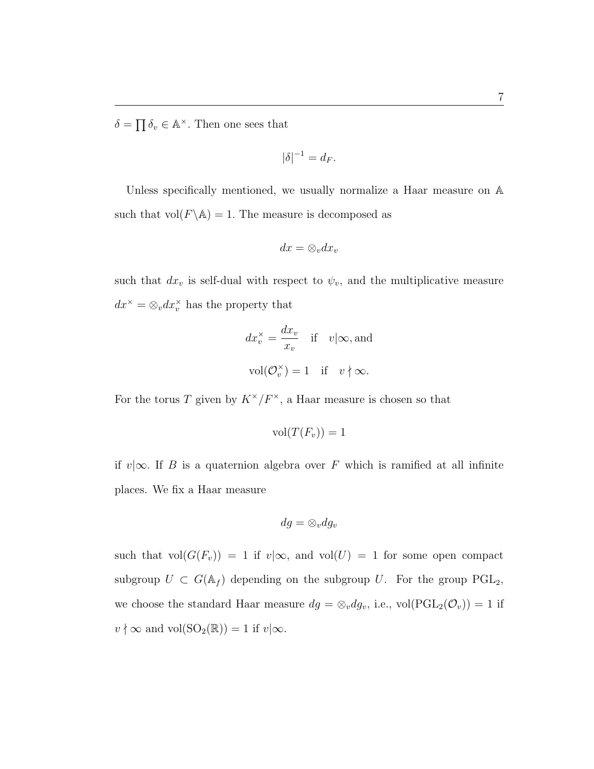$\delta =$  $\overline{a}$  $\delta_v \in \mathbb{A}^{\times}$ . Then one sees that

$$
|\delta|^{-1} = d_F.
$$

Unless specifically mentioned, we usually normalize a Haar measure on A such that  $vol(F \backslash \mathbb{A}) = 1$ . The measure is decomposed as

$$
dx = \otimes_v dx_v
$$

such that  $dx_v$  is self-dual with respect to  $\psi_v$ , and the multiplicative measure  $dx^{\times} = \otimes_v dx_v^{\times}$  has the property that

$$
dx_v^{\times} = \frac{dx_v}{x_v}
$$
 if  $v | \infty$ , and  
vol $(\mathcal{O}_v^{\times}) = 1$  if  $v \nmid \infty$ .

For the torus T given by  $K^{\times}/F^{\times}$ , a Haar measure is chosen so that

$$
\mathrm{vol}(T(F_v))=1
$$

if v|∞. If B is a quaternion algebra over F which is ramified at all infinite places. We fix a Haar measure

$$
dg = \otimes_v dg_v
$$

such that  $vol(G(F_v)) = 1$  if  $v | \infty$ , and  $vol(U) = 1$  for some open compact subgroup  $U \subset G(\mathbb{A}_f)$  depending on the subgroup U. For the group PGL<sub>2</sub>, we choose the standard Haar measure  $dg = \otimes_v dg_v$ , i.e.,  $vol(PGL_2(\mathcal{O}_v)) = 1$  if  $v \nmid \infty$  and vol(SO<sub>2</sub>( $\mathbb{R}$ )) = 1 if  $v | \infty$ .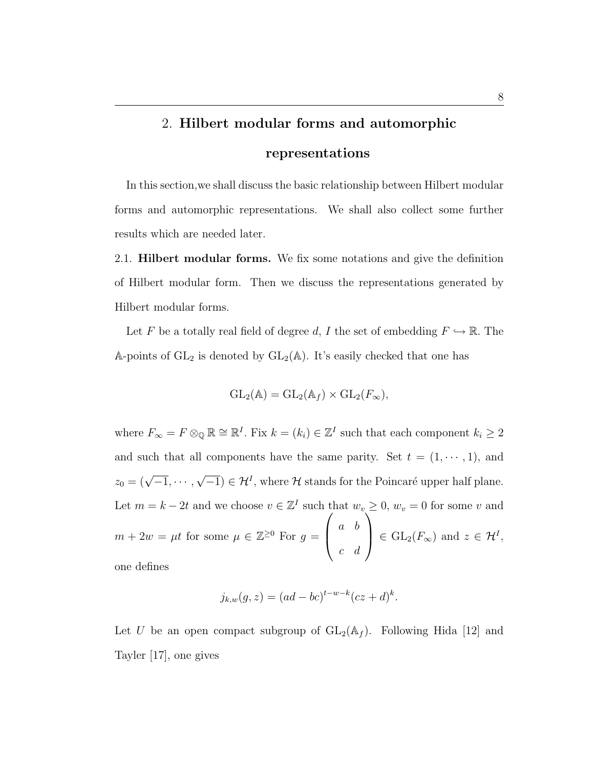# 2. Hilbert modular forms and automorphic

## representations

In this section,we shall discuss the basic relationship between Hilbert modular forms and automorphic representations. We shall also collect some further results which are needed later.

2.1. Hilbert modular forms. We fix some notations and give the definition of Hilbert modular form. Then we discuss the representations generated by Hilbert modular forms.

Let F be a totally real field of degree d, I the set of embedding  $F \hookrightarrow \mathbb{R}$ . The A-points of  $GL_2$  is denoted by  $GL_2(\mathbb{A})$ . It's easily checked that one has

$$
GL_2(\mathbb{A}) = GL_2(\mathbb{A}_f) \times GL_2(F_{\infty}),
$$

where  $F_{\infty} = F \otimes_{\mathbb{Q}} \mathbb{R} \cong \mathbb{R}^I$ . Fix  $k = (k_i) \in \mathbb{Z}^I$  such that each component  $k_i \geq 2$ and such that all components have the same parity. Set  $t = (1, \dots, 1)$ , and  $z_0 = (\sqrt{-1}, \cdots,$ √  $\overline{-1}$ )  $\in \mathcal{H}^{I}$ , where H stands for the Poincaré upper half plane. Let  $m = k - 2t$  and we choose  $v \in \mathbb{Z}^I$  such that  $w_v \geq 0$ ,  $w_v = 0$  for some v and  $m + 2w = \mu t$  for some  $\mu \in \mathbb{Z}^{\geq 0}$  For  $g = \begin{pmatrix} a & b \end{pmatrix}$ c d  $\Big| \in GL_2(F_{\infty})$  and  $z \in \mathcal{H}^I$ , one defines

$$
j_{k,w}(g, z) = (ad - bc)^{t-w-k} (cz + d)^k.
$$

Let U be an open compact subgroup of  $GL_2(\mathbb{A}_f)$ . Following Hida [12] and Tayler [17], one gives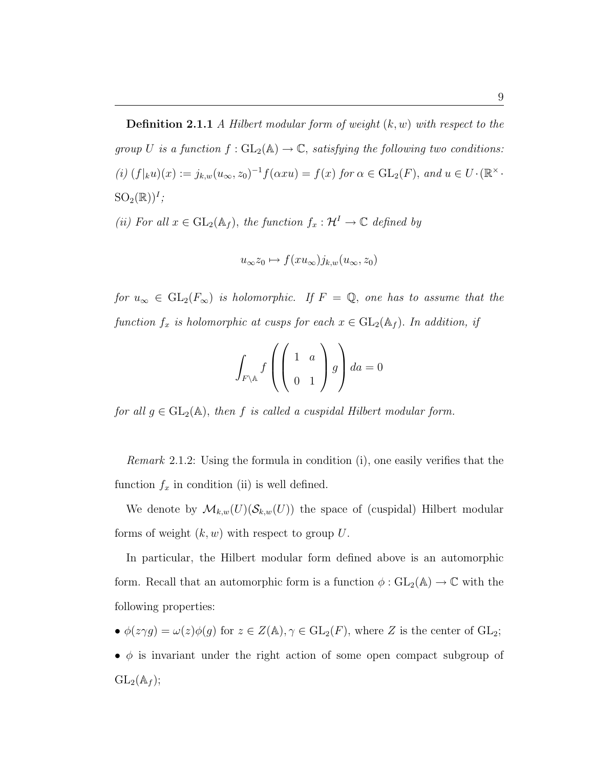**Definition 2.1.1** A Hilbert modular form of weight  $(k, w)$  with respect to the group U is a function  $f: GL_2(\mathbb{A}) \to \mathbb{C}$ , satisfying the following two conditions:  $(i)$   $(f|_ku)(x) := j_{k,w}(u_{\infty}, z_0)^{-1} f(\alpha x u) = f(x)$  for  $\alpha \in GL_2(F)$ , and  $u \in U \cdot (\mathbb{R}^{\times})$ .  ${SO}_2(\mathbb{R}))^I$ ;

(ii) For all  $x \in GL_2(\mathbb{A}_f)$ , the function  $f_x : \mathcal{H}^I \to \mathbb{C}$  defined by

$$
u_{\infty}z_0 \mapsto f(xu_{\infty})j_{k,w}(u_{\infty},z_0)
$$

for  $u_{\infty} \in GL_2(F_{\infty})$  is holomorphic. If  $F = \mathbb{Q}$ , one has to assume that the function  $f_x$  is holomorphic at cusps for each  $x \in GL_2(\mathbb{A}_f)$ . In addition, if

$$
\int_{F \backslash \mathbb{A}} f\left(\left(\begin{array}{cc} 1 & a \\ 0 & 1 \end{array}\right) g\right) da = 0
$$

for all  $g \in GL_2(\mathbb{A})$ , then f is called a cuspidal Hilbert modular form.

Remark 2.1.2: Using the formula in condition (i), one easily verifies that the function  $f_x$  in condition (ii) is well defined.

We denote by  $\mathcal{M}_{k,w}(U)(\mathcal{S}_{k,w}(U))$  the space of (cuspidal) Hilbert modular forms of weight  $(k, w)$  with respect to group U.

In particular, the Hilbert modular form defined above is an automorphic form. Recall that an automorphic form is a function  $\phi : GL_2(\mathbb{A}) \to \mathbb{C}$  with the following properties:

- $\phi(z\gamma g) = \omega(z)\phi(g)$  for  $z \in Z(\mathbb{A}), \gamma \in GL_2(F)$ , where Z is the center of  $GL_2$ ;
- $\phi$  is invariant under the right action of some open compact subgroup of  $GL_2(\mathbb{A}_f);$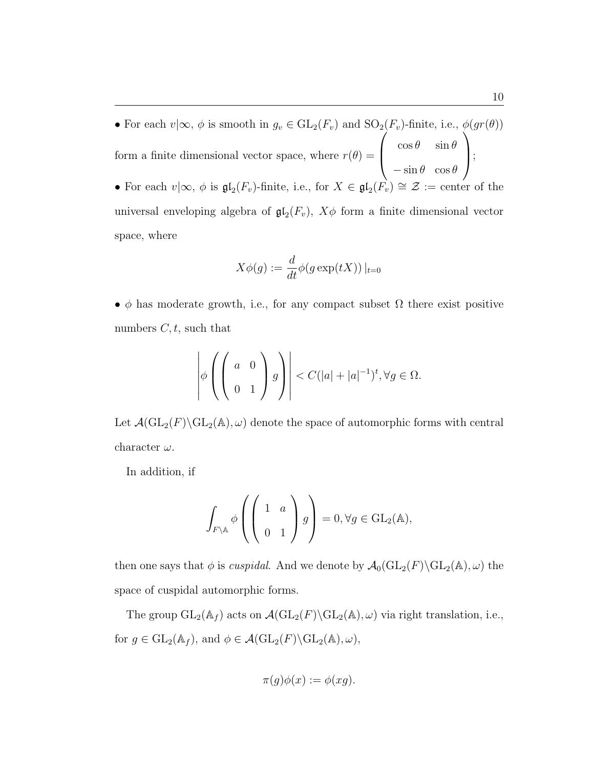• For each  $v|\infty, \phi$  is smooth in  $g_v \in GL_2(F_v)$  and  $SO_2(F_v)$ -finite, i.e.,  $\phi(gr(\theta))$ form a finite dimensional vector space, where  $r(\theta) = \begin{pmatrix} \cos \theta & \sin \theta \\ \cos \theta & \sin \theta \end{pmatrix}$  $-\sin\theta \cos\theta$  $\vert$ • For each  $v\mid\infty, \phi$  is  $\mathfrak{gl}_2(F_v)$ -finite, i.e., for  $X \in \mathfrak{gl}_2(F_v) \cong \mathcal{Z} := \text{center of the}$ universal enveloping algebra of  $\mathfrak{gl}_2(F_v)$ ,  $X\phi$  form a finite dimensional vector space, where

$$
X\phi(g) := \frac{d}{dt}\phi(g\exp(tX))\big|_{t=0}
$$

•  $\phi$  has moderate growth, i.e., for any compact subset  $\Omega$  there exist positive numbers  $C, t$ , such that

$$
\left|\phi\left(\left(\begin{array}{cc}a&0\\0&1\end{array}\right)g\right)\right|< C(|a|+|a|^{-1})^t, \forall g\in\Omega.
$$

Let  $\mathcal{A}(\mathrm{GL}_2(F)\backslash \mathrm{GL}_2(\mathbb{A}), \omega)$  denote the space of automorphic forms with central character  $\omega$ .

In addition, if

$$
\int_{F \backslash \mathbb{A}} \phi \left( \begin{pmatrix} 1 & a \\ & 0 & 1 \end{pmatrix} g \right) = 0, \forall g \in \text{GL}_2(\mathbb{A}),
$$

then one says that  $\phi$  is *cuspidal*. And we denote by  $\mathcal{A}_0(\text{GL}_2(F)\backslash\text{GL}_2(\mathbb{A}), \omega)$  the space of cuspidal automorphic forms.

The group  $GL_2(\mathbb{A}_f)$  acts on  $\mathcal{A}(GL_2(F)\backslash GL_2(\mathbb{A}), \omega)$  via right translation, i.e., for  $g \in GL_2(\mathbb{A}_f)$ , and  $\phi \in \mathcal{A}(\mathrm{GL}_2(F) \backslash \mathrm{GL}_2(\mathbb{A}), \omega)$ ,

$$
\pi(g)\phi(x) := \phi(xg).
$$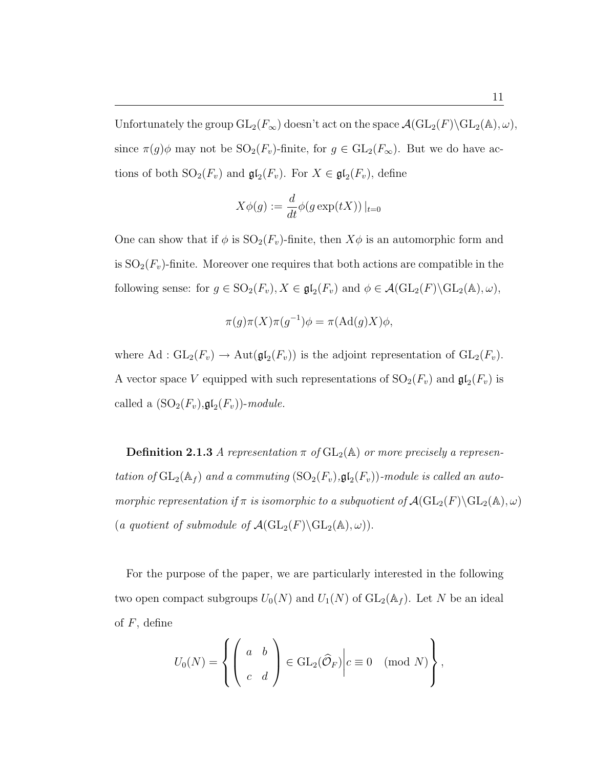Unfortunately the group  $GL_2(F_\infty)$  doesn't act on the space  $\mathcal{A}(GL_2(F)\backslash GL_2(\mathbb{A}), \omega)$ , since  $\pi(g)\phi$  may not be  $SO_2(F_v)$ -finite, for  $g \in GL_2(F_\infty)$ . But we do have actions of both  $SO_2(F_v)$  and  $\mathfrak{gl}_2(F_v)$ . For  $X \in \mathfrak{gl}_2(F_v)$ , define

$$
X\phi(g) := \frac{d}{dt}\phi(g\exp(tX))|_{t=0}
$$

One can show that if  $\phi$  is  $SO_2(F_v)$ -finite, then  $X\phi$  is an automorphic form and is  $SO_2(F_v)$ -finite. Moreover one requires that both actions are compatible in the following sense: for  $g \in SO_2(F_v)$ ,  $X \in \mathfrak{gl}_2(F_v)$  and  $\phi \in \mathcal{A}(\mathrm{GL}_2(F) \backslash \mathrm{GL}_2(\mathbb{A}), \omega)$ ,

$$
\pi(g)\pi(X)\pi(g^{-1})\phi = \pi(\mathrm{Ad}(g)X)\phi,
$$

where Ad :  $GL_2(F_v) \to Aut(\mathfrak{gl}_2(F_v))$  is the adjoint representation of  $GL_2(F_v)$ . A vector space V equipped with such representations of  $SO_2(F_v)$  and  $\mathfrak{gl}_2(F_v)$  is called a  $(SO_2(F_v), \mathfrak{gl}_2(F_v))$ -module.

**Definition 2.1.3** A representation  $\pi$  of  $GL_2(\mathbb{A})$  or more precisely a representation of  $GL_2(\mathbb{A}_f)$  and a commuting  $(SO_2(F_v), \mathfrak{gl}_2(F_v))$ -module is called an automorphic representation if  $\pi$  is isomorphic to a subquotient of  $\mathcal{A}(\mathrm{GL}_2(F)\backslash \mathrm{GL}_2(\mathbb{A}), \omega)$ (a quotient of submodule of  $\mathcal{A}(\mathrm{GL}_2(F)\backslash \mathrm{GL}_2(\mathbb{A}), \omega)$ ).

For the purpose of the paper, we are particularly interested in the following two open compact subgroups  $U_0(N)$  and  $U_1(N)$  of  $GL_2(\mathbb{A}_f)$ . Let N be an ideal of  $F$ , define

$$
U_0(N) = \left\{ \left( \begin{array}{cc} a & b \\ c & d \end{array} \right) \in \text{GL}_2(\widehat{\mathcal{O}}_F) \bigg| c \equiv 0 \pmod{N} \right\},
$$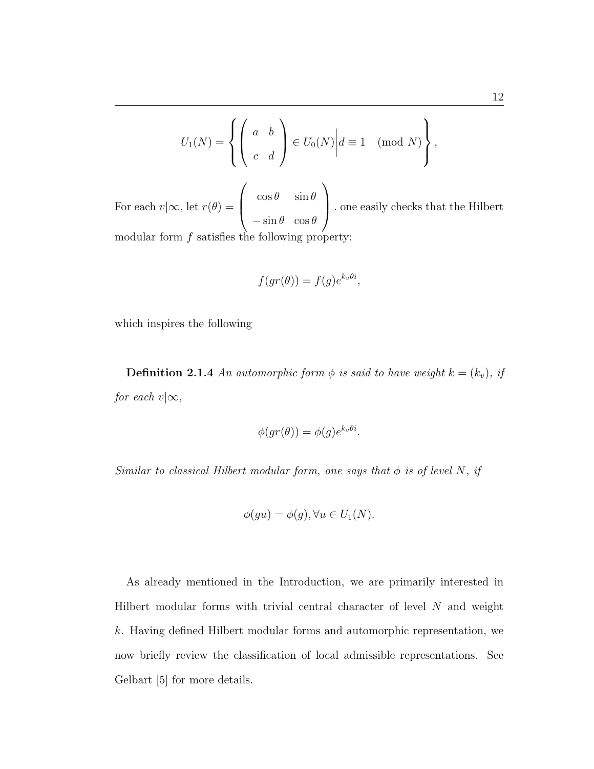$$
U_1(N) = \left\{ \left( \begin{array}{cc} a & b \\ c & d \end{array} \right) \in U_0(N) \middle| d \equiv 1 \pmod{N} \right\},
$$

For each  $v|\infty$ , let  $r(\theta) =$  $\overline{\phantom{a}}$  $\cos \theta$   $\sin \theta$  $-\sin\theta \cos\theta$  $\mathbf{r}$  . one easily checks that the Hilbert modular form  $f$  satisfies the following property:

$$
f(gr(\theta)) = f(g)e^{k_v\theta i},
$$

which inspires the following

**Definition 2.1.4** An automorphic form  $\phi$  is said to have weight  $k = (k_v)$ , if for each  $v|\infty$ ,

$$
\phi(gr(\theta)) = \phi(g)e^{k_v\theta i}.
$$

Similar to classical Hilbert modular form, one says that  $\phi$  is of level N, if

$$
\phi(gu) = \phi(g), \forall u \in U_1(N).
$$

As already mentioned in the Introduction, we are primarily interested in Hilbert modular forms with trivial central character of level  $N$  and weight k. Having defined Hilbert modular forms and automorphic representation, we now briefly review the classification of local admissible representations. See Gelbart [5] for more details.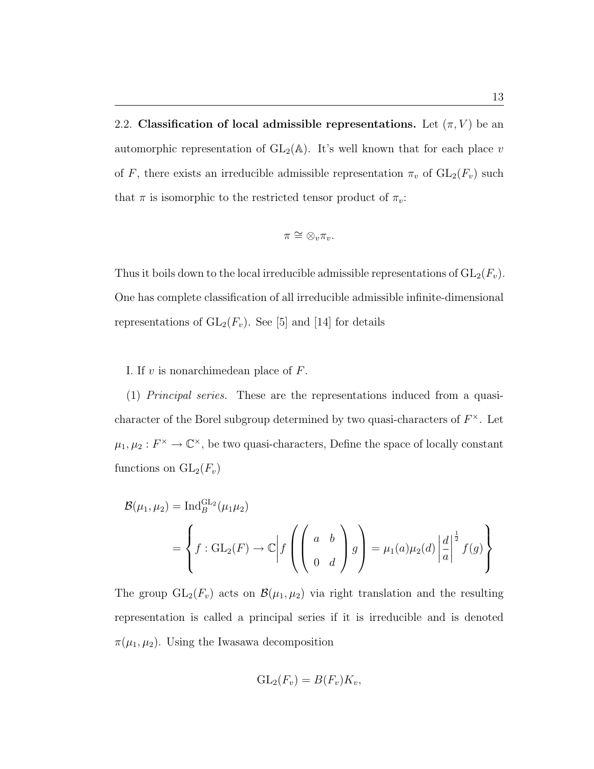2.2. Classification of local admissible representations. Let  $(\pi, V)$  be an automorphic representation of  $GL_2(\mathbb{A})$ . It's well known that for each place v of F, there exists an irreducible admissible representation  $\pi_v$  of  $GL_2(F_v)$  such that  $\pi$  is isomorphic to the restricted tensor product of  $\pi_v$ :

$$
\pi \cong \otimes_v \pi_v.
$$

Thus it boils down to the local irreducible admissible representations of  $GL_2(F_v)$ . One has complete classification of all irreducible admissible infinite-dimensional representations of  $GL_2(F_v)$ . See [5] and [14] for details

#### I. If  $v$  is nonarchimedean place of  $F$ .

(1) Principal series. These are the representations induced from a quasicharacter of the Borel subgroup determined by two quasi-characters of  $F^{\times}$ . Let  $\mu_1, \mu_2 : F^{\times} \to \mathbb{C}^{\times}$ , be two quasi-characters, Define the space of locally constant functions on  $GL_2(F_v)$ 

$$
\mathcal{B}(\mu_1, \mu_2) = \text{Ind}_{B}^{\text{GL}_2}(\mu_1 \mu_2)
$$
  
= 
$$
\left\{ f : \text{GL}_2(F) \to \mathbb{C} \middle| f \left( \begin{pmatrix} a & b \\ 0 & d \end{pmatrix} g \right) = \mu_1(a) \mu_2(d) \left| \frac{d}{a} \right|^{\frac{1}{2}} f(g) \right\}
$$

The group  $GL_2(F_v)$  acts on  $\mathcal{B}(\mu_1, \mu_2)$  via right translation and the resulting representation is called a principal series if it is irreducible and is denoted  $\pi(\mu_1, \mu_2)$ . Using the Iwasawa decomposition

$$
GL_2(F_v) = B(F_v)K_v,
$$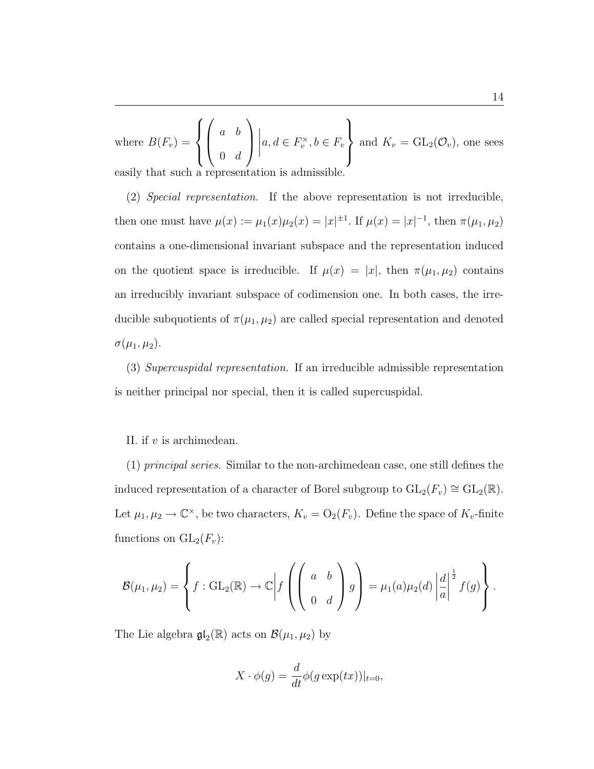where  $B(F_v) =$  $\overline{a}$  $\left($  $\mathcal{L}$  $\overline{\phantom{a}}$  $\begin{pmatrix} a & b \\ c & d \end{pmatrix}$  $0 \t d$  $\mathbf{r}$  $\overline{\phantom{a}}$  $a, d \in F_v^{\times}, b \in F_v$  $\mathbf{r}$  $\mathcal{L}$ and  $K_v = GL_2(\mathcal{O}_v)$ , one sees easily that such a representation is admissible.

(2) Special representation. If the above representation is not irreducible, then one must have  $\mu(x) := \mu_1(x)\mu_2(x) = |x|^{\pm 1}$ . If  $\mu(x) = |x|^{-1}$ , then  $\pi(\mu_1, \mu_2)$ contains a one-dimensional invariant subspace and the representation induced on the quotient space is irreducible. If  $\mu(x) = |x|$ , then  $\pi(\mu_1, \mu_2)$  contains an irreducibly invariant subspace of codimension one. In both cases, the irreducible subquotients of  $\pi(\mu_1, \mu_2)$  are called special representation and denoted  $\sigma(\mu_1,\mu_2).$ 

(3) Supercuspidal representation. If an irreducible admissible representation is neither principal nor special, then it is called supercuspidal.

#### II. if v is archimedean.

(1) principal series. Similar to the non-archimedean case, one still defines the induced representation of a character of Borel subgroup to  $GL_2(F_v) \cong GL_2(\mathbb{R})$ . Let  $\mu_1, \mu_2 \to \mathbb{C}^{\times}$ , be two characters,  $K_v = O_2(F_v)$ . Define the space of  $K_v$ -finite functions on  $GL_2(F_v)$ :

$$
\mathcal{B}(\mu_1, \mu_2) = \left\{ f : GL_2(\mathbb{R}) \to \mathbb{C} \bigg| f\left( \begin{pmatrix} a & b \\ 0 & d \end{pmatrix} g \right) = \mu_1(a) \mu_2(d) \left| \frac{d}{a} \right|^{\frac{1}{2}} f(g) \right\}.
$$

The Lie algebra  $\mathfrak{gl}_2(\mathbb{R})$  acts on  $\mathcal{B}(\mu_1, \mu_2)$  by

$$
X \cdot \phi(g) = \frac{d}{dt} \phi(g \exp(tx))|_{t=0},
$$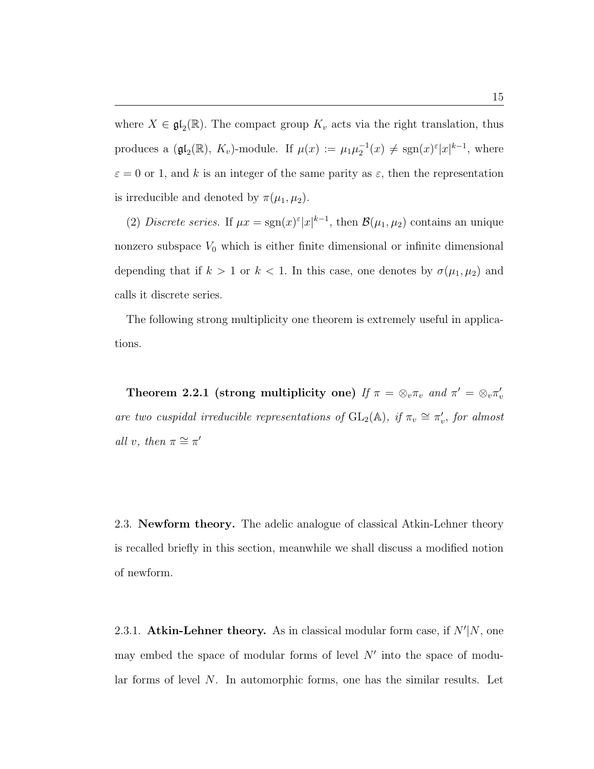where  $X \in \mathfrak{gl}_2(\mathbb{R})$ . The compact group  $K_v$  acts via the right translation, thus produces a  $(\mathfrak{gl}_2(\mathbb{R}), K_v)$ -module. If  $\mu(x) := \mu_1 \mu_2^{-1}(x) \neq \text{sgn}(x)^{\varepsilon} |x|^{k-1}$ , where  $\varepsilon = 0$  or 1, and k is an integer of the same parity as  $\varepsilon$ , then the representation is irreducible and denoted by  $\pi(\mu_1, \mu_2)$ .

(2) Discrete series. If  $\mu x = \text{sgn}(x)^{\epsilon} |x|^{k-1}$ , then  $\mathcal{B}(\mu_1, \mu_2)$  contains an unique nonzero subspace  $V_0$  which is either finite dimensional or infinite dimensional depending that if  $k > 1$  or  $k < 1$ . In this case, one denotes by  $\sigma(\mu_1, \mu_2)$  and calls it discrete series.

The following strong multiplicity one theorem is extremely useful in applications.

Theorem 2.2.1 (strong multiplicity one) If  $\pi = \otimes_v \pi_v$  and  $\pi' = \otimes_v \pi'_v$ are two cuspidal irreducible representations of  $GL_2(\mathbb{A})$ , if  $\pi_v \cong \pi'_v$ , for almost all v, then  $\pi \cong \pi'$ 

2.3. Newform theory. The adelic analogue of classical Atkin-Lehner theory is recalled briefly in this section, meanwhile we shall discuss a modified notion of newform.

2.3.1. Atkin-Lehner theory. As in classical modular form case, if  $N'|N$ , one may embed the space of modular forms of level  $N'$  into the space of modular forms of level N. In automorphic forms, one has the similar results. Let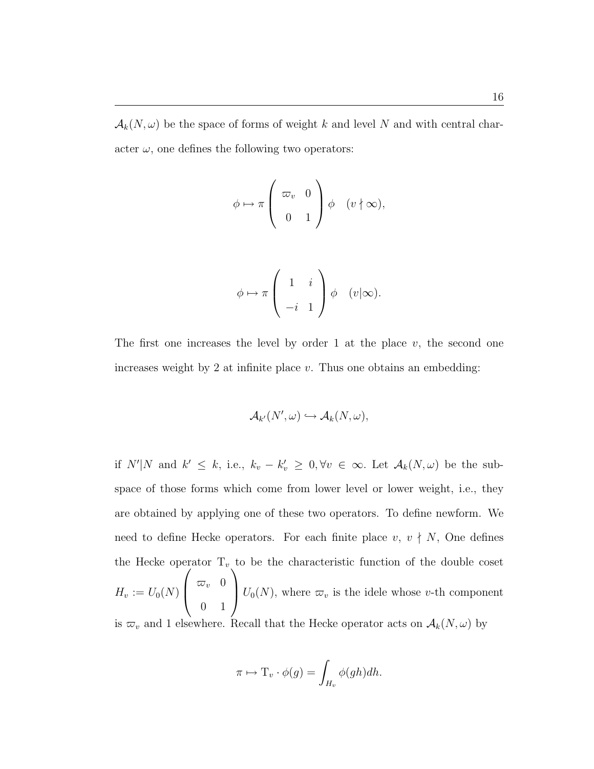$\mathcal{A}_k(N,\omega)$  be the space of forms of weight k and level N and with central character  $\omega$ , one defines the following two operators:

$$
\phi \mapsto \pi \left( \begin{array}{cc} \varpi_v & 0 \\ 0 & 1 \end{array} \right) \phi \quad (v \nmid \infty),
$$

$$
\phi \mapsto \pi \left( \begin{array}{cc} 1 & i \\ -i & 1 \end{array} \right) \phi \quad (v | \infty).
$$

The first one increases the level by order 1 at the place  $v$ , the second one increases weight by 2 at infinite place  $v$ . Thus one obtains an embedding:

$$
\mathcal{A}_{k'}(N',\omega) \hookrightarrow \mathcal{A}_k(N,\omega),
$$

if  $N'|N$  and  $k' \leq k$ , i.e.,  $k_v - k'_v \geq 0, \forall v \in \infty$ . Let  $\mathcal{A}_k(N, \omega)$  be the subspace of those forms which come from lower level or lower weight, i.e., they are obtained by applying one of these two operators. To define newform. We need to define Hecke operators. For each finite place  $v, v \nmid N$ , One defines the Hecke operator  $T_v$  to be the characteristic function of the double coset  $H_v := U_0(N) \left\{ \begin{array}{r} \varpi_v \quad 0 \end{array} \right.$ 0 1  $\big| U_0(N)$ , where  $\varpi_v$  is the idele whose v-th component is  $\varpi_v$  and 1 elsewhere. Recall that the Hecke operator acts on  $\mathcal{A}_k(N, \omega)$  by

$$
\pi \mapsto \mathrm{T}_v \cdot \phi(g) = \int_{H_v} \phi(gh) dh.
$$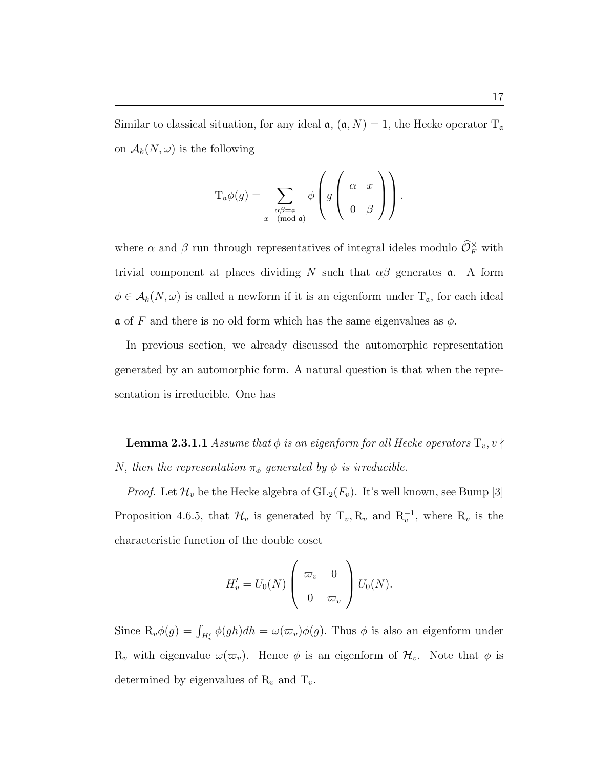Similar to classical situation, for any ideal  $\mathfrak{a}, (\mathfrak{a}, N) = 1$ , the Hecke operator  $T_{\mathfrak{a}}$ on  $\mathcal{A}_k(N,\omega)$  is the following

$$
\mathcal{T}_{\mathfrak{a}}\phi(g) = \sum_{\substack{\alpha\beta = \mathfrak{a} \\ x \pmod{\mathfrak{a}}}} \phi\left(g\left(\begin{array}{cc} \alpha & x \\ 0 & \beta \end{array}\right)\right).
$$

where  $\alpha$  and  $\beta$  run through representatives of integral ideles modulo  $\widehat{\mathcal{O}}_F^{\times}$  with trivial component at places dividing N such that  $\alpha\beta$  generates **a**. A form  $\phi \in \mathcal{A}_k(N, \omega)$  is called a newform if it is an eigenform under  $T_a$ , for each ideal  $\alpha$  of F and there is no old form which has the same eigenvalues as  $\phi$ .

In previous section, we already discussed the automorphic representation generated by an automorphic form. A natural question is that when the representation is irreducible. One has

**Lemma 2.3.1.1** Assume that  $\phi$  is an eigenform for all Hecke operators  $T_v, v \nmid$ N, then the representation  $\pi_{\phi}$  generated by  $\phi$  is irreducible.

*Proof.* Let  $\mathcal{H}_v$  be the Hecke algebra of  $GL_2(F_v)$ . It's well known, see Bump [3] Proposition 4.6.5, that  $\mathcal{H}_v$  is generated by  $T_v, R_v$  and  $R_v^{-1}$ , where  $R_v$  is the characteristic function of the double coset

$$
H'_{v} = U_0(N) \begin{pmatrix} \varpi_v & 0 \\ 0 & \varpi_v \end{pmatrix} U_0(N).
$$

Since  $\mathrm{R}_v \phi(g) = \int_{H'_v} \phi(gh) dh = \omega(\varpi_v) \phi(g)$ . Thus  $\phi$  is also an eigenform under  $R_v$  with eigenvalue  $\omega(\varpi_v)$ . Hence  $\phi$  is an eigenform of  $\mathcal{H}_v$ . Note that  $\phi$  is determined by eigenvalues of  $\mathcal{R}_v$  and  $\mathcal{T}_v$ .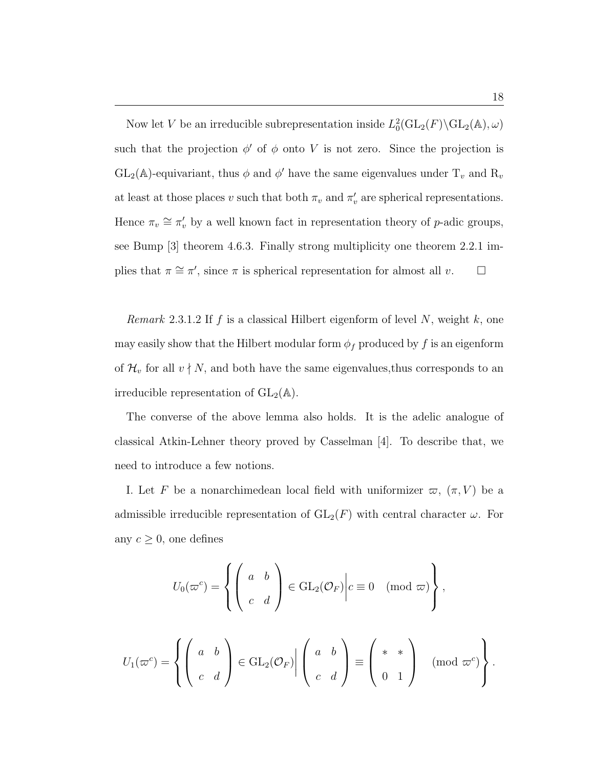Now let V be an irreducible subrepresentation inside  $L_0^2(\text{GL}_2(F) \backslash \text{GL}_2(\mathbb{A}), \omega)$ such that the projection  $\phi'$  of  $\phi$  onto V is not zero. Since the projection is  $GL_2(\mathbb{A})$ -equivariant, thus  $\phi$  and  $\phi'$  have the same eigenvalues under  $T_v$  and  $R_v$ at least at those places v such that both  $\pi_v$  and  $\pi'_v$  are spherical representations. Hence  $\pi_v \cong \pi'_v$  by a well known fact in representation theory of p-adic groups, see Bump [3] theorem 4.6.3. Finally strong multiplicity one theorem 2.2.1 implies that  $\pi \cong \pi'$ , since  $\pi$  is spherical representation for almost all v.  $\Box$ 

*Remark* 2.3.1.2 If f is a classical Hilbert eigenform of level N, weight  $k$ , one may easily show that the Hilbert modular form  $\phi_f$  produced by f is an eigenform of  $\mathcal{H}_v$  for all  $v \nmid N$ , and both have the same eigenvalues, thus corresponds to an irreducible representation of  $GL_2(\mathbb{A})$ .

The converse of the above lemma also holds. It is the adelic analogue of classical Atkin-Lehner theory proved by Casselman [4]. To describe that, we need to introduce a few notions.

I. Let F be a nonarchimedean local field with uniformizer  $\varpi$ ,  $(\pi, V)$  be a admissible irreducible representation of  $GL_2(F)$  with central character  $\omega$ . For any  $c \geq 0$ , one defines

$$
U_0(\varpi^c) = \left\{ \left( \begin{array}{cc} a & b \\ c & d \end{array} \right) \in \text{GL}_2(\mathcal{O}_F) \middle| c \equiv 0 \pmod{\varpi} \right\},
$$

$$
U_1(\varpi^c) = \left\{ \left( \begin{array}{cc} a & b \\ c & d \end{array} \right) \in \text{GL}_2(\mathcal{O}_F) \middle| \left( \begin{array}{cc} a & b \\ c & d \end{array} \right) \equiv \left( \begin{array}{cc} * & * \\ 0 & 1 \end{array} \right) \pmod{\varpi^c} \right\}
$$

.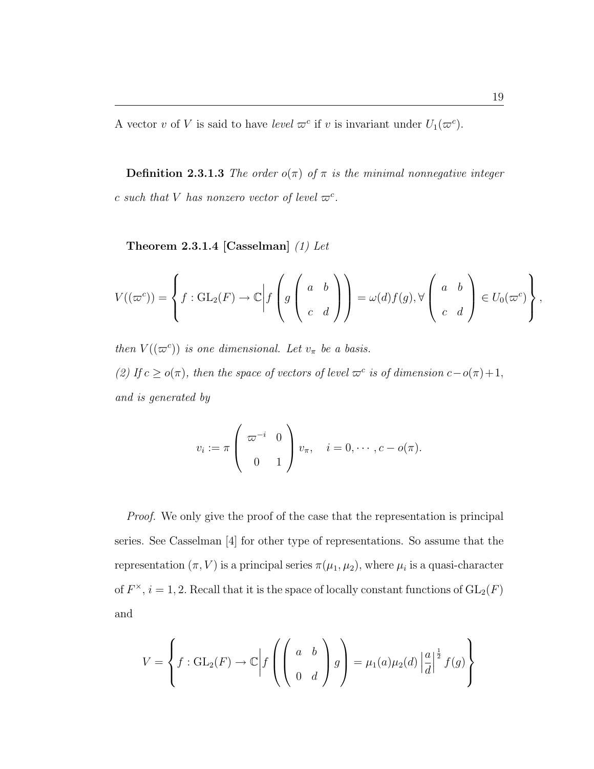A vector v of V is said to have level  $\varpi^c$  if v is invariant under  $U_1(\varpi^c)$ .

**Definition 2.3.1.3** The order  $o(\pi)$  of  $\pi$  is the minimal nonnegative integer c such that V has nonzero vector of level  $\varpi^c$ .

Theorem 2.3.1.4 [Casselman]  $(1)$  Let

$$
V((\varpi^c)) = \left\{ f : GL_2(F) \to \mathbb{C} \bigg| f\left(g\begin{pmatrix} a & b \\ c & d \end{pmatrix} \right) \right\} = \omega(d)f(g), \forall \begin{pmatrix} a & b \\ c & d \end{pmatrix} \in U_0(\varpi^c) \right\},\
$$

then  $V((\varpi^c))$  is one dimensional. Let  $v_\pi$  be a basis. (2) If  $c \ge o(\pi)$ , then the space of vectors of level  $\varpi^c$  is of dimension  $c - o(\pi) + 1$ , and is generated by

$$
v_i := \pi \left( \begin{array}{cc} \varpi^{-i} & 0 \\ 0 & 1 \end{array} \right) v_{\pi}, \quad i = 0, \cdots, c - o(\pi).
$$

Proof. We only give the proof of the case that the representation is principal series. See Casselman [4] for other type of representations. So assume that the representation  $(\pi, V)$  is a principal series  $\pi(\mu_1, \mu_2)$ , where  $\mu_i$  is a quasi-character of  $F^{\times}$ ,  $i = 1, 2$ . Recall that it is the space of locally constant functions of  $GL_2(F)$ and

$$
V = \left\{ f : GL_2(F) \to \mathbb{C} \middle| f \left( \begin{pmatrix} a & b \\ 0 & d \end{pmatrix} g \right) = \mu_1(a) \mu_2(d) \left| \frac{a}{d} \right|^{\frac{1}{2}} f(g) \right\}
$$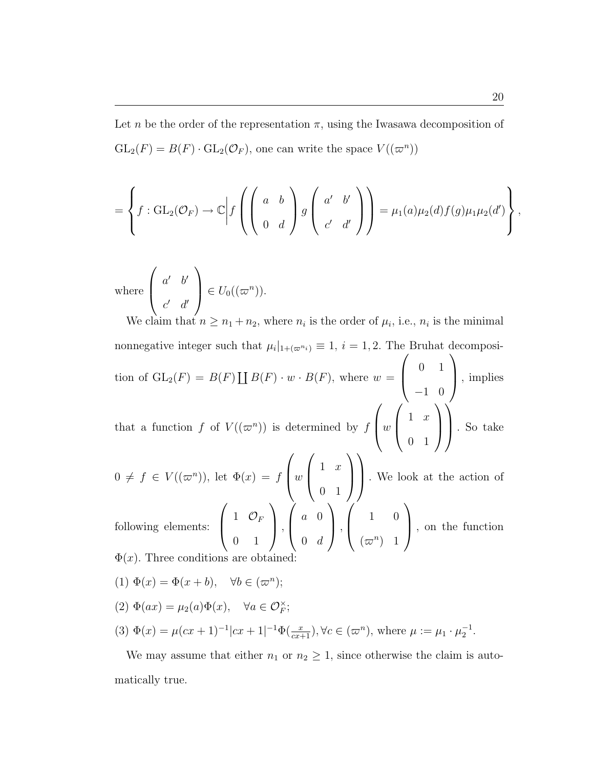Let n be the order of the representation  $\pi$ , using the Iwasawa decomposition of  $GL_2(F) = B(F) \cdot GL_2(\mathcal{O}_F)$ , one can write the space  $V((\varpi^n))$ 

$$
= \left\{ f : GL_2(\mathcal{O}_F) \to \mathbb{C} \bigg| f\left( \left( \begin{array}{cc} a & b \\ 0 & d \end{array} \right) g \left( \begin{array}{cc} a' & b' \\ c' & d' \end{array} \right) \right) = \mu_1(a) \mu_2(d) f(g) \mu_1 \mu_2(d') \right\}
$$

where 
$$
\begin{pmatrix} a' & b' \\ c' & d' \end{pmatrix} \in U_0((\varpi^n))
$$
.

We claim that  $n \geq n_1 + n_2$ , where  $n_i$  is the order of  $\mu_i$ , i.e.,  $n_i$  is the minimal nonnegative integer such that  $\mu_i|_{1+(\varpi^{n_i})} \equiv 1, i = 1, 2$ . The Bruhat decomposition of  $\operatorname{GL}_2(F) = B(F)$  $\overline{r}$  $B(F) \cdot w \cdot B(F)$ , where  $w = \begin{bmatrix} 0 & 1 \\ 0 & 1 \end{bmatrix}$ −1 0 |, implies that a function f of  $V((\varpi^n))$  is determined by f  $\overline{a}$  $\vert w \vert$  $\overline{a}$  $\begin{pmatrix} 1 & x \\ y & z \end{pmatrix}$ 0 1  $\tilde{\phantom{a}}$  $\overline{\phantom{a}}$  $\mathcal{N}_{\mathcal{N}}$ . So take

 $0 \neq f \in V((\varpi^n))$ , let  $\Phi(x) = f\left[w\right]^{1-x}$  $\mathcal{L}$   $\mathcal{L}$   $\mathcal{L}$ 0 1 . We look at the action of  $\overline{\phantom{a}}$  $\mathbf{r}$  $\sqrt{ }$  $\mathbf{r}$  $\frac{1}{2}$  $\mathbf{r}$ 

following elements:  $\begin{pmatrix} 1 & \mathcal{O}_F \end{pmatrix}$ 0 1  $\vert$ ,  $\begin{pmatrix} a & 0 \\ 0 & 0 \\ 0 & 0 \\ 0 & 0 \\ 0 & 0 \\ 0 & 0 \\ 0 & 0 \\ 0 & 0 & 0 \\ 0 & 0 & 0 \\ 0 & 0 & 0 \\ 0 & 0 & 0 & 0 \\ 0 & 0 & 0 & 0 \\ 0 & 0 & 0 & 0 & 0 \\ 0 & 0 & 0 & 0 & 0 \\ 0 & 0 & 0 & 0 & 0 & 0 \\ 0 & 0 & 0 & 0 & 0 & 0 \\ 0 & 0 & 0 & 0 & 0 & 0 & 0 \\ 0 & 0 & 0 & 0 & 0 & 0 & 0 \\ 0 & 0 & 0 & 0 & 0$  $0 \quad d$  $\vert$ ,  $\begin{pmatrix} 1 & 0 \\ 0 & 0 \\ 0 & 0 \\ 0 & 0 \\ 0 & 0 \\ 0 & 0 \\ 0 & 0 \\ 0 & 0 & 0 \\ 0 & 0 & 0 \\ 0 & 0 & 0 \\ 0 & 0 & 0 & 0 \\ 0 & 0 & 0 & 0 \\ 0 & 0 & 0 & 0 & 0 \\ 0 & 0 & 0 & 0 & 0 \\ 0 & 0 & 0 & 0 & 0 & 0 \\ 0 & 0 & 0 & 0 & 0 & 0 \\ 0 & 0 & 0 & 0 & 0 & 0 & 0 \\ 0 & 0 & 0 & 0 & 0 & 0 & 0 \\ 0 & 0 & 0 & 0 &$  $(\varpi^n)$  1 , on the function  $\Phi(x)$ . Three conditions are obtained

- (1)  $\Phi(x) = \Phi(x+b), \quad \forall b \in (\varpi^n);$
- (2)  $\Phi(ax) = \mu_2(a)\Phi(x), \quad \forall a \in \mathcal{O}_F^{\times};$
- (3)  $\Phi(x) = \mu(cx+1)^{-1}|cx+1|^{-1}\Phi(\frac{x}{cx+1}), \forall c \in (\varpi^n), \text{ where } \mu := \mu_1 \cdot \mu_2^{-1}.$

We may assume that either  $n_1$  or  $n_2 \geq 1$ , since otherwise the claim is automatically true.

,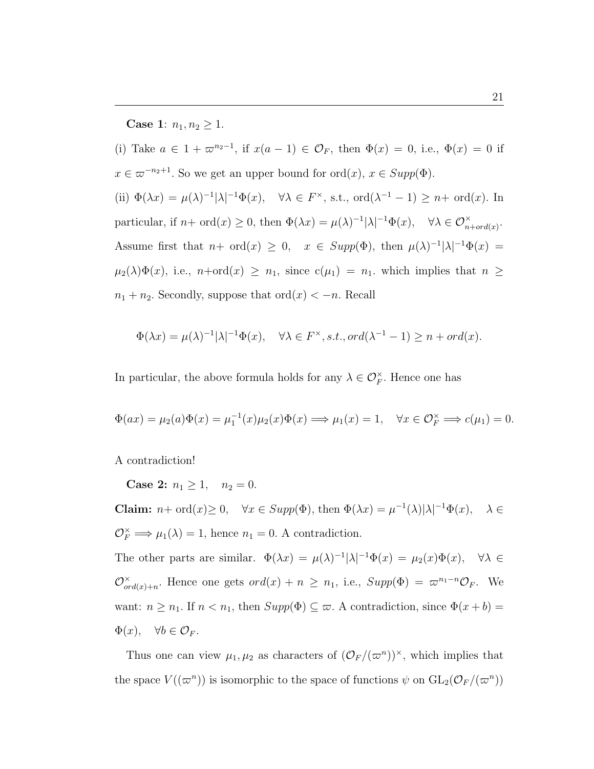**Case 1:**  $n_1, n_2 \geq 1$ .

(i) Take  $a \in 1 + \infty^{n_2-1}$ , if  $x(a-1) \in \mathcal{O}_F$ , then  $\Phi(x) = 0$ , i.e.,  $\Phi(x) = 0$  if  $x \in \varpi^{-n_2+1}$ . So we get an upper bound for  $\text{ord}(x), x \in \text{Supp}(\Phi)$ . (ii)  $\Phi(\lambda x) = \mu(\lambda)^{-1} |\lambda|^{-1} \Phi(x)$ ,  $\forall \lambda \in F^{\times}$ , s.t., ord $(\lambda^{-1} - 1) \geq n + \text{ord}(x)$ . In particular, if  $n+\text{ord}(x) \geq 0$ , then  $\Phi(\lambda x) = \mu(\lambda)^{-1} |\lambda|^{-1} \Phi(x)$ ,  $\forall \lambda \in \mathcal{O}_{n+\text{ord}(x)}^{\times}$ . Assume first that  $n+\text{ord}(x) \geq 0$ ,  $x \in \text{Supp}(\Phi)$ , then  $\mu(\lambda)^{-1}|\lambda|^{-1}\Phi(x) =$  $\mu_2(\lambda)\Phi(x)$ , i.e.,  $n+\text{ord}(x) \geq n_1$ , since  $c(\mu_1) = n_1$ , which implies that  $n \geq$  $n_1 + n_2$ . Secondly, suppose that  $\text{ord}(x) < -n$ . Recall

$$
\Phi(\lambda x) = \mu(\lambda)^{-1} |\lambda|^{-1} \Phi(x), \quad \forall \lambda \in F^{\times}, s.t., ord(\lambda^{-1} - 1) \ge n + ord(x).
$$

In particular, the above formula holds for any  $\lambda \in \mathcal{O}_F^{\times}$ . Hence one has

$$
\Phi(ax) = \mu_2(a)\Phi(x) = \mu_1^{-1}(x)\mu_2(x)\Phi(x) \Longrightarrow \mu_1(x) = 1, \quad \forall x \in \mathcal{O}_F^\times \Longrightarrow c(\mu_1) = 0.
$$

A contradiction!

Case 2:  $n_1 \geq 1$ ,  $n_2 = 0$ .

**Claim:**  $n + \text{ord}(x) \ge 0$ ,  $\forall x \in \text{Supp}(\Phi)$ , then  $\Phi(\lambda x) = \mu^{-1}(\lambda) |\lambda|^{-1} \Phi(x)$ ,  $\lambda \in$  $\mathcal{O}_F^{\times} \Longrightarrow \mu_1(\lambda) = 1$ , hence  $n_1 = 0$ . A contradiction.

The other parts are similar.  $\Phi(\lambda x) = \mu(\lambda)^{-1} |\lambda|^{-1} \Phi(x) = \mu_2(x) \Phi(x)$ ,  $\forall \lambda \in$  $\mathcal{O}_{\alpha}^{\times}$  $\sum_{\text{ord}(x)+n}^{\infty}$ . Hence one gets  $\text{ord}(x)+n \geq n_1$ , i.e.,  $\text{Supp}(\Phi) = \varpi^{n_1-n} \mathcal{O}_F$ . We want:  $n \geq n_1$ . If  $n < n_1$ , then  $Supp(\Phi) \subseteq \varpi$ . A contradiction, since  $\Phi(x + b) =$  $\Phi(x), \quad \forall b \in \mathcal{O}_F.$ 

Thus one can view  $\mu_1, \mu_2$  as characters of  $(\mathcal{O}_F/(\varpi^n))^{\times}$ , which implies that the space  $V((\varpi^n))$  is isomorphic to the space of functions  $\psi$  on  $GL_2(\mathcal{O}_F/(\varpi^n))$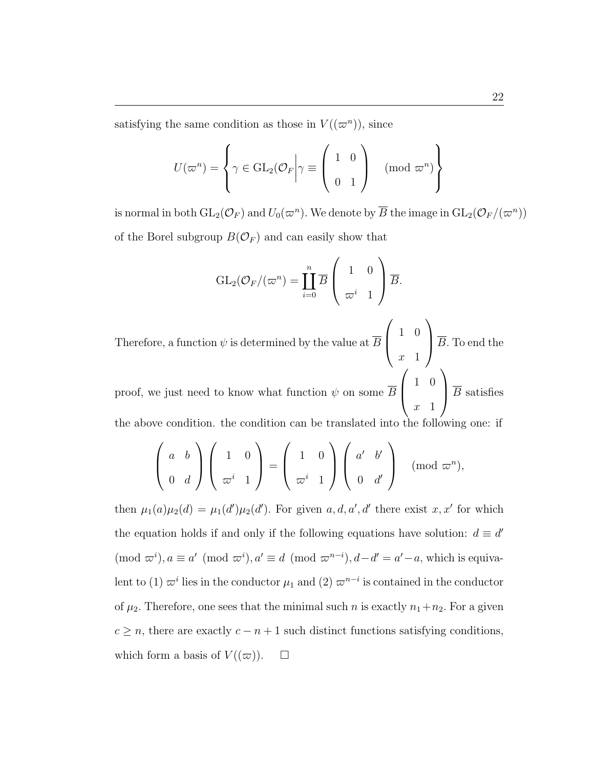$$
U(\varpi^n) = \left\{ \gamma \in \operatorname{GL}_2(\mathcal{O}_F \bigg| \gamma \equiv \left( \begin{array}{cc} 1 & 0 \\ 0 & 1 \end{array} \right) \pmod{\varpi^n} \right\}
$$

is normal in both  $\mathrm{GL}_2(\mathcal{O}_F)$  and  $U_0(\varpi^n)$ . We denote by  $\overline{B}$  the image in  $\mathrm{GL}_2(\mathcal{O}_F/(\varpi^n))$ of the Borel subgroup  $B(\mathcal{O}_F)$  and can easily show that

$$
\operatorname{GL}_2(\mathcal{O}_F/(\varpi^n) = \coprod_{i=0}^n \overline{B} \left( \begin{array}{cc} 1 & 0 \\ \varpi^i & 1 \end{array} \right) \overline{B}.
$$

Therefore, a function  $\psi$  is determined by the value at  $\overline{B}$  $\begin{pmatrix} 1 & 0 \\ 0 & 0 \\ 0 & 0 \\ 0 & 0 \\ 0 & 0 \\ 0 & 0 \\ 0 & 0 \\ 0 & 0 & 0 \\ 0 & 0 & 0 \\ 0 & 0 & 0 \\ 0 & 0 & 0 & 0 \\ 0 & 0 & 0 & 0 \\ 0 & 0 & 0 & 0 & 0 \\ 0 & 0 & 0 & 0 & 0 \\ 0 & 0 & 0 & 0 & 0 & 0 \\ 0 & 0 & 0 & 0 & 0 & 0 \\ 0 & 0 & 0 & 0 & 0 & 0 & 0 \\ 0 & 0 & 0 & 0 & 0 & 0 & 0 \\ 0 & 0 & 0 & 0 &$  $x \quad 1$  $\sqrt{B}$ . To end the  $\overline{\ }$  $\mathbf{r}$ 

proof, we just need to know what function  $\psi$  on some  $\overline{B}$  $\begin{pmatrix} 1 & 0 \\ 0 & 0 \\ 0 & 0 \\ 0 & 0 \\ 0 & 0 \\ 0 & 0 \\ 0 & 0 \\ 0 & 0 & 0 \\ 0 & 0 & 0 \\ 0 & 0 & 0 \\ 0 & 0 & 0 & 0 \\ 0 & 0 & 0 & 0 \\ 0 & 0 & 0 & 0 & 0 \\ 0 & 0 & 0 & 0 & 0 \\ 0 & 0 & 0 & 0 & 0 & 0 \\ 0 & 0 & 0 & 0 & 0 & 0 \\ 0 & 0 & 0 & 0 & 0 & 0 & 0 \\ 0 & 0 & 0 & 0 & 0 & 0 & 0 \\ 0 & 0 & 0 & 0 &$  $x<sub>1</sub>$  $\sqrt{B}$  satisfies the above condition. the condition can be translated into the following one: if

$$
\left(\begin{array}{cc} a & b \\ 0 & d \end{array}\right) \left(\begin{array}{cc} 1 & 0 \\ \varpi^i & 1 \end{array}\right) = \left(\begin{array}{cc} 1 & 0 \\ \varpi^i & 1 \end{array}\right) \left(\begin{array}{cc} a' & b' \\ 0 & d' \end{array}\right) \pmod{\varpi^n},
$$

then  $\mu_1(a)\mu_2(d) = \mu_1(d')\mu_2(d')$ . For given  $a, d, a', d'$  there exist  $x, x'$  for which the equation holds if and only if the following equations have solution:  $d \equiv d'$  $(\text{mod } \varpi^i), a \equiv a' \pmod{\varpi^i}, a' \equiv d \pmod{\varpi^{n-i}}, d-d' = a'-a$ , which is equivalent to (1)  $\varpi^{i}$  lies in the conductor  $\mu_1$  and (2)  $\varpi^{n-i}$  is contained in the conductor of  $\mu_2$ . Therefore, one sees that the minimal such *n* is exactly  $n_1+n_2$ . For a given  $c \geq n$ , there are exactly  $c - n + 1$  such distinct functions satisfying conditions, which form a basis of  $V((\varpi))$ .  $\Box$ 

 $\mathbf{r}$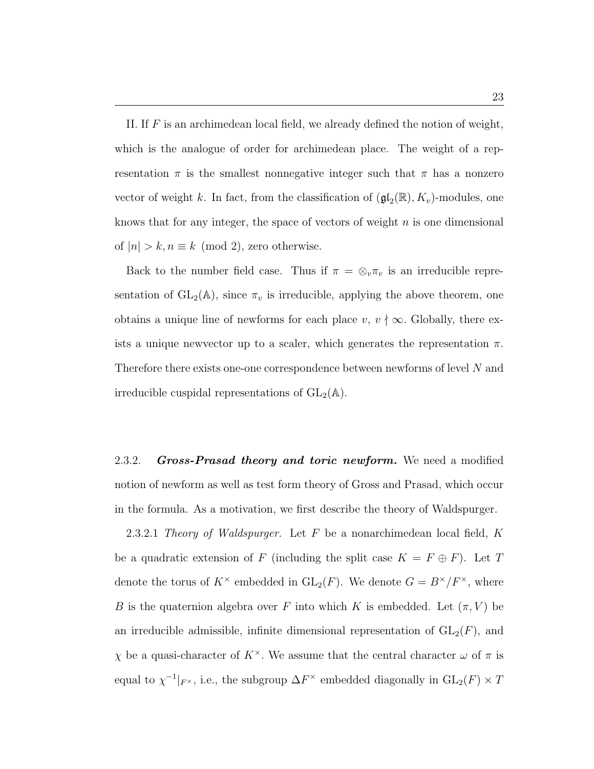II. If  $F$  is an archimedean local field, we already defined the notion of weight, which is the analogue of order for archimedean place. The weight of a representation  $\pi$  is the smallest nonnegative integer such that  $\pi$  has a nonzero vector of weight k. In fact, from the classification of  $(\mathfrak{gl}_2(\mathbb{R}), K_v)$ -modules, one knows that for any integer, the space of vectors of weight  $n$  is one dimensional of  $|n| > k, n \equiv k \pmod{2}$ , zero otherwise.

Back to the number field case. Thus if  $\pi = \otimes_v \pi_v$  is an irreducible representation of  $GL_2(\mathbb{A})$ , since  $\pi_v$  is irreducible, applying the above theorem, one obtains a unique line of newforms for each place  $v, v \nmid \infty$ . Globally, there exists a unique new ector up to a scaler, which generates the representation  $\pi$ . Therefore there exists one-one correspondence between newforms of level N and irreducible cuspidal representations of  $GL_2(\mathbb{A})$ .

2.3.2. **Gross-Prasad theory and toric newform.** We need a modified notion of newform as well as test form theory of Gross and Prasad, which occur in the formula. As a motivation, we first describe the theory of Waldspurger.

2.3.2.1 Theory of Waldspurger. Let  $F$  be a nonarchimedean local field,  $K$ be a quadratic extension of F (including the split case  $K = F \oplus F$ ). Let T denote the torus of  $K^{\times}$  embedded in  $GL_2(F)$ . We denote  $G = B^{\times}/F^{\times}$ , where B is the quaternion algebra over F into which K is embedded. Let  $(\pi, V)$  be an irreducible admissible, infinite dimensional representation of  $GL_2(F)$ , and χ be a quasi-character of K<sup>×</sup>. We assume that the central character ω of π is equal to  $\chi^{-1}|_{F^\times}$ , i.e., the subgroup  $\Delta F^\times$  embedded diagonally in  $\mathrm{GL}_2(F) \times T$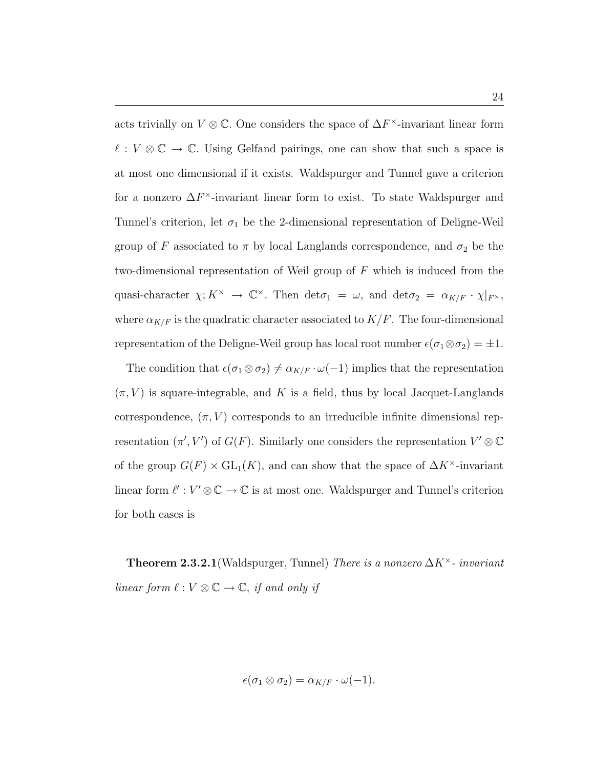acts trivially on  $V \otimes \mathbb{C}$ . One considers the space of  $\Delta F^{\times}$ -invariant linear form  $\ell : V \otimes \mathbb{C} \to \mathbb{C}$ . Using Gelfand pairings, one can show that such a space is at most one dimensional if it exists. Waldspurger and Tunnel gave a criterion for a nonzero  $\Delta F^{\times}$ -invariant linear form to exist. To state Waldspurger and Tunnel's criterion, let  $\sigma_1$  be the 2-dimensional representation of Deligne-Weil group of F associated to  $\pi$  by local Langlands correspondence, and  $\sigma_2$  be the two-dimensional representation of Weil group of  $F$  which is induced from the quasi-character  $\chi: K^{\times} \to \mathbb{C}^{\times}$ . Then  $\det \sigma_1 = \omega$ , and  $\det \sigma_2 = \alpha_{K/F} \cdot \chi|_{F^{\times}}$ , where  $\alpha_{K/F}$  is the quadratic character associated to  $K/F$ . The four-dimensional representation of the Deligne-Weil group has local root number  $\epsilon(\sigma_1 \otimes \sigma_2) = \pm 1$ .

The condition that  $\epsilon(\sigma_1 \otimes \sigma_2) \neq \alpha_{K/F} \cdot \omega(-1)$  implies that the representation  $(\pi, V)$  is square-integrable, and K is a field, thus by local Jacquet-Langlands correspondence,  $(\pi, V)$  corresponds to an irreducible infinite dimensional representation  $(\pi', V')$  of  $G(F)$ . Similarly one considers the representation  $V' \otimes \mathbb{C}$ of the group  $G(F) \times GL_1(K)$ , and can show that the space of  $\Delta K^{\times}$ -invariant linear form  $\ell' : V' \otimes \mathbb{C} \to \mathbb{C}$  is at most one. Waldspurger and Tunnel's criterion for both cases is

**Theorem 2.3.2.1**(Waldspurger, Tunnel) There is a nonzero  $\Delta K^{\times}$ - invariant linear form  $\ell : V \otimes \mathbb{C} \to \mathbb{C}$ , if and only if

$$
\epsilon(\sigma_1 \otimes \sigma_2) = \alpha_{K/F} \cdot \omega(-1).
$$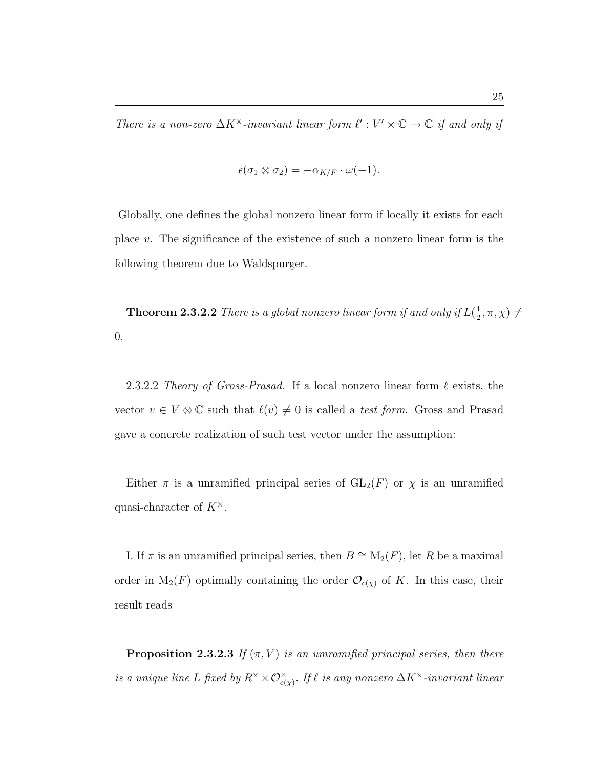$$
\epsilon(\sigma_1 \otimes \sigma_2) = -\alpha_{K/F} \cdot \omega(-1).
$$

Globally, one defines the global nonzero linear form if locally it exists for each place v. The significance of the existence of such a nonzero linear form is the following theorem due to Waldspurger.

**Theorem 2.3.2.2** There is a global nonzero linear form if and only if  $L(\frac{1}{2})$  $(\frac{1}{2}, \pi, \chi) \neq$ 0.

2.3.2.2 Theory of Gross-Prasad. If a local nonzero linear form  $\ell$  exists, the vector  $v \in V \otimes \mathbb{C}$  such that  $\ell(v) \neq 0$  is called a test form. Gross and Prasad gave a concrete realization of such test vector under the assumption:

Either  $\pi$  is a unramified principal series of  $GL_2(F)$  or  $\chi$  is an unramified quasi-character of  $K^{\times}$ .

I. If  $\pi$  is an unramified principal series, then  $B \cong M_2(F)$ , let R be a maximal order in  $M_2(F)$  optimally containing the order  $\mathcal{O}_{c(\chi)}$  of K. In this case, their result reads

**Proposition 2.3.2.3** If  $(\pi, V)$  is an umramified principal series, then there is a unique line L fixed by  $R^\times \times \mathcal{O}_{c(\chi)}^\times$ . If  $\ell$  is any nonzero  $\Delta K^\times$ -invariant linear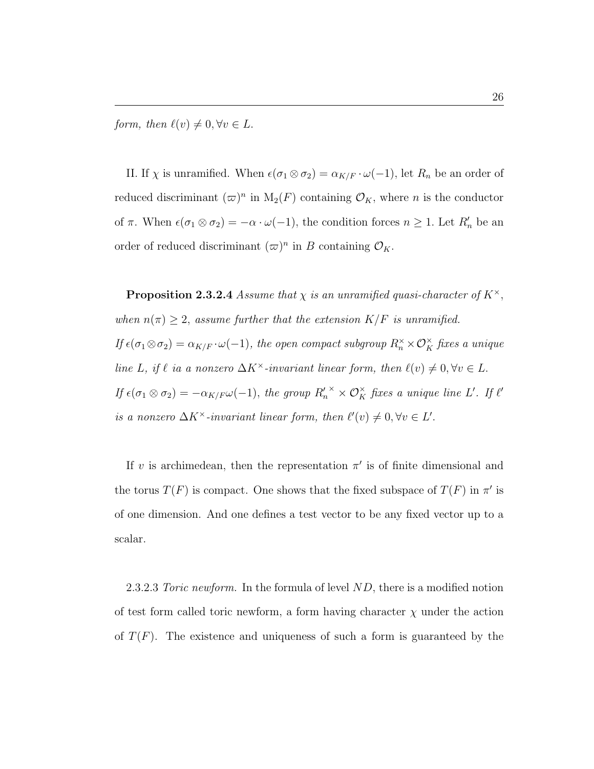form, then  $\ell(v) \neq 0, \forall v \in L$ .

II. If  $\chi$  is unramified. When  $\epsilon(\sigma_1 \otimes \sigma_2) = \alpha_{K/F} \cdot \omega(-1)$ , let  $R_n$  be an order of reduced discriminant  $(\varpi)^n$  in  $M_2(F)$  containing  $\mathcal{O}_K$ , where n is the conductor of  $\pi$ . When  $\epsilon(\sigma_1 \otimes \sigma_2) = -\alpha \cdot \omega(-1)$ , the condition forces  $n \geq 1$ . Let  $R'_n$  be an order of reduced discriminant  $({\bar{\varpi}})^n$  in B containing  $\mathcal{O}_K$ .

**Proposition 2.3.2.4** Assume that  $\chi$  is an unramified quasi-character of  $K^{\times}$ , when  $n(\pi) \geq 2$ , assume further that the extension  $K/F$  is unramified. If  $\epsilon(\sigma_1 \otimes \sigma_2) = \alpha_{K/F} \cdot \omega(-1)$ , the open compact subgroup  $R_n^{\times} \times \mathcal{O}_K^{\times}$  fixes a unique line L, if  $\ell$  ia a nonzero  $\Delta K^{\times}$ -invariant linear form, then  $\ell(v) \neq 0, \forall v \in L$ . If  $\epsilon(\sigma_1 \otimes \sigma_2) = -\alpha_{K/F} \omega(-1)$ , the group  $R_n^{\prime\prime} \times \mathcal{O}_K^{\times}$  fixes a unique line L'. If  $\ell'$ is a nonzero  $\Delta K^{\times}$ -invariant linear form, then  $\ell'(v) \neq 0, \forall v \in L'.$ 

If v is archimedean, then the representation  $\pi'$  is of finite dimensional and the torus  $T(F)$  is compact. One shows that the fixed subspace of  $T(F)$  in  $\pi'$  is of one dimension. And one defines a test vector to be any fixed vector up to a scalar.

2.3.2.3 Toric newform. In the formula of level  $ND$ , there is a modified notion of test form called toric newform, a form having character  $\chi$  under the action of  $T(F)$ . The existence and uniqueness of such a form is guaranteed by the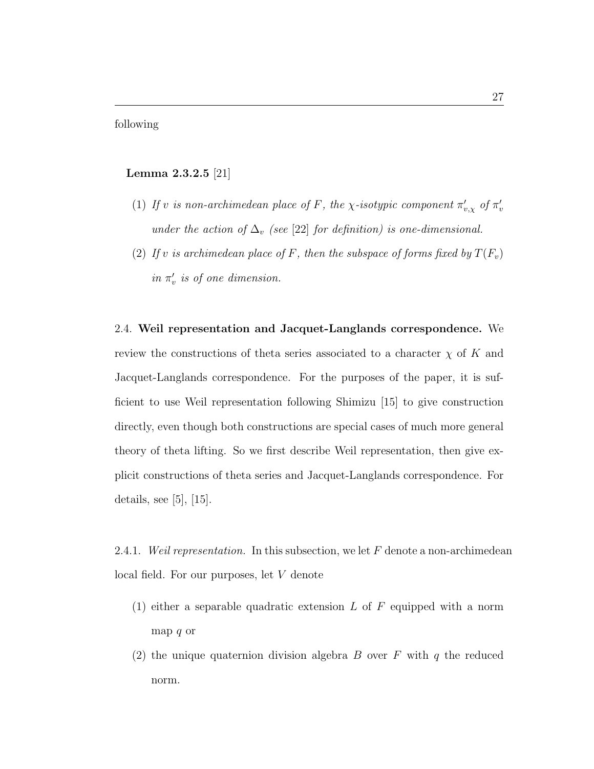following

### Lemma 2.3.2.5 [21]

- (1) If v is non-archimedean place of F, the x-isotypic component  $\pi'_{v,x}$  of  $\pi'_{v,x}$ under the action of  $\Delta_v$  (see [22] for definition) is one-dimensional.
- (2) If v is archimedean place of F, then the subspace of forms fixed by  $T(F_v)$ in  $\pi'_v$  is of one dimension.

2.4. Weil representation and Jacquet-Langlands correspondence. We review the constructions of theta series associated to a character  $\chi$  of K and Jacquet-Langlands correspondence. For the purposes of the paper, it is sufficient to use Weil representation following Shimizu [15] to give construction directly, even though both constructions are special cases of much more general theory of theta lifting. So we first describe Weil representation, then give explicit constructions of theta series and Jacquet-Langlands correspondence. For details, see [5], [15].

2.4.1. Weil representation. In this subsection, we let F denote a non-archimedean local field. For our purposes, let V denote

- (1) either a separable quadratic extension  $L$  of  $F$  equipped with a norm map q or
- (2) the unique quaternion division algebra B over F with q the reduced norm.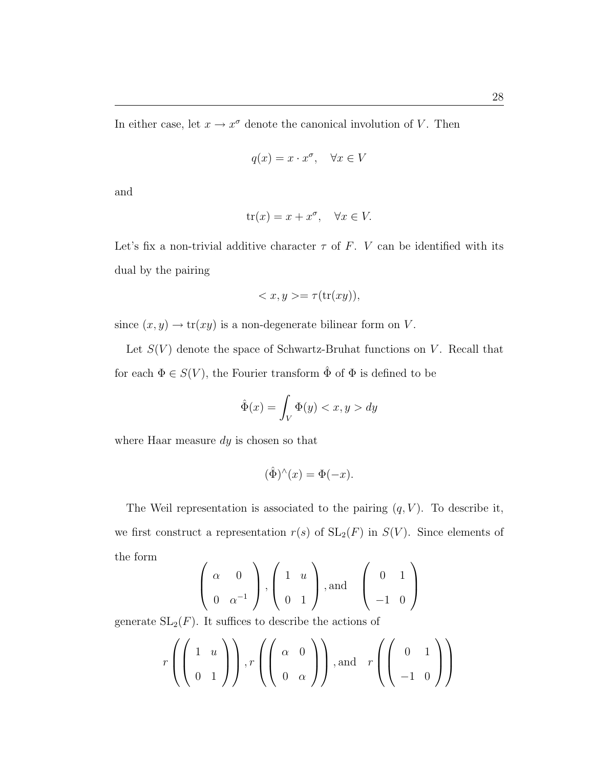In either case, let  $x \to x^{\sigma}$  denote the canonical involution of V. Then

$$
q(x) = x \cdot x^{\sigma}, \quad \forall x \in V
$$

and

$$
\operatorname{tr}(x) = x + x^{\sigma}, \quad \forall x \in V.
$$

Let's fix a non-trivial additive character  $\tau$  of F. V can be identified with its dual by the pairing

$$
\langle x, y \rangle = \tau(\text{tr}(xy)),
$$

since  $(x, y) \rightarrow \text{tr}(xy)$  is a non-degenerate bilinear form on V.

Let  $S(V)$  denote the space of Schwartz-Bruhat functions on V. Recall that for each  $\Phi \in S(V)$ , the Fourier transform  $\hat{\Phi}$  of  $\Phi$  is defined to be

$$
\hat{\Phi}(x) = \int_{V} \Phi(y) < x, y > dy
$$

where Haar measure  $dy$  is chosen so that

$$
(\hat{\Phi})^{\wedge}(x) = \Phi(-x).
$$

The Weil representation is associated to the pairing  $(q, V)$ . To describe it, we first construct a representation  $r(s)$  of  $SL_2(F)$  in  $S(V)$ . Since elements of the form  $\overline{\phantom{a}}$  $\lambda$  $\overline{1}$  $\mathbf{r}$  $\overline{\phantom{a}}$  $\mathbf{r}$ 

$$
\left(\begin{array}{cc}\n\alpha & 0 \\
0 & \alpha^{-1}\n\end{array}\right), \left(\begin{array}{cc}1 & u \\
0 & 1\n\end{array}\right), \text{and} \left(\begin{array}{cc}0 & 1 \\
-1 & 0\n\end{array}\right)
$$

generate  $SL_2(F)$ . It suffices to describe the actions of

$$
r\left(\left(\begin{array}{cc}1&u\\0&1\end{array}\right)\right), r\left(\left(\begin{array}{cc}\alpha&0\\0&\alpha\end{array}\right)\right), \text{and} \quad r\left(\left(\begin{array}{cc}0&1\\-1&0\end{array}\right)\right)
$$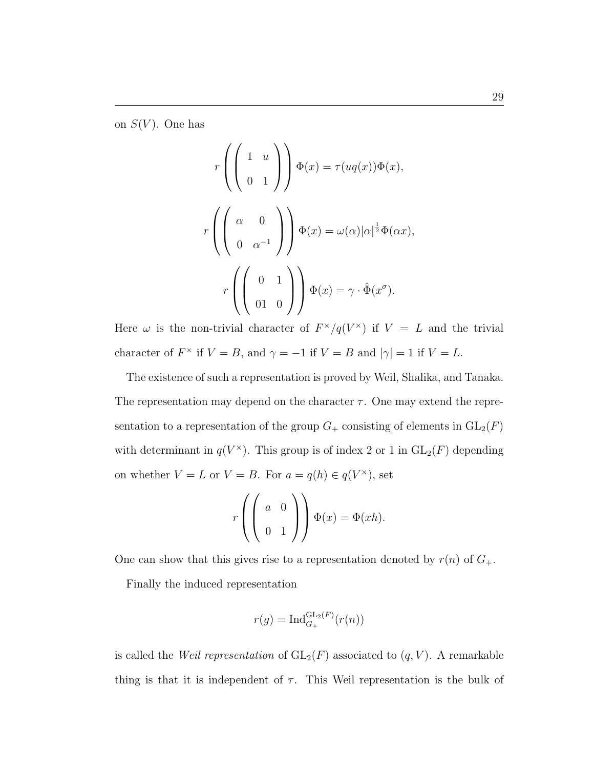on  $S(V)$ . One has

$$
r\left(\begin{pmatrix} 1 & u \\ 0 & 1 \end{pmatrix}\right) \Phi(x) = \tau(uq(x))\Phi(x),
$$

$$
r\left(\begin{pmatrix} \alpha & 0 \\ 0 & \alpha^{-1} \end{pmatrix}\right) \Phi(x) = \omega(\alpha)|\alpha|^{\frac{1}{2}}\Phi(\alpha x),
$$

$$
r\left(\begin{pmatrix} 0 & 1 \\ 0 & 0 \end{pmatrix}\right) \Phi(x) = \gamma \cdot \hat{\Phi}(x^{\sigma}).
$$

Here  $\omega$  is the non-trivial character of  $F^{\times}/q(V^{\times})$  if  $V = L$  and the trivial character of  $F^{\times}$  if  $V = B$ , and  $\gamma = -1$  if  $V = B$  and  $|\gamma| = 1$  if  $V = L$ .

The existence of such a representation is proved by Weil, Shalika, and Tanaka. The representation may depend on the character  $\tau$ . One may extend the representation to a representation of the group  $G_+$  consisting of elements in  $GL_2(F)$ with determinant in  $q(V^*)$ . This group is of index 2 or 1 in  $GL_2(F)$  depending on whether  $V = L$  or  $V = B$ . For  $a = q(h) \in q(V^*)$ , set

$$
r\left(\left(\begin{array}{cc}a&0\\0&1\end{array}\right)\right)\Phi(x)=\Phi(xh).
$$

One can show that this gives rise to a representation denoted by  $r(n)$  of  $G_+$ .

Finally the induced representation

$$
r(g) = \mathrm{Ind}_{G_+}^{\mathrm{GL}_2(F)}(r(n))
$$

is called the *Weil representation* of  $GL_2(F)$  associated to  $(q, V)$ . A remarkable thing is that it is independent of  $\tau$ . This Weil representation is the bulk of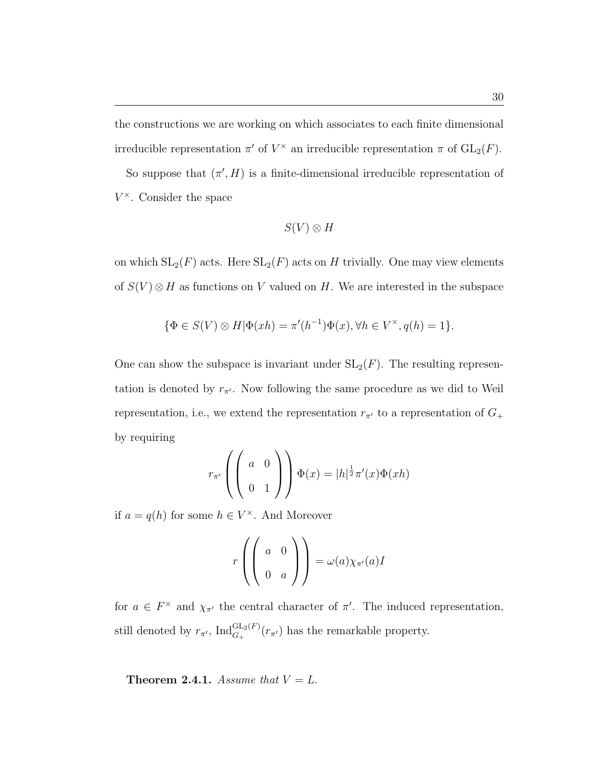the constructions we are working on which associates to each finite dimensional irreducible representation  $\pi'$  of  $V^{\times}$  an irreducible representation  $\pi$  of  $GL_2(F)$ .

So suppose that  $(\pi', H)$  is a finite-dimensional irreducible representation of  $V^{\times}$ . Consider the space

$$
S(V)\otimes H
$$

on which  $SL_2(F)$  acts. Here  $SL_2(F)$  acts on H trivially. One may view elements of  $S(V) \otimes H$  as functions on V valued on H. We are interested in the subspace

$$
\{\Phi \in S(V) \otimes H | \Phi(xh) = \pi'(h^{-1})\Phi(x), \forall h \in V^{\times}, q(h) = 1\}.
$$

One can show the subspace is invariant under  $SL_2(F)$ . The resulting representation is denoted by  $r_{\pi'}$ . Now following the same procedure as we did to Weil representation, i.e., we extend the representation  $r_{\pi'}$  to a representation of  $G_+$ by requiring

$$
r_{\pi'}\left(\left(\begin{array}{cc}a&0\\0&1\end{array}\right)\right)\Phi(x)=|h|^{\frac{1}{2}}\pi'(x)\Phi(xh)
$$

if  $a = q(h)$  for some  $h \in V^{\times}$ . And Moreover

$$
r\left(\left(\begin{array}{cc}a&0\\0&a\end{array}\right)\right)=\omega(a)\chi_{\pi'}(a)I
$$

for  $a \in F^{\times}$  and  $\chi_{\pi'}$  the central character of  $\pi'$ . The induced representation, still denoted by  $r_{\pi'}$ ,  $\text{Ind}_{G_+}^{\text{GL}_2(F)}(r_{\pi'})$  has the remarkable property.

**Theorem 2.4.1.** Assume that  $V = L$ .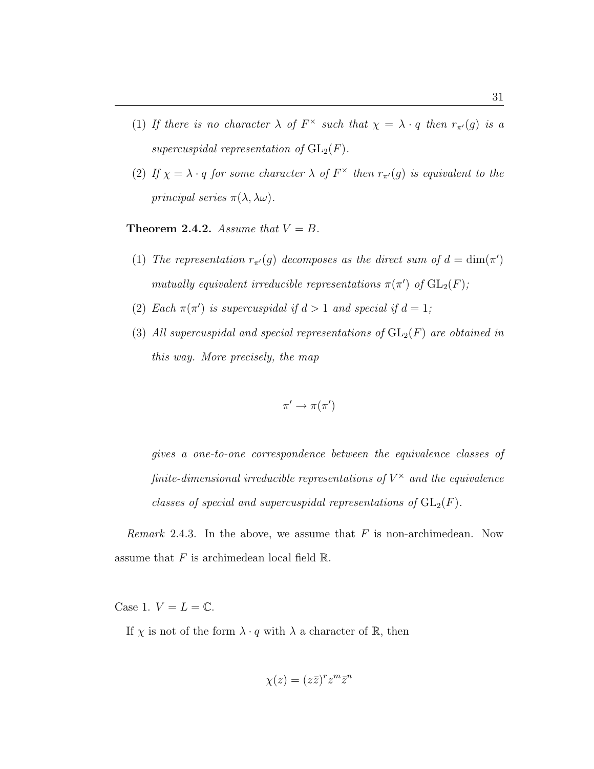- (1) If there is no character  $\lambda$  of  $F^{\times}$  such that  $\chi = \lambda \cdot q$  then  $r_{\pi}(q)$  is a supercuspidal representation of  $GL_2(F)$ .
- (2) If  $\chi = \lambda \cdot q$  for some character  $\lambda$  of  $F^{\times}$  then  $r_{\pi}(g)$  is equivalent to the principal series  $\pi(\lambda, \lambda \omega)$ .

**Theorem 2.4.2.** Assume that  $V = B$ .

- (1) The representation  $r_{\pi}(g)$  decomposes as the direct sum of  $d = \dim(\pi')$ mutually equivalent irreducible representations  $\pi(\pi')$  of  $GL_2(F)$ ;
- (2) Each  $\pi(\pi')$  is supercuspidal if  $d > 1$  and special if  $d = 1$ ;
- (3) All supercuspidal and special representations of  $GL_2(F)$  are obtained in this way. More precisely, the map

$$
\pi' \to \pi(\pi')
$$

gives a one-to-one correspondence between the equivalence classes of finite-dimensional irreducible representations of  $V^{\times}$  and the equivalence classes of special and supercuspidal representations of  $GL_2(F)$ .

Remark 2.4.3. In the above, we assume that  $F$  is non-archimedean. Now assume that  $F$  is archimedean local field  $\mathbb{R}$ .

Case 1.  $V = L = \mathbb{C}$ .

If  $\chi$  is not of the form  $\lambda \cdot q$  with  $\lambda$  a character of  $\mathbb{R}$ , then

$$
\chi(z) = (z\bar{z})^r z^m \bar{z}^n
$$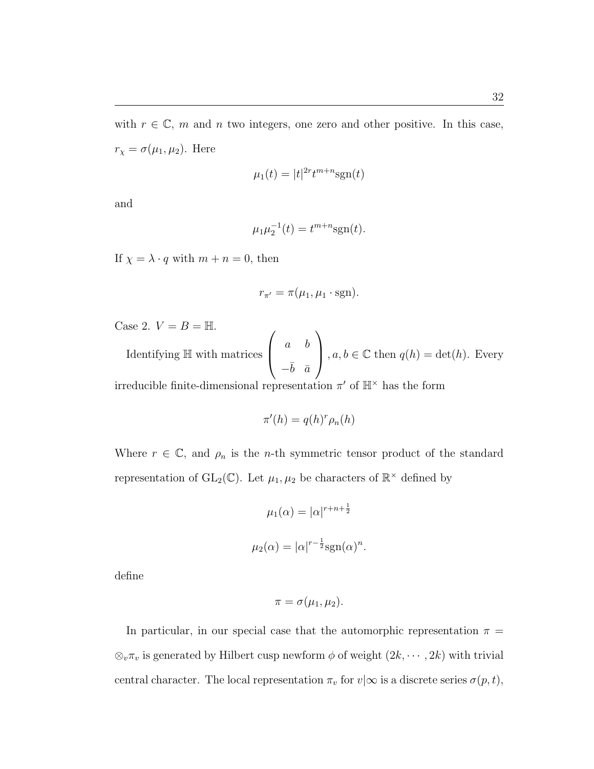with  $r \in \mathbb{C}$ , m and n two integers, one zero and other positive. In this case,  $r_{\chi} = \sigma(\mu_1, \mu_2)$ . Here

$$
\mu_1(t) = |t|^{2r} t^{m+n} \text{sgn}(t)
$$

and

$$
\mu_1 \mu_2^{-1}(t) = t^{m+n} \text{sgn}(t).
$$

If  $\chi = \lambda \cdot q$  with  $m + n = 0$ , then

$$
r_{\pi'} = \pi(\mu_1, \mu_1 \cdot \text{sgn}).
$$

Case 2.  $V = B = \mathbb{H}$ .

Identifying H with matrices  $\begin{pmatrix} a & b \end{pmatrix}$  $-\bar{b}$   $\bar{a}$ ,  $a, b \in \mathbb{C}$  then  $q(h) = \det(h)$ . Every

 $\mathbf{r}$ 

irreducible finite-dimensional representation  $\pi'$  of  $\mathbb{H}^{\times}$  has the form

 $\overline{\phantom{a}}$ 

$$
\pi'(h) = q(h)^r \rho_n(h)
$$

Where  $r \in \mathbb{C}$ , and  $\rho_n$  is the *n*-th symmetric tensor product of the standard representation of  $GL_2(\mathbb{C})$ . Let  $\mu_1, \mu_2$  be characters of  $\mathbb{R}^{\times}$  defined by

$$
\mu_1(\alpha) = |\alpha|^{r+n+\frac{1}{2}}
$$
  

$$
\mu_2(\alpha) = |\alpha|^{r-\frac{1}{2}} \text{sgn}(\alpha)^n.
$$

define

$$
\pi = \sigma(\mu_1, \mu_2).
$$

In particular, in our special case that the automorphic representation  $\pi =$  $\otimes_v \pi_v$  is generated by Hilbert cusp newform  $\phi$  of weight  $(2k, \dots, 2k)$  with trivial central character. The local representation  $\pi_v$  for  $v|\infty$  is a discrete series  $\sigma(p, t)$ ,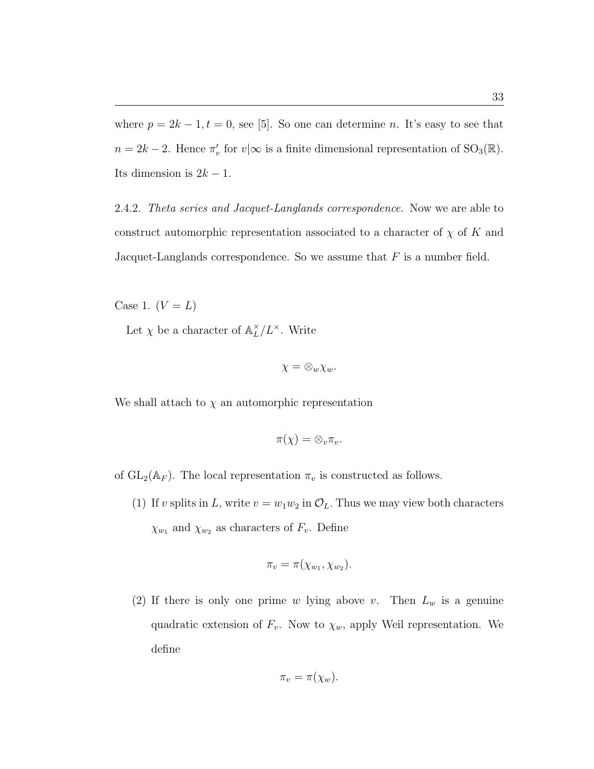where  $p = 2k - 1, t = 0$ , see [5]. So one can determine n. It's easy to see that  $n = 2k - 2$ . Hence  $\pi'_v$  for  $v | \infty$  is a finite dimensional representation of  $\text{SO}_3(\mathbb{R})$ . Its dimension is  $2k - 1$ .

2.4.2. Theta series and Jacquet-Langlands correspondence. Now we are able to construct automorphic representation associated to a character of  $\chi$  of K and Jacquet-Langlands correspondence. So we assume that  $F$  is a number field.

Case 1.  $(V = L)$ 

Let  $\chi$  be a character of  $\mathbb{A}_{L}^{\times}$  $\chi_L^{\times}/L^{\times}$ . Write

$$
\chi=\otimes_w\chi_w.
$$

We shall attach to  $\chi$  an automorphic representation

$$
\pi(\chi) = \otimes_v \pi_v.
$$

of  $GL_2(\mathbb{A}_F)$ . The local representation  $\pi_v$  is constructed as follows.

(1) If v splits in L, write  $v = w_1 w_2$  in  $\mathcal{O}_L$ . Thus we may view both characters  $\chi_{w_1}$  and  $\chi_{w_2}$  as characters of  $F_v$ . Define

$$
\pi_v = \pi(\chi_{w_1}, \chi_{w_2}).
$$

(2) If there is only one prime w lying above v. Then  $L_w$  is a genuine quadratic extension of  $F_v$ . Now to  $\chi_w$ , apply Weil representation. We define

$$
\pi_v = \pi(\chi_w).
$$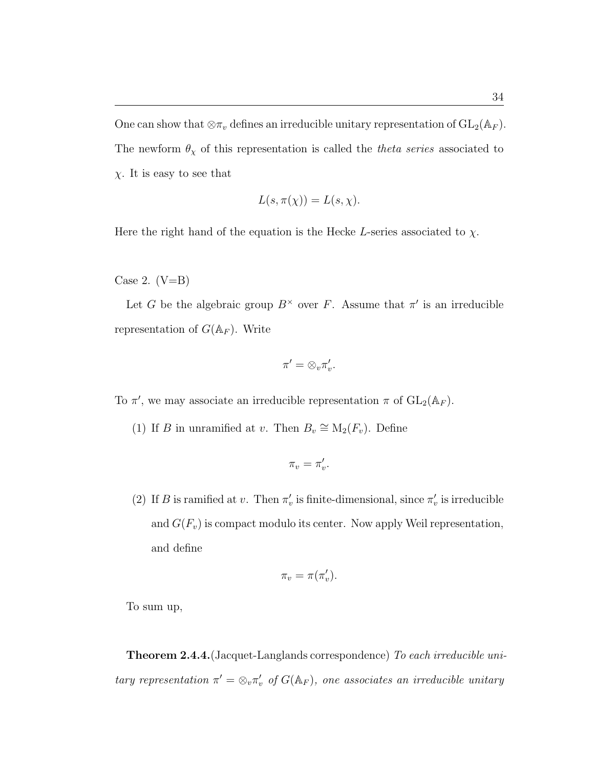One can show that  $\otimes \pi_v$  defines an irreducible unitary representation of  $\mathrm{GL}_2(\mathbb{A}_F)$ . The newform  $\theta_{\chi}$  of this representation is called the *theta series* associated to  $\chi$ . It is easy to see that

$$
L(s, \pi(\chi)) = L(s, \chi).
$$

Here the right hand of the equation is the Hecke L-series associated to  $\chi$ .

Case 2.  $(V=B)$ 

Let G be the algebraic group  $B^{\times}$  over F. Assume that  $\pi'$  is an irreducible representation of  $G(\mathbb{A}_F)$ . Write

$$
\pi'=\otimes_v\pi'_v.
$$

To  $\pi'$ , we may associate an irreducible representation  $\pi$  of  $GL_2(\mathbb{A}_F)$ .

(1) If B in unramified at v. Then  $B_v \cong M_2(F_v)$ . Define

$$
\pi_v=\pi'_v.
$$

(2) If B is ramified at v. Then  $\pi'_v$  is finite-dimensional, since  $\pi'_v$  is irreducible and  $G(F_v)$  is compact modulo its center. Now apply Weil representation, and define

$$
\pi_v = \pi(\pi'_v).
$$

To sum up,

**Theorem 2.4.4.** (Jacquet-Langlands correspondence) To each irreducible unitary representation  $\pi' = \otimes_v \pi'_v$  of  $G(\mathbb{A}_F)$ , one associates an irreducible unitary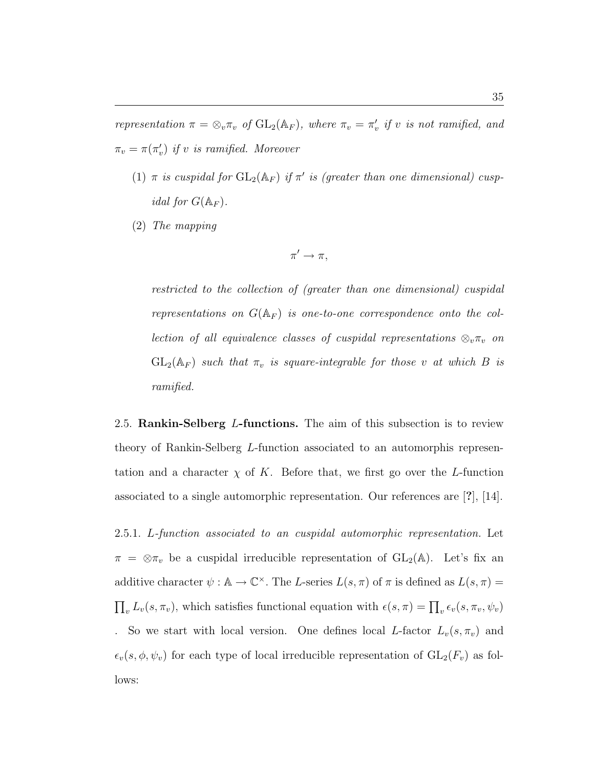representation  $\pi = \otimes_v \pi_v$  of  $GL_2(\mathbb{A}_F)$ , where  $\pi_v = \pi'_v$  if v is not ramified, and  $\pi_v = \pi(\pi'_v)$  if v is ramified. Moreover

- (1)  $\pi$  is cuspidal for  $GL_2(\mathbb{A}_F)$  if  $\pi'$  is (greater than one dimensional) cusp*idal for*  $G(\mathbb{A}_F)$ .
- (2) The mapping

$$
\pi' \to \pi,
$$

restricted to the collection of (greater than one dimensional) cuspidal representations on  $G(\mathbb{A}_F)$  is one-to-one correspondence onto the collection of all equivalence classes of cuspidal representations  $\otimes_{v} \pi_{v}$  on  $GL_2(\mathbb{A}_F)$  such that  $\pi_v$  is square-integrable for those v at which B is ramified.

2.5. Rankin-Selberg L-functions. The aim of this subsection is to review theory of Rankin-Selberg L-function associated to an automorphis representation and a character  $\chi$  of K. Before that, we first go over the L-function associated to a single automorphic representation. Our references are [?], [14].

2.5.1. L-function associated to an cuspidal automorphic representation. Let  $\pi = \otimes \pi_v$  be a cuspidal irreducible representation of  $GL_2(\mathbb{A})$ . Let's fix an additive character  $\psi : \mathbb{A} \to \mathbb{C}^\times$ . The L-series  $L(s, \pi)$  of  $\pi$  is defined as  $L(s, \pi) =$  $\prod_{v} L_v(s, \pi_v)$ , which satisfies functional equation with  $\epsilon(s, \pi) = \prod_{v} \epsilon_v(s, \pi_v, \psi_v)$ . So we start with local version. One defines local L-factor  $L_v(s, \pi_v)$  and  $\epsilon_v(s, \phi, \psi_v)$  for each type of local irreducible representation of  $GL_2(F_v)$  as follows: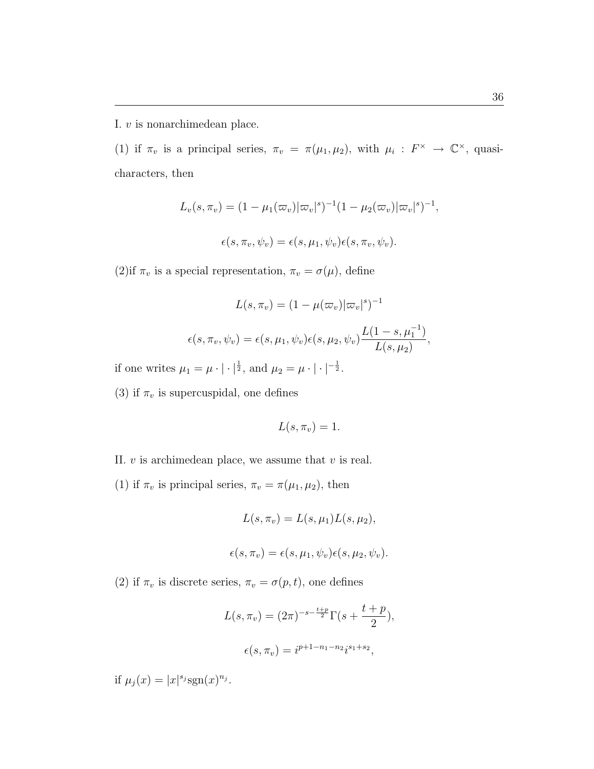I. v is nonarchimedean place.

(1) if  $\pi_v$  is a principal series,  $\pi_v = \pi(\mu_1, \mu_2)$ , with  $\mu_i : F^\times \to \mathbb{C}^\times$ , quasicharacters, then

$$
L_v(s, \pi_v) = (1 - \mu_1(\varpi_v)|\varpi_v|^s)^{-1} (1 - \mu_2(\varpi_v)|\varpi_v|^s)^{-1},
$$
  

$$
\epsilon(s, \pi_v, \psi_v) = \epsilon(s, \mu_1, \psi_v)\epsilon(s, \pi_v, \psi_v).
$$

(2)if  $\pi_v$  is a special representation,  $\pi_v = \sigma(\mu)$ , define

$$
L(s, \pi_v) = (1 - \mu(\varpi_v)|\varpi_v|^s)^{-1}
$$

$$
\epsilon(s, \pi_v, \psi_v) = \epsilon(s, \mu_1, \psi_v)\epsilon(s, \mu_2, \psi_v)\frac{L(1 - s, \mu_1^{-1})}{L(s, \mu_2)},
$$

if one writes  $\mu_1 = \mu \cdot | \cdot |^{\frac{1}{2}}$ , and  $\mu_2 = \mu \cdot | \cdot |^{-\frac{1}{2}}$ .

(3) if  $\pi_v$  is supercuspidal, one defines

$$
L(s, \pi_v) = 1.
$$

II.  $v$  is archimedean place, we assume that  $v$  is real.

(1) if  $\pi_v$  is principal series,  $\pi_v = \pi(\mu_1, \mu_2)$ , then

$$
L(s, \pi_v) = L(s, \mu_1)L(s, \mu_2),
$$

$$
\epsilon(s,\pi_v)=\epsilon(s,\mu_1,\psi_v)\epsilon(s,\mu_2,\psi_v).
$$

(2) if  $\pi_v$  is discrete series,  $\pi_v = \sigma(p, t)$ , one defines

$$
L(s, \pi_v) = (2\pi)^{-s - \frac{t+p}{2}} \Gamma(s + \frac{t+p}{2}),
$$
  

$$
\epsilon(s, \pi_v) = i^{p+1-n_1-n_2} i^{s_1+s_2},
$$

if  $\mu_j(x) = |x|^{s_j} \text{sgn}(x)^{n_j}$ .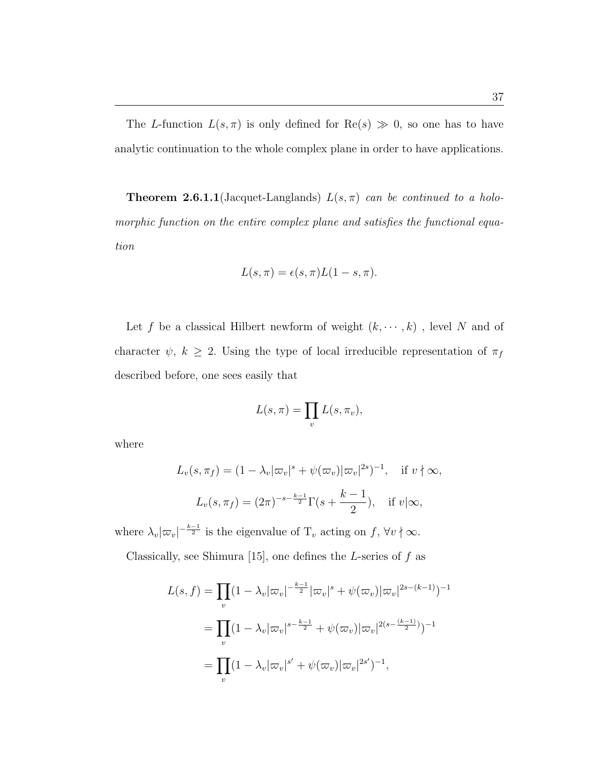The L-function  $L(s, \pi)$  is only defined for  $\text{Re}(s) \gg 0$ , so one has to have analytic continuation to the whole complex plane in order to have applications.

**Theorem 2.6.1.1**(Jacquet-Langlands)  $L(s, \pi)$  can be continued to a holomorphic function on the entire complex plane and satisfies the functional equation

$$
L(s,\pi) = \epsilon(s,\pi)L(1-s,\pi).
$$

Let f be a classical Hilbert newform of weight  $(k, \dots, k)$ , level N and of character  $\psi$ ,  $k \geq 2$ . Using the type of local irreducible representation of  $\pi_f$ described before, one sees easily that

$$
L(s,\pi) = \prod_{v} L(s,\pi_v),
$$

where

$$
L_v(s, \pi_f) = (1 - \lambda_v |\varpi_v|^s + \psi(\varpi_v) |\varpi_v|^{2s})^{-1}, \quad \text{if } v \nmid \infty,
$$
  

$$
L_v(s, \pi_f) = (2\pi)^{-s - \frac{k-1}{2}} \Gamma(s + \frac{k-1}{2}), \quad \text{if } v \mid \infty,
$$

where  $\lambda_v |\varpi_v|^{-\frac{k-1}{2}}$  is the eigenvalue of  $T_v$  acting on f,  $\forall v \nmid \infty$ .

Classically, see Shimura [15], one defines the L-series of  $f$  as

$$
L(s, f) = \prod_{v} (1 - \lambda_{v} |\varpi_{v}|^{-\frac{k-1}{2}} |\varpi_{v}|^{s} + \psi(\varpi_{v}) |\varpi_{v}|^{2s - (k-1)})^{-1}
$$
  
= 
$$
\prod_{v} (1 - \lambda_{v} |\varpi_{v}|^{s - \frac{k-1}{2}} + \psi(\varpi_{v}) |\varpi_{v}|^{2(s - \frac{(k-1)}{2})})^{-1}
$$
  
= 
$$
\prod_{v} (1 - \lambda_{v} |\varpi_{v}|^{s'} + \psi(\varpi_{v}) |\varpi_{v}|^{2s'})^{-1},
$$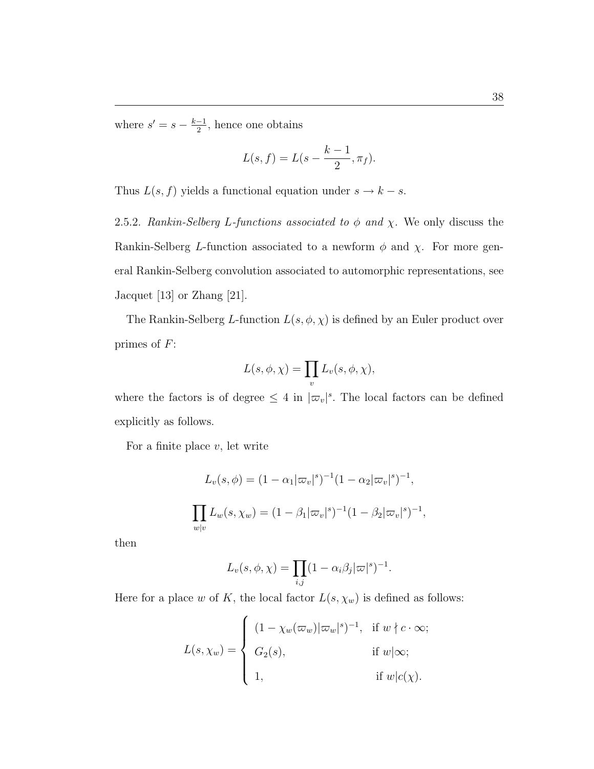where  $s' = s - \frac{k-1}{2}$  $\frac{-1}{2}$ , hence one obtains

$$
L(s,f) = L(s - \frac{k-1}{2}, \pi_f).
$$

Thus  $L(s, f)$  yields a functional equation under  $s \to k - s$ .

2.5.2. Rankin-Selberg L-functions associated to  $\phi$  and  $\chi$ . We only discuss the Rankin-Selberg L-function associated to a newform  $\phi$  and  $\chi$ . For more general Rankin-Selberg convolution associated to automorphic representations, see Jacquet [13] or Zhang [21].

The Rankin-Selberg L-function  $L(s, \phi, \chi)$  is defined by an Euler product over primes of  $F$ :

$$
L(s, \phi, \chi) = \prod_{v} L_{v}(s, \phi, \chi),
$$

where the factors is of degree  $\leq 4$  in  $|\varpi_v|^s$ . The local factors can be defined explicitly as follows.

For a finite place  $v$ , let write

$$
L_v(s, \phi) = (1 - \alpha_1 |\varpi_v|^s)^{-1} (1 - \alpha_2 |\varpi_v|^s)^{-1},
$$
  

$$
\prod_{w|v} L_w(s, \chi_w) = (1 - \beta_1 |\varpi_v|^s)^{-1} (1 - \beta_2 |\varpi_v|^s)^{-1},
$$

then

$$
L_v(s, \phi, \chi) = \prod_{i,j} (1 - \alpha_i \beta_j |\varpi|^s)^{-1}.
$$

Here for a place w of K, the local factor  $L(s, \chi_w)$  is defined as follows:

$$
L(s, \chi_w) = \begin{cases} (1 - \chi_w(\varpi_w)|\varpi_w|^s)^{-1}, & \text{if } w \nmid c \cdot \infty; \\ G_2(s), & \text{if } w \mid \infty; \\ 1, & \text{if } w \mid c(\chi). \end{cases}
$$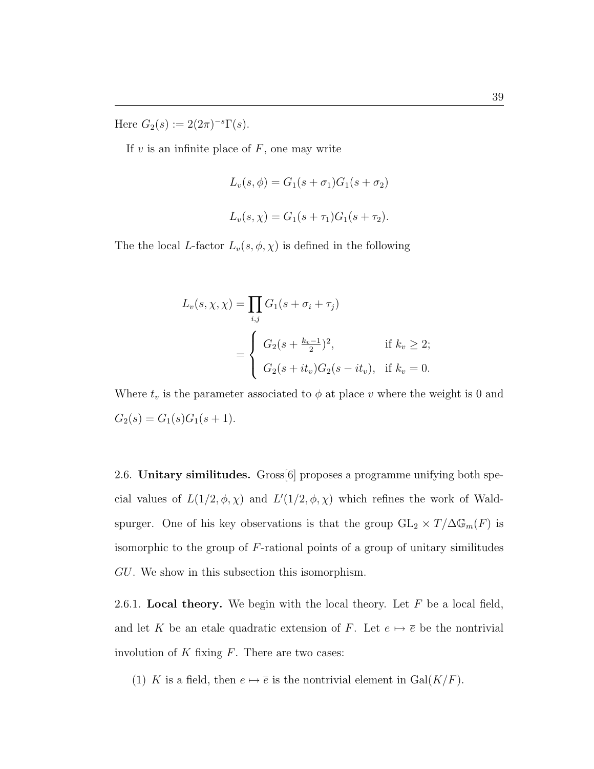Here  $G_2(s) := 2(2\pi)^{-s} \Gamma(s)$ .

If  $v$  is an infinite place of  $F$ , one may write

$$
L_v(s, \phi) = G_1(s + \sigma_1)G_1(s + \sigma_2)
$$
  

$$
L_v(s, \chi) = G_1(s + \tau_1)G_1(s + \tau_2).
$$

The the local L-factor  $L_v(s, \phi, \chi)$  is defined in the following

$$
L_v(s, \chi, \chi) = \prod_{i,j} G_1(s + \sigma_i + \tau_j)
$$
  
= 
$$
\begin{cases} G_2(s + \frac{k_v - 1}{2})^2, & \text{if } k_v \ge 2; \\ G_2(s + it_v)G_2(s - it_v), & \text{if } k_v = 0. \end{cases}
$$

Where  $t_v$  is the parameter associated to  $\phi$  at place v where the weight is 0 and  $G_2(s) = G_1(s)G_1(s + 1).$ 

2.6. Unitary similitudes. Gross[6] proposes a programme unifying both special values of  $L(1/2, \phi, \chi)$  and  $L'(1/2, \phi, \chi)$  which refines the work of Waldspurger. One of his key observations is that the group  $GL_2 \times T/\Delta \mathbb{G}_m(F)$  is isomorphic to the group of  $F$ -rational points of a group of unitary similitudes GU. We show in this subsection this isomorphism.

2.6.1. Local theory. We begin with the local theory. Let  $F$  be a local field, and let K be an etale quadratic extension of F. Let  $e \mapsto \overline{e}$  be the nontrivial involution of  $K$  fixing  $F$ . There are two cases:

(1) K is a field, then  $e \mapsto \overline{e}$  is the nontrivial element in  $Gal(K/F)$ .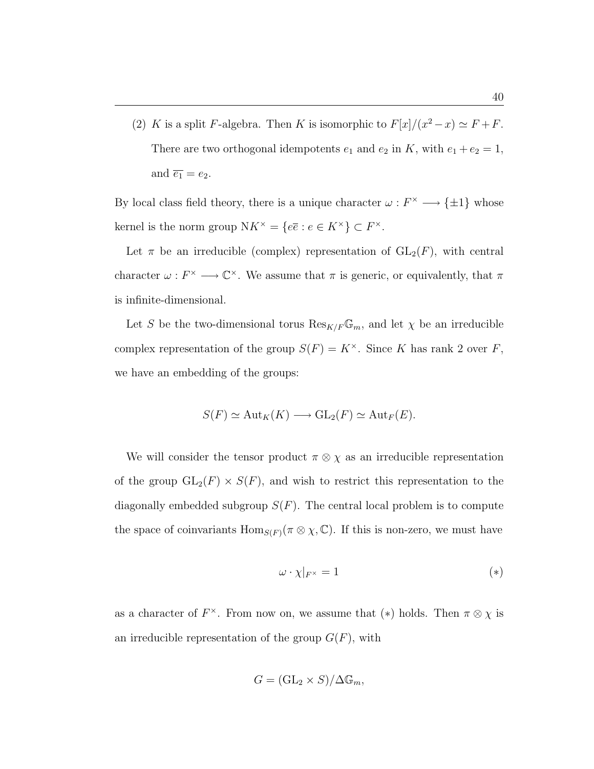(2) K is a split F-algebra. Then K is isomorphic to  $F[x]/(x^2 - x) \simeq F + F$ . There are two orthogonal idempotents  $e_1$  and  $e_2$  in K, with  $e_1 + e_2 = 1$ , and  $\overline{e_1} = e_2$ .

By local class field theory, there is a unique character  $\omega : F^{\times} \longrightarrow {\pm 1}$  whose kernel is the norm group  $N K^{\times} = \{e\overline{e} : e \in K^{\times}\}\subset F^{\times}$ .

Let  $\pi$  be an irreducible (complex) representation of  $GL_2(F)$ , with central character  $\omega: F^{\times} \longrightarrow \mathbb{C}^{\times}$ . We assume that  $\pi$  is generic, or equivalently, that  $\pi$ is infinite-dimensional.

Let S be the two-dimensional torus  $\text{Res}_{K/F}\mathbb{G}_m$ , and let  $\chi$  be an irreducible complex representation of the group  $S(F) = K^{\times}$ . Since K has rank 2 over F, we have an embedding of the groups:

$$
S(F) \simeq \mathrm{Aut}_K(K) \longrightarrow \mathrm{GL}_2(F) \simeq \mathrm{Aut}_F(E).
$$

We will consider the tensor product  $\pi \otimes \chi$  as an irreducible representation of the group  $GL_2(F) \times S(F)$ , and wish to restrict this representation to the diagonally embedded subgroup  $S(F)$ . The central local problem is to compute the space of coinvariants  $\text{Hom}_{S(F)}(\pi \otimes \chi, \mathbb{C})$ . If this is non-zero, we must have

$$
\omega \cdot \chi|_{F^\times} = 1 \tag{*}
$$

as a character of  $F^{\times}$ . From now on, we assume that (\*) holds. Then  $\pi \otimes \chi$  is an irreducible representation of the group  $G(F)$ , with

$$
G = (\mathrm{GL}_2 \times S)/\Delta \mathbb{G}_m,
$$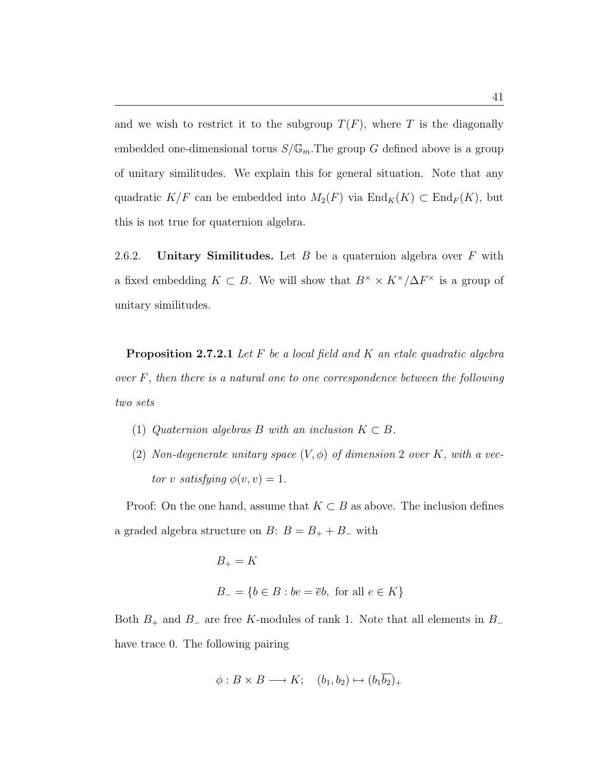and we wish to restrict it to the subgroup  $T(F)$ , where T is the diagonally embedded one-dimensional torus  $S/\mathbb{G}_m$ . The group G defined above is a group of unitary similitudes. We explain this for general situation. Note that any quadratic  $K/F$  can be embedded into  $M_2(F)$  via  $\text{End}_K(K) \subset \text{End}_F(K)$ , but this is not true for quaternion algebra.

2.6.2. Unitary Similitudes. Let  $B$  be a quaternion algebra over  $F$  with a fixed embedding  $K \subset B$ . We will show that  $B^{\times} \times K^{\times}/\Delta F^{\times}$  is a group of unitary similitudes.

**Proposition 2.7.2.1** Let  $F$  be a local field and  $K$  an etale quadratic algebra over F, then there is a natural one to one correspondence between the following two sets

- (1) Quaternion algebras B with an inclusion  $K \subset B$ .
- (2) Non-degenerate unitary space  $(V, \phi)$  of dimension 2 over K, with a vector v satisfying  $\phi(v, v) = 1$ .

Proof: On the one hand, assume that  $K \subset B$  as above. The inclusion defines a graded algebra structure on  $B: B = B_+ + B_-$  with

$$
B_{+} = K
$$
  

$$
B_{-} = \{b \in B : be = \overline{e}b, \text{ for all } e \in K\}
$$

Both  $B_+$  and  $B_-$  are free K-modules of rank 1. Note that all elements in  $B_$ have trace 0. The following pairing

$$
\phi: B \times B \longrightarrow K; \quad (b_1, b_2) \mapsto (b_1 \overline{b_2})_+
$$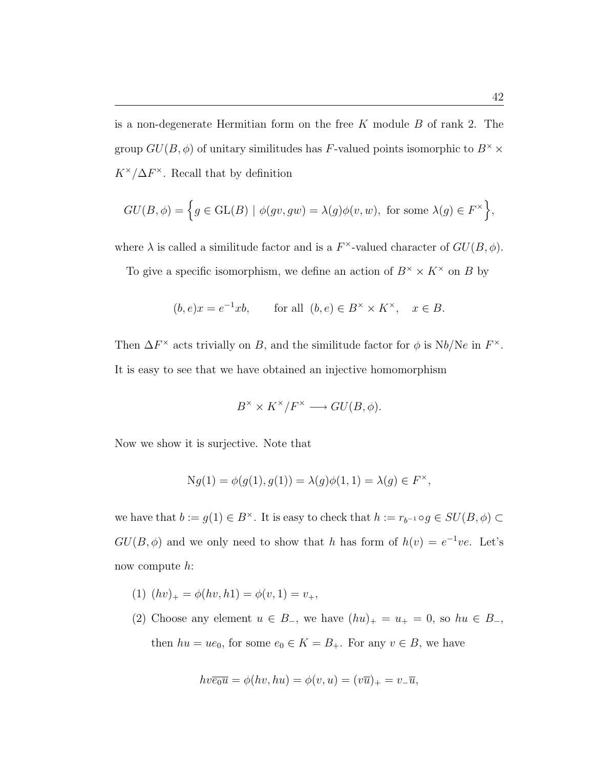is a non-degenerate Hermitian form on the free  $K$  module  $B$  of rank 2. The group  $GU(B, \phi)$  of unitary similitudes has F-valued points isomorphic to  $B^{\times} \times$  $K^{\times}/\Delta F^{\times}$ . Recall that by definition

$$
GU(B, \phi) = \Big\{ g \in GL(B) \mid \phi(gv, gw) = \lambda(g)\phi(v, w), \text{ for some } \lambda(g) \in F^{\times} \Big\},\
$$

where  $\lambda$  is called a similitude factor and is a  $F^{\times}$ -valued character of  $GU(B, \phi)$ .

To give a specific isomorphism, we define an action of  $B^{\times} \times K^{\times}$  on B by

$$
(b, e)x = e^{-1}xb
$$
, for all  $(b, e) \in B^{\times} \times K^{\times}$ ,  $x \in B$ .

Then  $\Delta F^{\times}$  acts trivially on B, and the similitude factor for  $\phi$  is Nb/Ne in  $F^{\times}$ . It is easy to see that we have obtained an injective homomorphism

$$
B^{\times} \times K^{\times}/F^{\times} \longrightarrow GU(B, \phi).
$$

Now we show it is surjective. Note that

$$
Ng(1) = \phi(g(1), g(1)) = \lambda(g)\phi(1, 1) = \lambda(g) \in F^{\times},
$$

we have that  $b := g(1) \in B^{\times}$ . It is easy to check that  $h := r_{b^{-1}} \circ g \in SU(B, \phi) \subset$  $GU(B, \phi)$  and we only need to show that h has form of  $h(v) = e^{-1}ve$ . Let's now compute h:

- (1)  $(hv)_+ = \phi(hv, h1) = \phi(v, 1) = v_+,$
- (2) Choose any element  $u \in B_-,$  we have  $(hu)_+ = u_+ = 0$ , so  $hu \in B_-,$ then  $hu = ue_0$ , for some  $e_0 \in K = B_+$ . For any  $v \in B$ , we have

$$
hv\overline{e_0u} = \phi(hv, hu) = \phi(v, u) = (v\overline{u})_+ = v_-\overline{u},
$$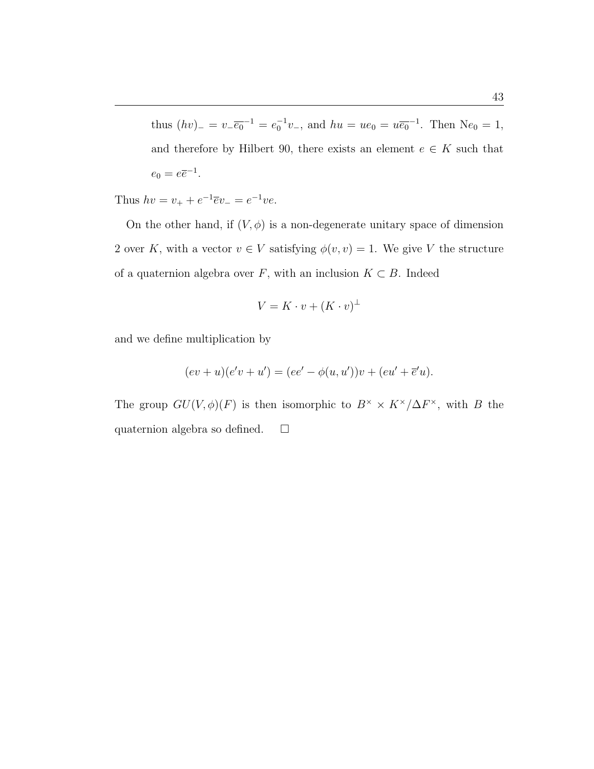thus  $(hv)$ <sub>−</sub> =  $v_-\overline{e_0}^{-1} = e_0^{-1}v_-\$ , and  $hu = ue_0 = u\overline{e_0}^{-1}$ . Then N $e_0 = 1$ , and therefore by Hilbert 90, there exists an element  $e \in K$  such that  $e_0 = e\overline{e}^{-1}.$ 

Thus  $hv = v_+ + e^{-1}\overline{e}v_- = e^{-1}ve$ .

On the other hand, if  $(V, \phi)$  is a non-degenerate unitary space of dimension 2 over K, with a vector  $v \in V$  satisfying  $\phi(v, v) = 1$ . We give V the structure of a quaternion algebra over  $F$ , with an inclusion  $K \subset B$ . Indeed

$$
V = K \cdot v + (K \cdot v)^{\perp}
$$

and we define multiplication by

$$
(ev + u)(e'v + u') = (ee' - \phi(u, u'))v + (eu' + \overline{e}'u).
$$

The group  $GU(V, \phi)(F)$  is then isomorphic to  $B^{\times} \times K^{\times}/\Delta F^{\times}$ , with B the quaternion algebra so defined.  $\square$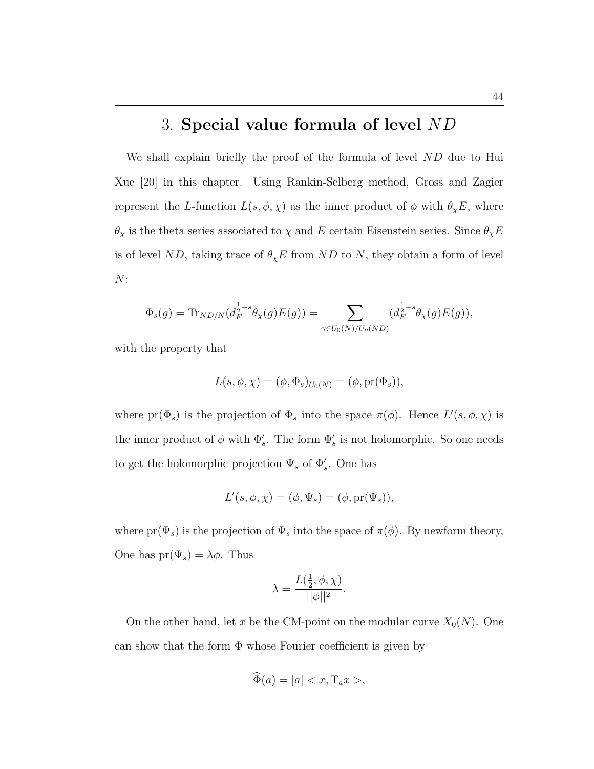## 3. Special value formula of level ND

We shall explain briefly the proof of the formula of level ND due to Hui Xue [20] in this chapter. Using Rankin-Selberg method, Gross and Zagier represent the L-function  $L(s, \phi, \chi)$  as the inner product of  $\phi$  with  $\theta_{\chi}E$ , where  $\theta_\chi$  is the theta series associated to  $\chi$  and  $E$  certain Eisenstein series. Since  $\theta_\chi E$ is of level ND, taking trace of  $\theta_{\chi}E$  from ND to N, they obtain a form of level  $N:$ 

$$
\Phi_s(g)=\text{Tr}_{ND/N}\big(\overline{d_F^{\frac{1}{2}-s}\theta_\chi(g)E(g)}\big)=\sum_{\gamma\in U_0(N)/U_o(ND)}\big(\overline{d_F^{\frac{1}{2}-s}\theta_\chi(g)E(g)}\big),
$$

with the property that

$$
L(s, \phi, \chi) = (\phi, \Phi_s)_{U_0(N)} = (\phi, \text{pr}(\Phi_s)),
$$

where  $pr(\Phi_s)$  is the projection of  $\Phi_s$  into the space  $\pi(\phi)$ . Hence  $L'(s, \phi, \chi)$  is the inner product of  $\phi$  with  $\Phi'_s$ . The form  $\Phi'_s$  is not holomorphic. So one needs to get the holomorphic projection  $\Psi_s$  of  $\Phi'_s$ . One has

$$
L'(s, \phi, \chi) = (\phi, \Psi_s) = (\phi, \text{pr}(\Psi_s)),
$$

where  $pr(\Psi_s)$  is the projection of  $\Psi_s$  into the space of  $\pi(\phi)$ . By newform theory, One has  $pr(\Psi_s) = \lambda \phi$ . Thus

$$
\lambda = \frac{L(\frac{1}{2}, \phi, \chi)}{||\phi||^2}.
$$

On the other hand, let x be the CM-point on the modular curve  $X_0(N)$ . One can show that the form Φ whose Fourier coefficient is given by

$$
\widehat{\Phi}(a) = |a| < x, \mathrm{T}_a x > ,
$$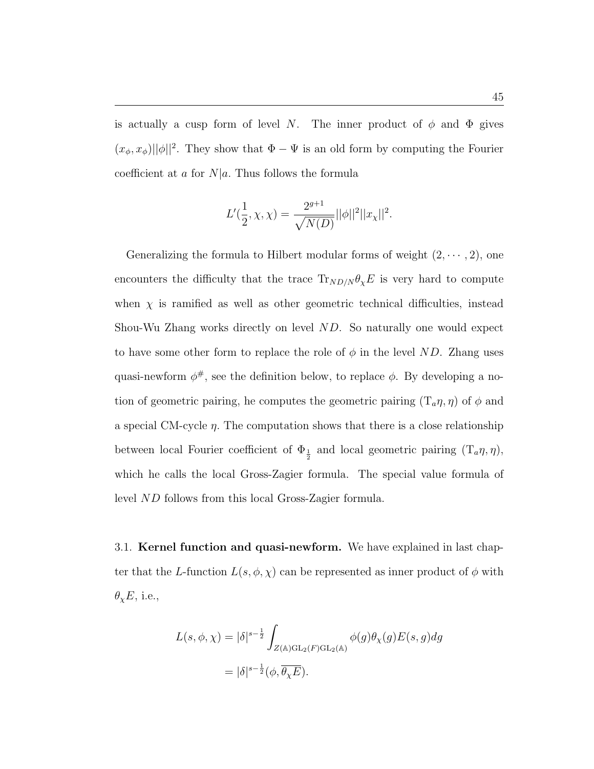is actually a cusp form of level N. The inner product of  $\phi$  and  $\Phi$  gives  $(x_{\phi}, x_{\phi}) ||\phi||^2$ . They show that  $\Phi - \Psi$  is an old form by computing the Fourier coefficient at a for  $N|a$ . Thus follows the formula

$$
L'(\frac{1}{2}, \chi, \chi) = \frac{2^{g+1}}{\sqrt{N(D)}} ||\phi||^2 ||x_{\chi}||^2.
$$

Generalizing the formula to Hilbert modular forms of weight  $(2, \dots, 2)$ , one encounters the difficulty that the trace  $\text{Tr}_{ND/N} \theta_{\chi} E$  is very hard to compute when  $\chi$  is ramified as well as other geometric technical difficulties, instead Shou-Wu Zhang works directly on level ND. So naturally one would expect to have some other form to replace the role of  $\phi$  in the level ND. Zhang uses quasi-newform  $\phi^{\#}$ , see the definition below, to replace  $\phi$ . By developing a notion of geometric pairing, he computes the geometric pairing  $(T_a \eta, \eta)$  of  $\phi$  and a special CM-cycle η. The computation shows that there is a close relationship between local Fourier coefficient of  $\Phi_{\frac{1}{2}}$  and local geometric pairing  $(T_a \eta, \eta)$ , which he calls the local Gross-Zagier formula. The special value formula of level ND follows from this local Gross-Zagier formula.

3.1. **Kernel function and quasi-newform.** We have explained in last chapter that the L-function  $L(s, \phi, \chi)$  can be represented as inner product of  $\phi$  with  $\theta_{\chi}E$ , i.e.,

$$
L(s, \phi, \chi) = |\delta|^{s - \frac{1}{2}} \int_{Z(\mathbb{A}) \mathrm{GL}_2(F) \mathrm{GL}_2(\mathbb{A})} \phi(g) \theta_{\chi}(g) E(s, g) dg
$$
  
=  $|\delta|^{s - \frac{1}{2}} (\phi, \overline{\theta_{\chi} E}).$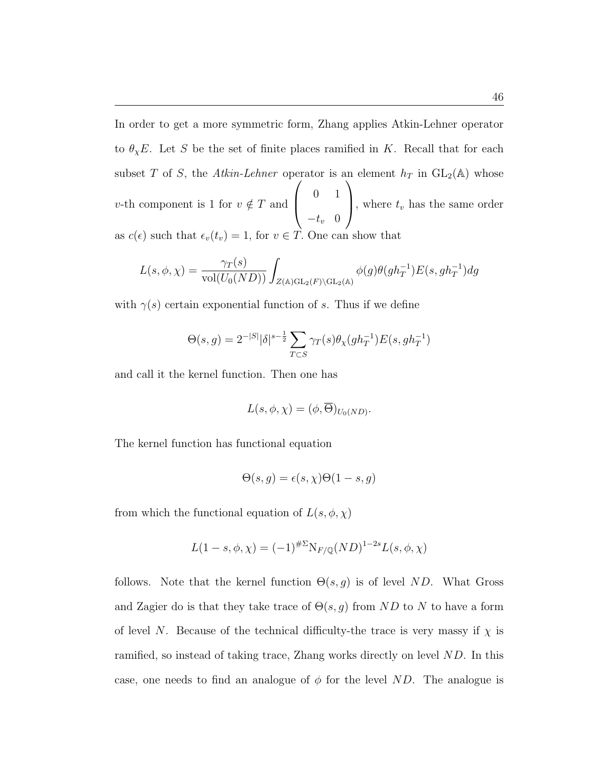In order to get a more symmetric form, Zhang applies Atkin-Lehner operator to  $\theta_{\chi}E$ . Let S be the set of finite places ramified in K. Recall that for each subset T of S, the Atkin-Lehner operator is an element  $h_T$  in  $GL_2(\mathbb{A})$  whose v-th component is 1 for  $v \notin T$  and  $\begin{bmatrix} 0 & 1 \\ 0 & 1 \end{bmatrix}$  $-t_v$  0 , where  $t_v$  has the same order as  $c(\epsilon)$  such that  $\epsilon_v(t_v) = 1$ , for  $v \in \overrightarrow{T}$ . One can show that

$$
L(s,\phi,\chi)=\frac{\gamma_T(s)}{\text{vol}(U_0(ND))}\int_{Z(\mathbb{A})\text{GL}_2(F)\backslash\text{GL}_2(\mathbb{A})}\phi(g)\theta(gh_T^{-1})E(s,gh_T^{-1})dg
$$

with  $\gamma(s)$  certain exponential function of s. Thus if we define

$$
\Theta(s,g) = 2^{-|S|} |\delta|^{s-\frac{1}{2}} \sum_{T \subset S} \gamma_T(s) \theta_\chi(gh_T^{-1}) E(s, gh_T^{-1})
$$

and call it the kernel function. Then one has

$$
L(s, \phi, \chi) = (\phi, \overline{\Theta})_{U_0(ND)}.
$$

The kernel function has functional equation

$$
\Theta(s,g) = \epsilon(s,\chi)\Theta(1-s,g)
$$

from which the functional equation of  $L(s, \phi, \chi)$ 

$$
L(1-s, \phi, \chi) = (-1)^{\# \Sigma} N_{F/\mathbb{Q}} (ND)^{1-2s} L(s, \phi, \chi)
$$

follows. Note that the kernel function  $\Theta(s,g)$  is of level ND. What Gross and Zagier do is that they take trace of  $\Theta(s,g)$  from ND to N to have a form of level N. Because of the technical difficulty-the trace is very massy if  $\chi$  is ramified, so instead of taking trace, Zhang works directly on level ND. In this case, one needs to find an analogue of  $\phi$  for the level ND. The analogue is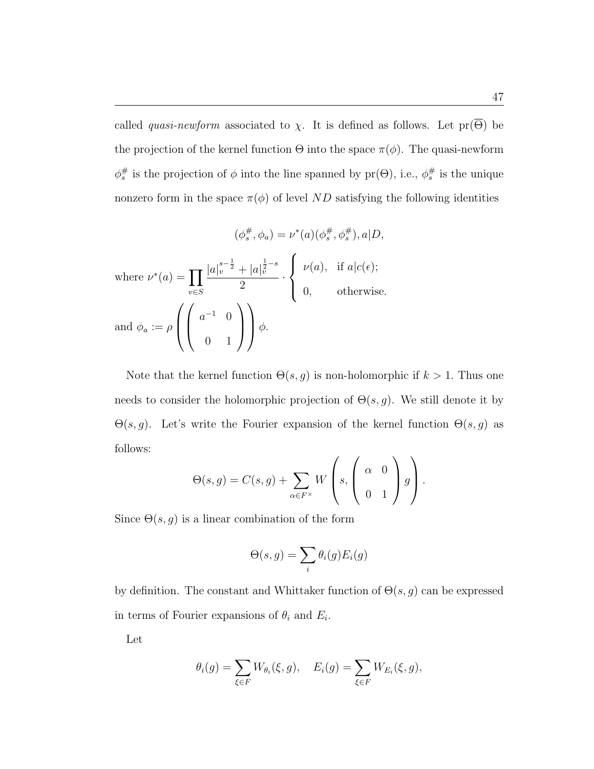called *quasi-newform* associated to  $\chi$ . It is defined as follows. Let pr( $\Theta$ ) be the projection of the kernel function  $\Theta$  into the space  $\pi(\phi)$ . The quasi-newform  $\phi_s^{\#}$  is the projection of  $\phi$  into the line spanned by  $pr(\Theta)$ , i.e.,  $\phi_s^{\#}$  is the unique nonzero form in the space  $\pi(\phi)$  of level ND satisfying the following identities

$$
(\phi_s^{\#}, \phi_a) = \nu^*(a)(\phi_s^{\#}, \phi_s^{\#}), a|D,
$$
  
where 
$$
\nu^*(a) = \prod_{v \in S} \frac{|a|_v^{s-\frac{1}{2}} + |a|_v^{\frac{1}{2}-s}}{2} \cdot \begin{cases} \nu(a), & \text{if } a|c(\epsilon); \\ 0, & \text{otherwise.} \end{cases}
$$
  
and 
$$
\phi_a := \rho \left( \begin{pmatrix} a^{-1} & 0 \\ 0 & 1 \end{pmatrix} \right) \phi.
$$

Note that the kernel function  $\Theta(s, g)$  is non-holomorphic if  $k > 1$ . Thus one needs to consider the holomorphic projection of  $\Theta(s, g)$ . We still denote it by Θ(s, g). Let's write the Fourier expansion of the kernel function Θ(s, g) as follows:  $\overline{\phantom{a}}$  $\overline{\phantom{a}}$  $\mathbf{r}$  $\mathbf{r}$ 

$$
\Theta(s,g) = C(s,g) + \sum_{\alpha \in F^\times} W\left(s, \left(\begin{array}{cc} \alpha & 0 \\ 0 & 1 \end{array}\right) g\right).
$$

Since  $\Theta(s, g)$  is a linear combination of the form

$$
\Theta(s,g) = \sum_{i} \theta_i(g) E_i(g)
$$

by definition. The constant and Whittaker function of  $\Theta(s, g)$  can be expressed in terms of Fourier expansions of  $\theta_i$  and  $E_i$ .

Let

$$
\theta_i(g) = \sum_{\xi \in F} W_{\theta_i}(\xi, g), \quad E_i(g) = \sum_{\xi \in F} W_{E_i}(\xi, g),
$$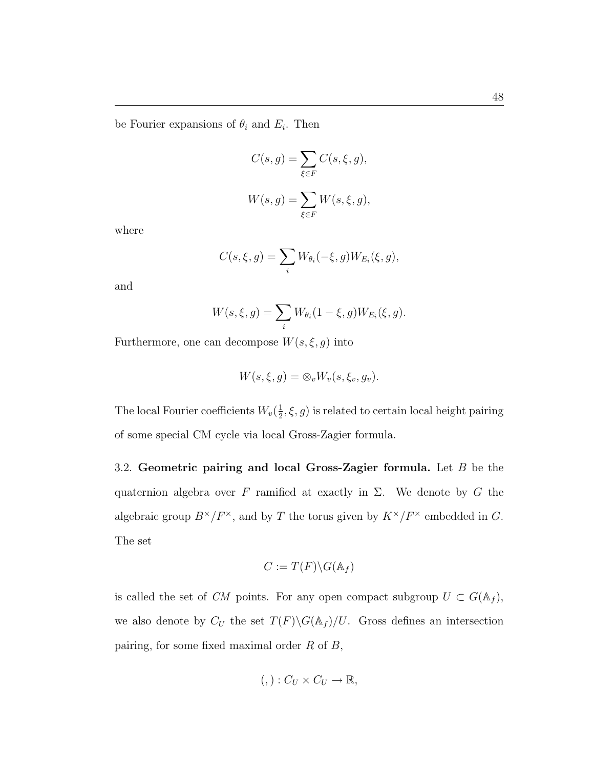be Fourier expansions of  $\theta_i$  and  $E_i$ . Then

$$
C(s,g) = \sum_{\xi \in F} C(s,\xi,g),
$$
  

$$
W(s,g) = \sum_{\xi \in F} W(s,\xi,g),
$$

where

$$
C(s,\xi,g)=\sum_i W_{\theta_i}(-\xi,g)W_{E_i}(\xi,g),
$$

and

$$
W(s, \xi, g) = \sum_{i} W_{\theta_i} (1 - \xi, g) W_{E_i}(\xi, g).
$$

Furthermore, one can decompose  $W(s,\xi,g)$  into

$$
W(s,\xi,g)=\otimes_v W_v(s,\xi_v,g_v).
$$

The local Fourier coefficients  $W_v(\frac{1}{2})$  $(\frac{1}{2}, \xi, g)$  is related to certain local height pairing of some special CM cycle via local Gross-Zagier formula.

3.2. Geometric pairing and local Gross-Zagier formula. Let  $B$  be the quaternion algebra over F ramified at exactly in  $\Sigma$ . We denote by G the algebraic group  $B^{\times}/F^{\times}$ , and by T the torus given by  $K^{\times}/F^{\times}$  embedded in G. The set

$$
C := T(F) \backslash G(\mathbb{A}_f)
$$

is called the set of CM points. For any open compact subgroup  $U \subset G(\mathbb{A}_f)$ , we also denote by  $C_U$  the set  $T(F)\backslash G(\mathbb{A}_f)/U$ . Gross defines an intersection pairing, for some fixed maximal order  $R$  of  $B$ ,

$$
(,): C_U \times C_U \to \mathbb{R},
$$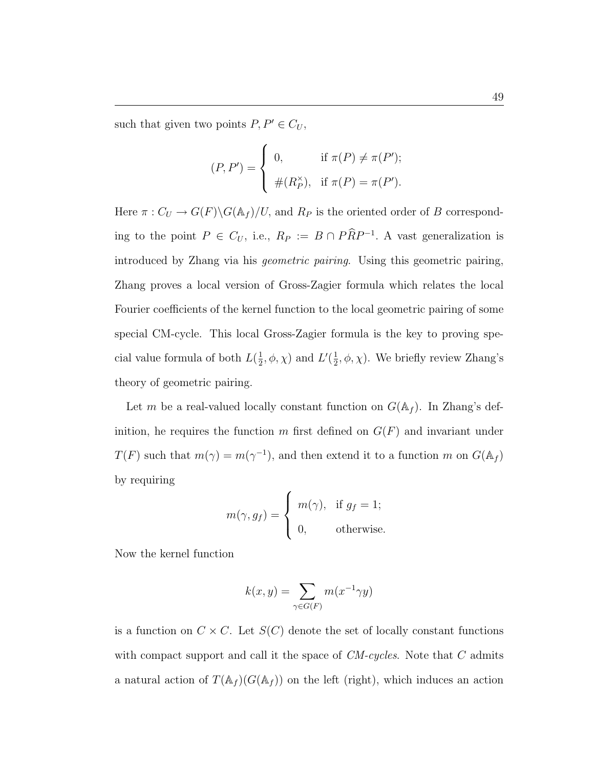such that given two points  $P, P' \in C_U,$ 

$$
(P, P') = \begin{cases} 0, & \text{if } \pi(P) \neq \pi(P'); \\ \#(R_P^{\times}), & \text{if } \pi(P) = \pi(P'). \end{cases}
$$

Here  $\pi: C_U \to G(F) \backslash G(\mathbb{A}_f)/U$ , and  $R_P$  is the oriented order of B corresponding to the point  $P \in C_U$ , i.e.,  $R_P := B \cap P \widehat{R} P^{-1}$ . A vast generalization is introduced by Zhang via his geometric pairing. Using this geometric pairing, Zhang proves a local version of Gross-Zagier formula which relates the local Fourier coefficients of the kernel function to the local geometric pairing of some special CM-cycle. This local Gross-Zagier formula is the key to proving special value formula of both  $L(\frac{1}{2})$  $\frac{1}{2}$ ,  $\phi$ ,  $\chi$ ) and  $L'(\frac{1}{2})$  $\frac{1}{2}, \phi, \chi$ ). We briefly review Zhang's theory of geometric pairing.

Let m be a real-valued locally constant function on  $G(\mathbb{A}_f)$ . In Zhang's definition, he requires the function m first defined on  $G(F)$  and invariant under  $T(F)$  such that  $m(\gamma) = m(\gamma^{-1})$ , and then extend it to a function m on  $G(\mathbb{A}_f)$ by requiring  $\overline{a}$ 

$$
m(\gamma, g_f) = \begin{cases} m(\gamma), & \text{if } g_f = 1; \\ 0, & \text{otherwise.} \end{cases}
$$

Now the kernel function

$$
k(x, y) = \sum_{\gamma \in G(F)} m(x^{-1} \gamma y)
$$

is a function on  $C \times C$ . Let  $S(C)$  denote the set of locally constant functions with compact support and call it the space of  $CM-cycles$ . Note that C admits a natural action of  $T(\mathbb{A}_f)(G(\mathbb{A}_f))$  on the left (right), which induces an action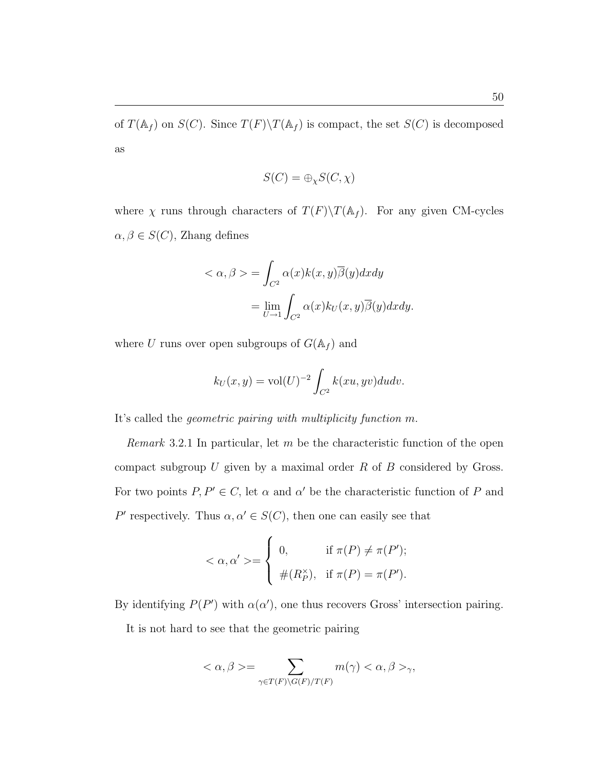of  $T(\mathbb{A}_f)$  on  $S(C)$ . Since  $T(F)\backslash T(\mathbb{A}_f)$  is compact, the set  $S(C)$  is decomposed as

$$
S(C) = \bigoplus_{\chi} S(C, \chi)
$$

where  $\chi$  runs through characters of  $T(F)\T(\mathbb{A}_f)$ . For any given CM-cycles  $\alpha,\beta\in S(C),$ Zhang defines

$$
\langle \alpha, \beta \rangle = \int_{C^2} \alpha(x) k(x, y) \overline{\beta}(y) dx dy
$$

$$
= \lim_{U \to 1} \int_{C^2} \alpha(x) k_U(x, y) \overline{\beta}(y) dx dy.
$$

where  $U$  runs over open subgroups of  $G(\mathbb{A}_f)$  and

$$
k_U(x, y) = \text{vol}(U)^{-2} \int_{C^2} k(xu, yv) du dv.
$$

It's called the geometric pairing with multiplicity function m.

*Remark* 3.2.1 In particular, let  $m$  be the characteristic function of the open compact subgroup  $U$  given by a maximal order  $R$  of  $B$  considered by Gross. For two points  $P, P' \in C$ , let  $\alpha$  and  $\alpha'$  be the characteristic function of P and P' respectively. Thus  $\alpha, \alpha' \in S(C)$ , then one can easily see that

$$
\langle \alpha, \alpha' \rangle = \begin{cases} 0, & \text{if } \pi(P) \neq \pi(P'); \\ \#(R_P^{\times}), & \text{if } \pi(P) = \pi(P'). \end{cases}
$$

By identifying  $P(P')$  with  $\alpha(\alpha')$ , one thus recovers Gross' intersection pairing.

It is not hard to see that the geometric pairing

$$
\langle \alpha, \beta \rangle = \sum_{\gamma \in T(F) \backslash G(F)/T(F)} m(\gamma) < \alpha, \beta > \gamma,
$$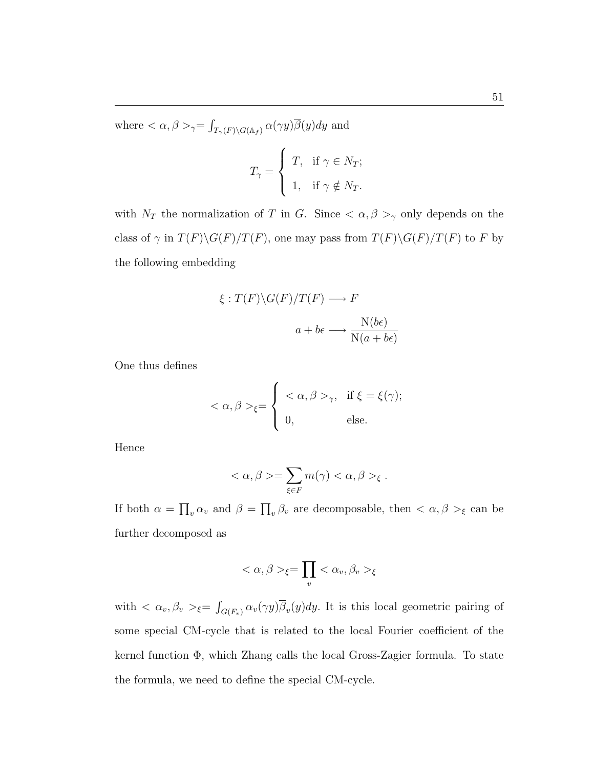where  $\langle \alpha, \beta \rangle_{\gamma} =$ R  $T_{\gamma(F) \setminus G(\mathbb{A}_f)} \alpha(\gamma y) \beta(y) dy$  and

$$
T_{\gamma} = \begin{cases} T, & \text{if } \gamma \in N_T; \\ 1, & \text{if } \gamma \notin N_T. \end{cases}
$$

with  $N_T$  the normalization of T in G. Since  $\langle \alpha, \beta \rangle$  only depends on the class of  $\gamma$  in  $T(F)\backslash G(F)/T(F)$ , one may pass from  $T(F)\backslash G(F)/T(F)$  to F by the following embedding

$$
\xi: T(F) \backslash G(F) / T(F) \longrightarrow F
$$
  

$$
a + b\epsilon \longrightarrow \frac{N(b\epsilon)}{N(a + b\epsilon)}
$$

One thus defines

$$
\langle \alpha, \beta \rangle_{\xi} = \begin{cases} \langle \alpha, \beta \rangle_{\gamma}, & \text{if } \xi = \xi(\gamma); \\ 0, & \text{else.} \end{cases}
$$

Hence

$$
\langle \alpha, \beta \rangle = \sum_{\xi \in F} m(\gamma) \langle \alpha, \beta \rangle_{\xi} .
$$

If both  $\alpha =$  $\overline{a}$  $_v \alpha_v$  and  $\beta =$  $\overline{a}$  $v_y$ ,  $\beta_v$  are decomposable, then  $\langle \alpha, \beta \rangle_{\xi}$  can be further decomposed as

$$
\langle \alpha, \beta \rangle_{\xi} = \prod_{v} \langle \alpha_v, \beta_v \rangle_{\xi}
$$

with  $\langle \alpha_v, \beta_v \rangle_{\xi} =$ R  $\int_{G(F_v)} \alpha_v(\gamma y) \beta_v(y) dy$ . It is this local geometric pairing of some special CM-cycle that is related to the local Fourier coefficient of the kernel function Φ, which Zhang calls the local Gross-Zagier formula. To state the formula, we need to define the special CM-cycle.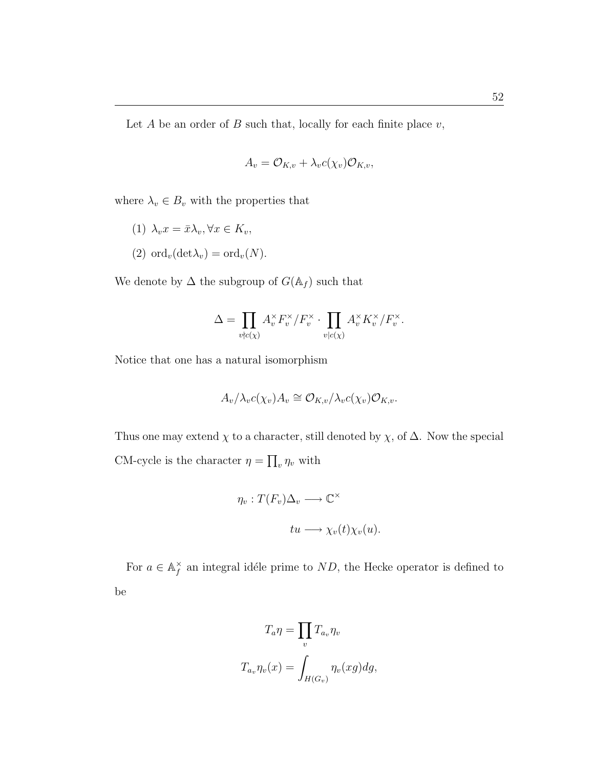52

Let  $A$  be an order of  $B$  such that, locally for each finite place  $v$ ,

$$
A_v = \mathcal{O}_{K,v} + \lambda_v c(\chi_v) \mathcal{O}_{K,v},
$$

where  $\lambda_v \in B_v$  with the properties that

(1) 
$$
\lambda_v x = \bar{x} \lambda_v, \forall x \in K_v
$$
,

(2) 
$$
\mathrm{ord}_v(\mathrm{det}\lambda_v) = \mathrm{ord}_v(N)
$$
.

We denote by  $\Delta$  the subgroup of  $G(\mathbb{A}_f)$  such that

$$
\Delta = \prod_{v \nmid c(\chi)} A_v^\times F_v^\times / F_v^\times \cdot \prod_{v \mid c(\chi)} A_v^\times K_v^\times / F_v^\times.
$$

Notice that one has a natural isomorphism

$$
A_v/\lambda_v c(\chi_v) A_v \cong \mathcal{O}_{K,v}/\lambda_v c(\chi_v) \mathcal{O}_{K,v}.
$$

Thus one may extend  $\chi$  to a character, still denoted by  $\chi$ , of  $\Delta$ . Now the special CM-cycle is the character  $\eta =$  $\overline{a}$  $v \eta_v$  with

$$
\eta_v: T(F_v)\Delta_v \longrightarrow \mathbb{C}^\times
$$
  

$$
tu \longrightarrow \chi_v(t)\chi_v(u).
$$

For  $a \in \mathbb{A}_f^{\times}$  $f \nightharpoonup f$  an integral idéle prime to ND, the Hecke operator is defined to be

$$
T_a \eta = \prod_v T_{a_v} \eta_v
$$

$$
T_{a_v} \eta_v(x) = \int_{H(G_v)} \eta_v(xg) dg,
$$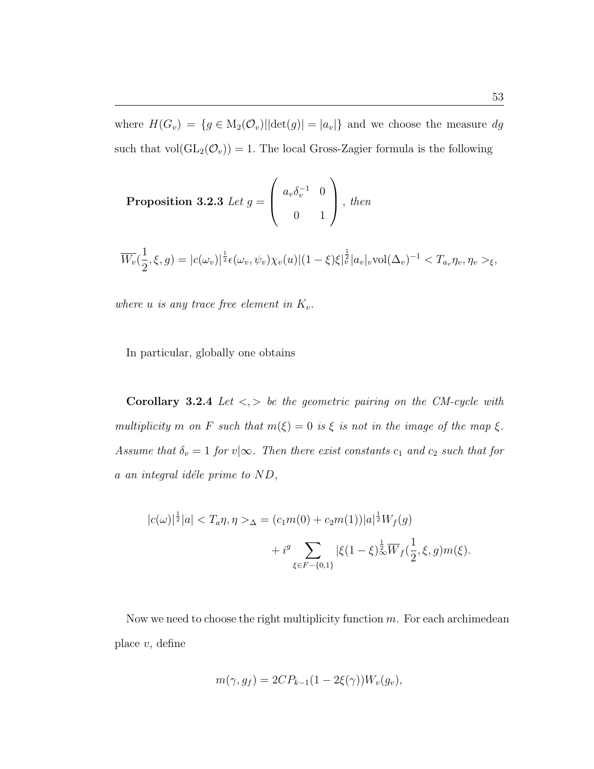where  $H(G_v) = \{g \in M_2(\mathcal{O}_v) | |\det(g)| = |a_v|\}$  and we choose the measure dg such that  $vol(GL_2(\mathcal{O}_v)) = 1$ . The local Gross-Zagier formula is the following

**Proposition 3.2.3** Let 
$$
g = \begin{pmatrix} a_v \delta_v^{-1} & 0 \\ 0 & 1 \end{pmatrix}
$$
, then

$$
\overline{W_v}(\frac{1}{2},\xi,g) = |c(\omega_v)|^{\frac{1}{2}} \epsilon(\omega_v,\psi_v)\chi_v(u) |(1-\xi)\xi|^{\frac{1}{2}} |a_v|_v \text{vol}(\Delta_v)^{-1} \langle T_{a_v}\eta_v, \eta_v \rangle_{\xi},
$$

where u is any trace free element in  $K_v$ .

In particular, globally one obtains

Corollary 3.2.4 Let  $\langle \cdot, \cdot \rangle$  be the geometric pairing on the CM-cycle with multiplicity m on F such that  $m(\xi) = 0$  is  $\xi$  is not in the image of the map  $\xi$ . Assume that  $\delta_v = 1$  for  $v | \infty$ . Then there exist constants  $c_1$  and  $c_2$  such that for  $a$  an integral idéle prime to  $ND$ ,

$$
|c(\omega)|^{\frac{1}{2}}|a| < T_a \eta, \eta > \Delta = (c_1 m(0) + c_2 m(1))|a|^{\frac{1}{2}} W_f(g) \\
+ i^g \sum_{\xi \in F - \{0, 1\}} |\xi(1 - \xi)|_{\infty}^{\frac{1}{2}} \overline{W}_f(\frac{1}{2}, \xi, g) m(\xi).
$$

Now we need to choose the right multiplicity function  $m$ . For each archimedean place  $v$ , define

$$
m(\gamma, g_f) = 2CP_{k-1}(1 - 2\xi(\gamma))W_v(g_v),
$$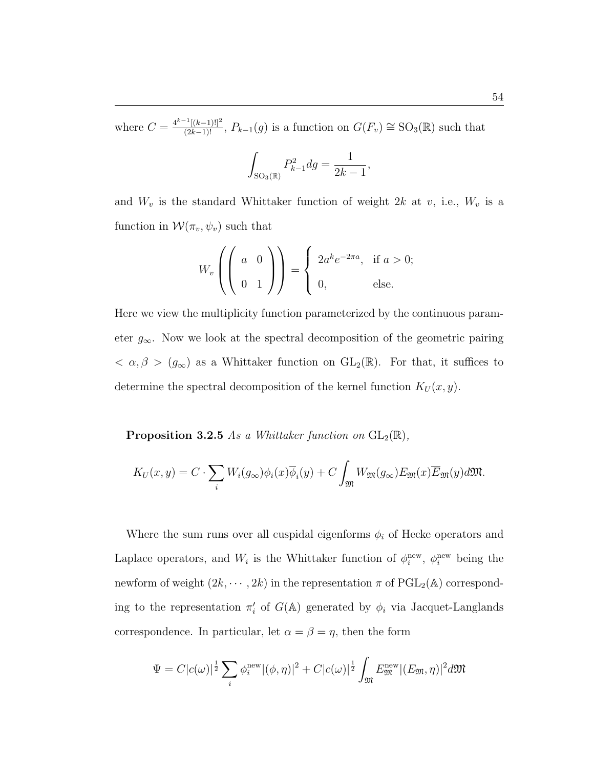where  $C = \frac{4^{k-1}[(k-1)!]^2}{(2k-1)!}$ ,  $P_{k-1}(g)$  is a function on  $G(F_v) \cong SO_3(\mathbb{R})$  such that

$$
\int_{\text{SO}_3(\mathbb{R})} P_{k-1}^2 dg = \frac{1}{2k-1},
$$

and  $W_v$  is the standard Whittaker function of weight 2k at v, i.e.,  $W_v$  is a function in  $\mathcal{W}(\pi_v,\psi_v)$  such that

$$
W_v \left( \left( \begin{array}{cc} a & 0 \\ 0 & 1 \end{array} \right) \right) = \left\{ \begin{array}{ll} 2a^k e^{-2\pi a}, & \text{if } a > 0; \\ 0, & \text{else.} \end{array} \right.
$$

Here we view the multiplicity function parameterized by the continuous parameter  $g_{\infty}$ . Now we look at the spectral decomposition of the geometric pairing  $< \alpha, \beta > (g_{\infty})$  as a Whittaker function on  $GL_2(\mathbb{R})$ . For that, it suffices to determine the spectral decomposition of the kernel function  $K_U(x, y)$ .

**Proposition 3.2.5** As a Whittaker function on  $GL_2(\mathbb{R})$ ,

$$
K_U(x,y) = C \cdot \sum_i W_i(g_{\infty}) \phi_i(x) \overline{\phi}_i(y) + C \int_{\mathfrak{M}} W_{\mathfrak{M}}(g_{\infty}) E_{\mathfrak{M}}(x) \overline{E}_{\mathfrak{M}}(y) d\mathfrak{M}.
$$

Where the sum runs over all cuspidal eigenforms  $\phi_i$  of Hecke operators and Laplace operators, and  $W_i$  is the Whittaker function of  $\phi_i^{\text{new}}, \phi_i^{\text{new}}$  being the newform of weight  $(2k, \dots, 2k)$  in the representation  $\pi$  of  $\mathrm{PGL}_2(\mathbb{A})$  corresponding to the representation  $\pi'_i$  of  $G(\mathbb{A})$  generated by  $\phi_i$  via Jacquet-Langlands correspondence. In particular, let  $\alpha = \beta = \eta$ , then the form

$$
\Psi = C|c(\omega)|^{\frac{1}{2}}\sum_{i}\phi_{i}^{\text{new}}|(\phi,\eta)|^{2} + C|c(\omega)|^{\frac{1}{2}}\int_{\mathfrak{M}}E_{\mathfrak{M}}^{\text{new}}|(E_{\mathfrak{M}},\eta)|^{2}d\mathfrak{M}
$$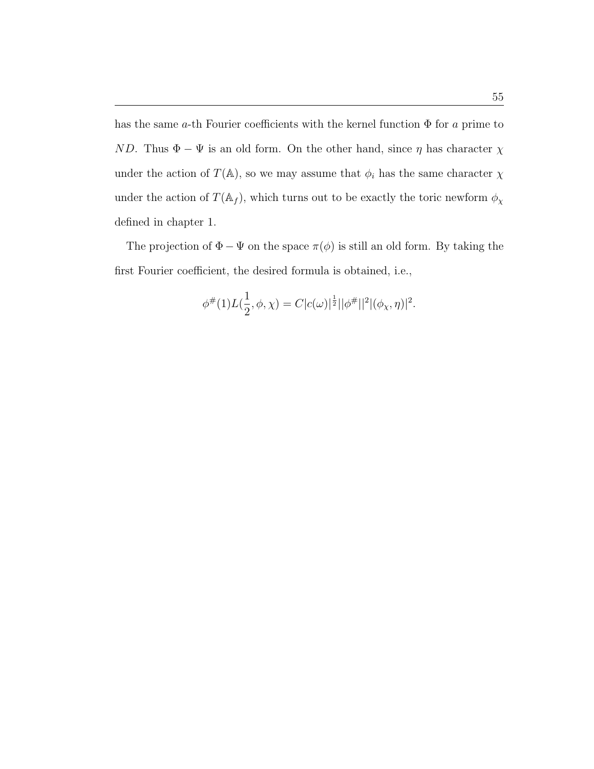has the same a-th Fourier coefficients with the kernel function  $\Phi$  for a prime to ND. Thus  $\Phi - \Psi$  is an old form. On the other hand, since  $\eta$  has character  $\chi$ under the action of  $T(\mathbb{A})$ , so we may assume that  $\phi_i$  has the same character  $\chi$ under the action of  $T(\mathbb{A}_f)$ , which turns out to be exactly the toric newform  $\phi_\chi$ defined in chapter 1.

The projection of  $\Phi - \Psi$  on the space  $\pi(\phi)$  is still an old form. By taking the first Fourier coefficient, the desired formula is obtained, i.e.,

$$
\phi^{\#}(1)L(\frac{1}{2},\phi,\chi)=C|c(\omega)|^{\frac{1}{2}}||\phi^{\#}||^2|(\phi_{\chi},\eta)|^2.
$$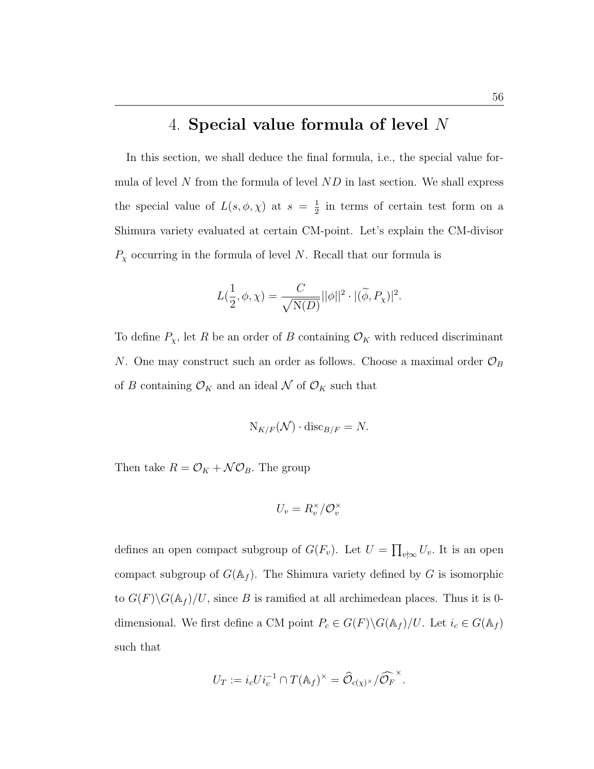## 4. Special value formula of level N

In this section, we shall deduce the final formula, i.e., the special value formula of level N from the formula of level  $ND$  in last section. We shall express the special value of  $L(s, \phi, \chi)$  at  $s = \frac{1}{2}$  $\frac{1}{2}$  in terms of certain test form on a Shimura variety evaluated at certain CM-point. Let's explain the CM-divisor  $P_{\chi}$  occurring in the formula of level N. Recall that our formula is

$$
L(\frac{1}{2}, \phi, \chi) = \frac{C}{\sqrt{\mathrm{N}(D)}} ||\phi||^2 \cdot |(\widetilde{\phi}, P_{\chi})|^2.
$$

To define  $P_{\chi}$ , let R be an order of B containing  $\mathcal{O}_K$  with reduced discriminant N. One may construct such an order as follows. Choose a maximal order  $\mathcal{O}_B$ of B containing  $\mathcal{O}_K$  and an ideal N of  $\mathcal{O}_K$  such that

$$
N_{K/F}(\mathcal{N}) \cdot \operatorname{disc}_{B/F} = N.
$$

Then take  $R = \mathcal{O}_K + \mathcal{NO}_B$ . The group

$$
U_v = R_v^\times/\mathcal{O}_v^\times
$$

defines an open compact subgroup of  $G(F_v)$ . Let  $U =$  $\overline{a}$  $_{v\nmid\infty}$   $U_v$ . It is an open compact subgroup of  $G(\mathbb{A}_f)$ . The Shimura variety defined by G is isomorphic to  $G(F)\backslash G(\mathbb{A}_f)/U$ , since B is ramified at all archimedean places. Thus it is 0dimensional. We first define a CM point  $P_c \in G(F) \backslash G(\mathbb{A}_f)/U$ . Let  $i_c \in G(\mathbb{A}_f)$ such that

$$
U_T := i_c U i_c^{-1} \cap T(\mathbb{A}_f)^\times = \widehat{\mathcal{O}}_{c(\chi)^\times}/\widehat{\mathcal{O}_F}^\times.
$$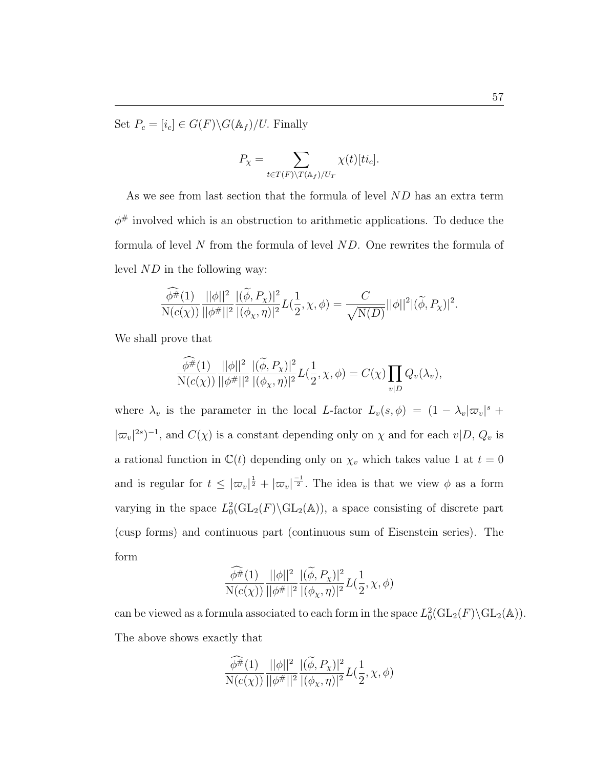Set  $P_c = [i_c] \in G(F) \backslash G(\mathbb{A}_f) / U$ . Finally

$$
P_{\chi} = \sum_{t \in T(F) \backslash T(\mathbb{A}_f)/U_T} \chi(t)[ti_c].
$$

As we see from last section that the formula of level ND has an extra term  $\phi^{\#}$  involved which is an obstruction to arithmetic applications. To deduce the formula of level N from the formula of level ND. One rewrites the formula of level ND in the following way:

$$
\frac{\widehat{\phi^{\#}}(1)}{N(c(\chi))}\frac{||\phi||^2}{||\phi^{\#}||^2}\frac{|\langle \widetilde{\phi},P_{\chi}\rangle|^2}{|(\phi_{\chi},\eta)|^2}L(\frac{1}{2},\chi,\phi)=\frac{C}{\sqrt{N(D)}}||\phi||^2|(\widetilde{\phi},P_{\chi})|^2.
$$

We shall prove that

$$
\frac{\widehat{\phi^{\#}}(1)}{N(c(\chi))}\frac{||\phi||^2}{||\phi^{\#}||^2}\frac{|\widetilde{\phi},P_\chi)|^2}{|(\phi_\chi,\eta)|^2}L(\frac{1}{2},\chi,\phi)=C(\chi)\prod_{v|D}Q_v(\lambda_v),
$$

where  $\lambda_v$  is the parameter in the local L-factor  $L_v(s, \phi) = (1 - \lambda_v |\varpi_v|^s +$  $|\varpi_v|^{2s})^{-1}$ , and  $C(\chi)$  is a constant depending only on  $\chi$  and for each  $v|D, Q_v$  is a rational function in  $\mathbb{C}(t)$  depending only on  $\chi_v$  which takes value 1 at  $t = 0$ and is regular for  $t \leq |\varpi_v|^{\frac{1}{2}} + |\varpi_v|^{\frac{-1}{2}}$ . The idea is that we view  $\phi$  as a form varying in the space  $L_0^2(\text{GL}_2(F)\backslash \text{GL}_2(\mathbb{A}))$ , a space consisting of discrete part (cusp forms) and continuous part (continuous sum of Eisenstein series). The form

$$
\frac{\widehat{\phi^{\#}}(1)}{\mathrm{N}(c(\chi))}\frac{||\phi||^2}{||\phi^{\#}||^2}\frac{|(\widetilde{\phi},P_{\chi})|^2}{|(\phi_{\chi},\eta)|^2}L(\frac{1}{2},\chi,\phi)
$$

can be viewed as a formula associated to each form in the space  $L_0^2(\text{GL}_2(F) \backslash \text{GL}_2(\mathbb{A}))$ . The above shows exactly that

$$
\frac{\widehat{\phi^{\#}}(1)}{\mathrm{N}(c(\chi))}\frac{||\phi||^2}{||\phi^{\#}||^2}\frac{|\widetilde{(\phi},P_{\chi})|^2}{|(\phi_{\chi},\eta)|^2}L(\frac{1}{2},\chi,\phi)
$$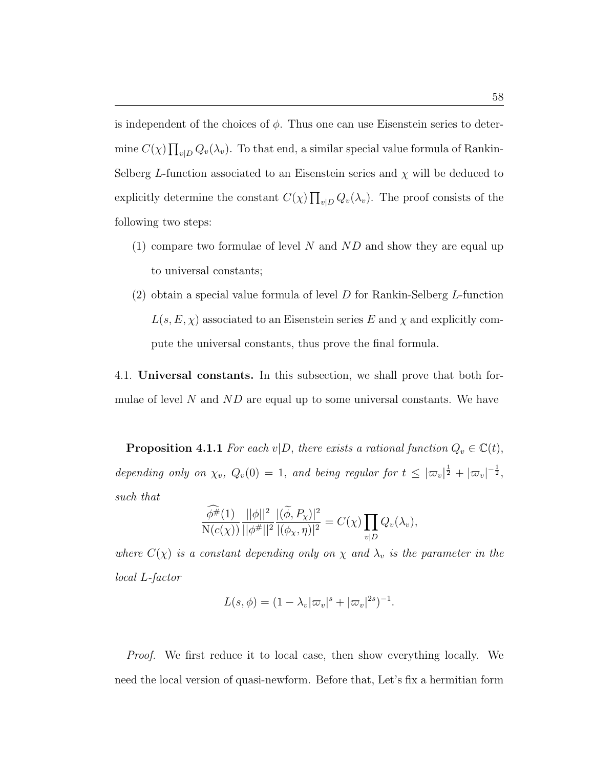is independent of the choices of  $\phi$ . Thus one can use Eisenstein series to determine  $C(\chi)$  $\overline{a}$  $v_{|D} Q_v(\lambda_v)$ . To that end, a similar special value formula of Rankin-Selberg L-function associated to an Eisenstein series and  $\chi$  will be deduced to explicitly determine the constant  $C(\chi)$  $\overline{a}$  $_{v|D} Q_v(\lambda_v)$ . The proof consists of the following two steps:

- (1) compare two formulae of level N and  $ND$  and show they are equal up to universal constants;
- $(2)$  obtain a special value formula of level D for Rankin-Selberg L-function  $L(s, E, \chi)$  associated to an Eisenstein series E and  $\chi$  and explicitly compute the universal constants, thus prove the final formula.

4.1. Universal constants. In this subsection, we shall prove that both formulae of level  $N$  and  $ND$  are equal up to some universal constants. We have

**Proposition 4.1.1** For each v|D, there exists a rational function  $Q_v \in \mathbb{C}(t)$ , depending only on  $\chi_v$ ,  $Q_v(0) = 1$ , and being regular for  $t \leq |\varpi_v|^{\frac{1}{2}} + |\varpi_v|^{-\frac{1}{2}}$ , such that

$$
\frac{\widehat{\phi^{\#}}(1)}{\mathrm{N}(c(\chi))}\frac{||\phi||^2}{||\phi^{\#}||^2}\frac{|\widetilde{\phi},P_\chi)|^2}{|(\phi_\chi,\eta)|^2}=C(\chi)\prod_{v|D}Q_v(\lambda_v),
$$

where  $C(\chi)$  is a constant depending only on  $\chi$  and  $\lambda_v$  is the parameter in the local L-factor

$$
L(s, \phi) = (1 - \lambda_v |\varpi_v|^s + |\varpi_v|^{2s})^{-1}.
$$

Proof. We first reduce it to local case, then show everything locally. We need the local version of quasi-newform. Before that, Let's fix a hermitian form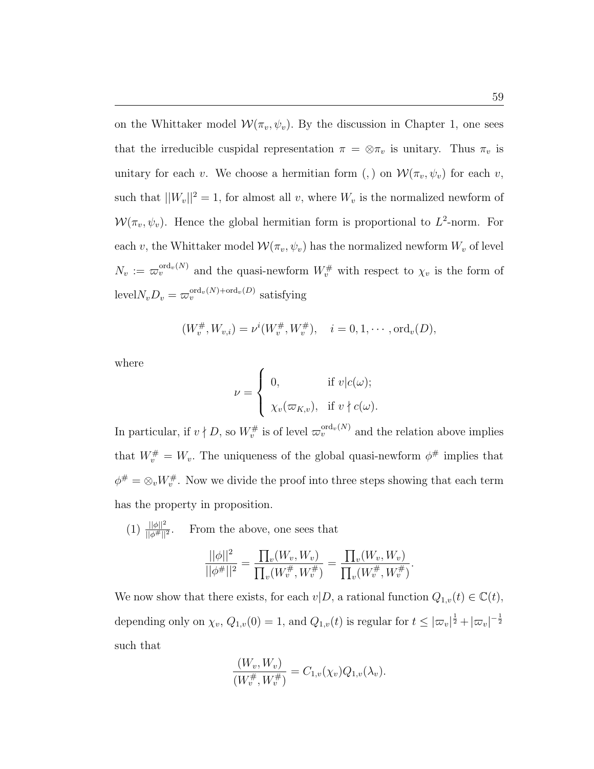on the Whittaker model  $W(\pi_v, \psi_v)$ . By the discussion in Chapter 1, one sees that the irreducible cuspidal representation  $\pi = \otimes \pi_v$  is unitary. Thus  $\pi_v$  is unitary for each v. We choose a hermitian form (,) on  $\mathcal{W}(\pi_v, \psi_v)$  for each v, such that  $||W_v||^2 = 1$ , for almost all v, where  $W_v$  is the normalized newform of  $W(\pi_v, \psi_v)$ . Hence the global hermitian form is proportional to  $L^2$ -norm. For each v, the Whittaker model  $\mathcal{W}(\pi_v, \psi_v)$  has the normalized newform  $W_v$  of level  $N_v := \varpi_v^{\text{ord}_v(N)}$  and the quasi-newform  $W_v^{\#}$  with respect to  $\chi_v$  is the form of  $\text{level} N_v D_v = \varpi_v^{\text{ord}_v(N) + \text{ord}_v(D)}$  satisfying

$$
(W_v^{\#}, W_{v,i}) = \nu^{i}(W_v^{\#}, W_v^{\#}), \quad i = 0, 1, \cdots, \text{ord}_v(D),
$$

where

$$
\nu = \begin{cases} 0, & \text{if } v | c(\omega); \\ \chi_v(\varpi_{K,v}), & \text{if } v \nmid c(\omega). \end{cases}
$$

 $\overline{ }$ 

In particular, if  $v \nmid D$ , so  $W_v^{\#}$  is of level  $\varpi_v^{\text{ord}_v(N)}$  and the relation above implies that  $W_v^{\#} = W_v$ . The uniqueness of the global quasi-newform  $\phi^{\#}$  implies that  $\phi^{\#} = \otimes_{v} W_{v}^{\#}$ . Now we divide the proof into three steps showing that each term has the property in proposition.

 $(1)$   $\frac{||\phi||^2}{||\phi^{\#}||^2}$ . From the above, one sees that

$$
\frac{||\phi||^2}{||\phi^{\#}||^2} = \frac{\prod_v(W_v, W_v)}{\prod_v(W_v^{\#}, W_v^{\#})} = \frac{\prod_v(W_v, W_v)}{\prod_v(W_v^{\#}, W_v^{\#})}.
$$

We now show that there exists, for each  $v|D$ , a rational function  $Q_{1,v}(t) \in \mathbb{C}(t)$ , depending only on  $\chi_v$ ,  $Q_{1,v}(0) = 1$ , and  $Q_{1,v}(t)$  is regular for  $t \leq |\varpi_v|^{\frac{1}{2}} + |\varpi_v|^{-\frac{1}{2}}$ such that

$$
\frac{(W_v, W_v)}{(W_v^{\#}, W_v^{\#})} = C_{1,v}(\chi_v) Q_{1,v}(\lambda_v).
$$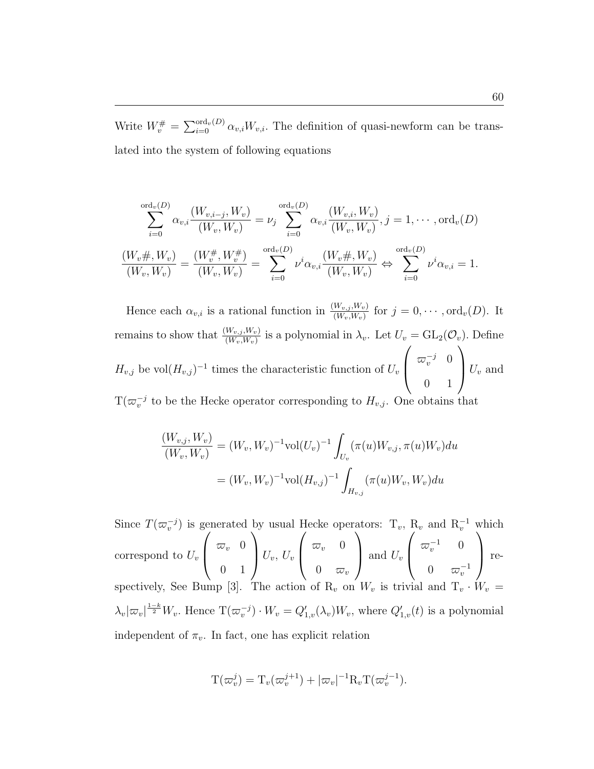Write  $W_v^{\#} =$  $\bigwedge^{\mathrm{ord}_v(D)}$  $\int_{i=0}^{\text{ord}_v(D)} \alpha_{v,i} W_{v,i}$ . The definition of quasi-newform can be translated into the system of following equations

$$
\sum_{i=0}^{\text{ord}_v(D)} \alpha_{v,i} \frac{(W_{v,i-j}, W_v)}{(W_v, W_v)} = \nu_j \sum_{i=0}^{\text{ord}_v(D)} \alpha_{v,i} \frac{(W_{v,i}, W_v)}{(W_v, W_v)}, j = 1, \cdots, \text{ord}_v(D)
$$

$$
\frac{(W_v \# , W_v)}{(W_v, W_v)} = \frac{(W_v^{\#}, W_v^{\#})}{(W_v, W_v)} = \sum_{i=0}^{\text{ord}_v(D)} \nu^i \alpha_{v,i} \frac{(W_v \# , W_v)}{(W_v, W_v)} \Leftrightarrow \sum_{i=0}^{\text{ord}_v(D)} \nu^i \alpha_{v,i} = 1.
$$

Hence each  $\alpha_{v,i}$  is a rational function in  $\frac{(W_{v,j}, W_v)}{(W_v, W_v)}$  for  $j = 0, \cdots, \text{ord}_v(D)$ . It remains to show that  $\frac{(W_{v,j}, W_v)}{(W_v, W_v)}$  is a polynomial in  $\lambda_v$ . Let  $U_v = GL_2(\mathcal{O}_v)$ . Define  $H_{v,j}$  be vol $(H_{v,j})^{-1}$  times the characteristic function of  $U_v\left\lceil \begin{array}{cc} \varpi_v^{-j} & 0 \end{array} \right\rceil$ 0 1  $U_v$  and  $T(\varpi_v^{-j}$  to be the Hecke operator corresponding to  $H_{v,j}$ . One obtains that

$$
\frac{(W_{v,j}, W_v)}{(W_v, W_v)} = (W_v, W_v)^{-1} \text{vol}(U_v)^{-1} \int_{U_v} (\pi(u)W_{v,j}, \pi(u)W_v) du
$$

$$
= (W_v, W_v)^{-1} \text{vol}(H_{v,j})^{-1} \int_{H_{v,j}} (\pi(u)W_v, W_v) du
$$

Since  $T(\varpi_{v}^{-j})$  is generated by usual Hecke operators:  $T_{v}$ ,  $R_{v}$  and  $R_{v}^{-1}$  which correspond to  $U_v$ 3e:  $\Big| \begin{array}{cc} \varpi_v & 0 \end{array}$ 0 1  $\frac{5}{2}$  $\big| U_v, U_v$ H,  $\Big\downarrow \begin{array}{cc} \varpi_v & 0 \end{array}$  $0 \quad \varpi_v$ at<br>` and  $U_v$  $\frac{1}{2}$  $\begin{pmatrix} \varpi_v^{-1} & 0 \end{pmatrix}$ 0  $\varpi_v^{-1}$ wr<br>、 respectively, See Bump [3]. The action of  $R_v$  on  $W_v$  is trivial and  $T_v \cdot W_v =$  $\lambda_v|\varpi_v|^{\frac{1-k}{2}}W_v$ . Hence  $\mathrm{T}(\varpi_v^{-j})\cdot W_v=Q_{1,v}'(\lambda_v)W_v$ , where  $Q_{1,v}'(t)$  is a polynomial independent of  $\pi_v$ . In fact, one has explicit relation

$$
\mathcal{T}(\varpi_v^j) = \mathcal{T}_v(\varpi_v^{j+1}) + |\varpi_v|^{-1} \mathcal{R}_v \mathcal{T}(\varpi_v^{j-1}).
$$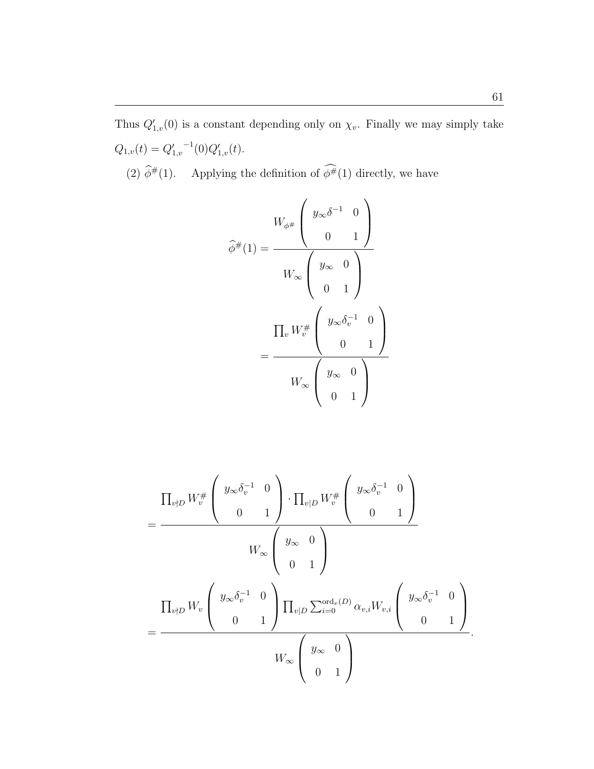Thus  $Q'_{1,v}(0)$  is a constant depending only on  $\chi_v$ . Finally we may simply take  $Q_{1,v}(t) = Q'_{1,v}$  $^{-1}(0)Q'_{1,v}(t).$ 

(2)  $\widehat{\phi}^{\#}(1)$ . Applying the definition of  $\widehat{\phi}^{\#}(1)$  directly, we have

$$
\hat{\phi}^{\#}(1) = \frac{W_{\phi^{\#}} \begin{pmatrix} y_{\infty} \delta^{-1} & 0 \\ 0 & 1 \end{pmatrix}}{W_{\infty} \begin{pmatrix} y_{\infty} & 0 \\ 0 & 1 \end{pmatrix}} \\
= \frac{\prod_{v} W_{v}^{\#} \begin{pmatrix} y_{\infty} \delta_{v}^{-1} & 0 \\ 0 & 1 \end{pmatrix}}{W_{\infty} \begin{pmatrix} y_{\infty} & 0 \\ 0 & 1 \end{pmatrix}}
$$

$$
= \frac{\prod_{v \nmid D} W_v^{\#} \left( \begin{array}{c} y_{\infty} \delta_v^{-1} & 0 \\ 0 & 1 \end{array} \right) \cdot \prod_{v \mid D} W_v^{\#} \left( \begin{array}{c} y_{\infty} \delta_v^{-1} & 0 \\ 0 & 1 \end{array} \right)}{W_{\infty} \left( \begin{array}{c} y_{\infty} & 0 \\ 0 & 1 \end{array} \right)}
$$
\n
$$
= \frac{\prod_{v \nmid D} W_v \left( \begin{array}{c} y_{\infty} \delta_v^{-1} & 0 \\ 0 & 1 \end{array} \right) \prod_{v \mid D} \sum_{i=0}^{\text{ord}_v(D)} \alpha_{v,i} W_{v,i} \left( \begin{array}{c} y_{\infty} \delta_v^{-1} & 0 \\ 0 & 1 \end{array} \right)}{W_{\infty} \left( \begin{array}{c} y_{\infty} & 0 \\ 0 & 1 \end{array} \right)}.
$$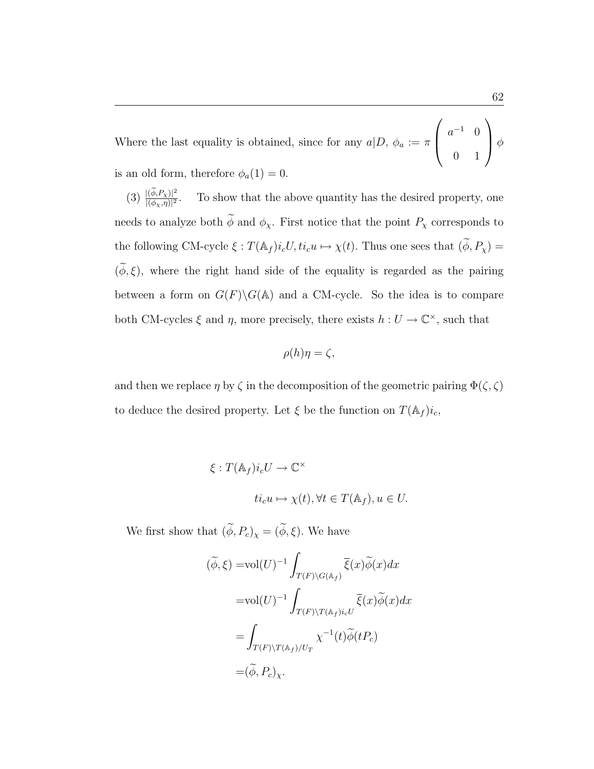Where the last equality is obtained, since for any  $a|D, \phi_a := \pi$  $\overline{\phantom{a}}$  $\begin{pmatrix} a^{-1} & 0 \\ 0 & 0 \\ 0 & 0 \end{pmatrix}$ 0 1  $\mathbf{r}$  $\vert \phi$ is an old form, therefore  $\phi_a(1) = 0$ .

 $(3) \frac{|(\widetilde{\phi},P_\chi)|^2}{|(d-p)|^2}$  $|(\phi_X,\eta)|^2$ . To show that the above quantity has the desired property, one needs to analyze both  $\widetilde{\phi}$  and  $\phi_\chi.$  First notice that the point  $P_\chi$  corresponds to the following CM-cycle  $\xi : T(\mathbb{A}_f)i_cU, ti_cu \mapsto \chi(t)$ . Thus one sees that  $(\widetilde{\phi}, P_\chi) =$  $(\phi, \xi)$ , where the right hand side of the equality is regarded as the pairing between a form on  $G(F)\backslash G(A)$  and a CM-cycle. So the idea is to compare both CM-cycles  $\xi$  and  $\eta$ , more precisely, there exists  $h: U \to \mathbb{C}^{\times}$ , such that

$$
\rho(h)\eta = \zeta,
$$

and then we replace  $\eta$  by  $\zeta$  in the decomposition of the geometric pairing  $\Phi(\zeta,\zeta)$ to deduce the desired property. Let  $\xi$  be the function on  $T(\mathbb{A}_f)i_c$ ,

$$
\xi: T(\mathbb{A}_f)i_c U \to \mathbb{C}^\times
$$
  

$$
t i_c u \mapsto \chi(t), \forall t \in T(\mathbb{A}_f), u \in U.
$$

We first show that  $(\widetilde{\phi}, P_c)_\chi = (\widetilde{\phi}, \xi).$  We have

$$
(\tilde{\phi}, \xi) = \text{vol}(U)^{-1} \int_{T(F)\backslash G(\mathbb{A}_f)} \overline{\xi}(x) \tilde{\phi}(x) dx
$$
  

$$
= \text{vol}(U)^{-1} \int_{T(F)\backslash T(\mathbb{A}_f)i_cU} \overline{\xi}(x) \tilde{\phi}(x) dx
$$
  

$$
= \int_{T(F)\backslash T(\mathbb{A}_f)/U_T} \chi^{-1}(t) \tilde{\phi}(tP_c)
$$
  

$$
= (\tilde{\phi}, P_c)_{\chi}.
$$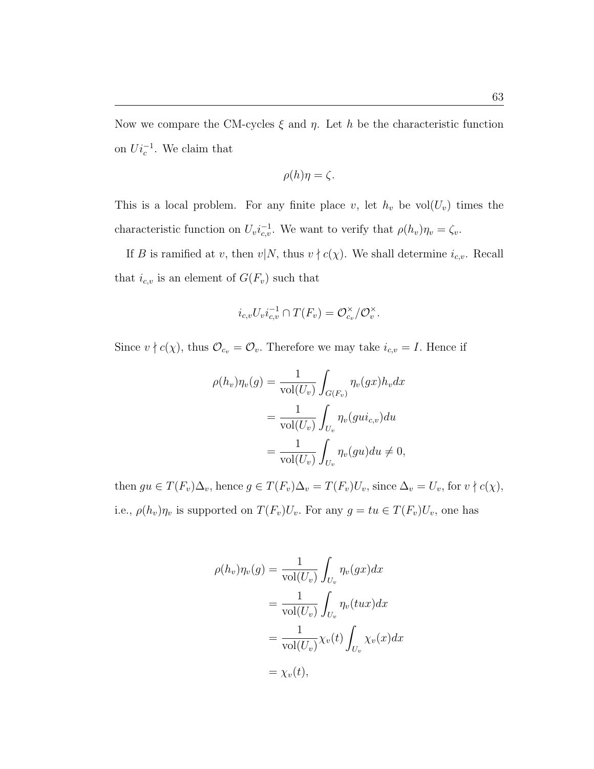Now we compare the CM-cycles  $\xi$  and  $\eta$ . Let h be the characteristic function on  $Ui_c^{-1}$ . We claim that

$$
\rho(h)\eta = \zeta.
$$

This is a local problem. For any finite place v, let  $h_v$  be vol $(U_v)$  times the characteristic function on  $U_v i_{c,v}^{-1}$ . We want to verify that  $\rho(h_v)\eta_v = \zeta_v$ .

If B is ramified at v, then  $v|N$ , thus  $v \nmid c(\chi)$ . We shall determine  $i_{c,v}$ . Recall that  $i_{c,v}$  is an element of  $G(F_v)$  such that

$$
i_{c,v}U_vi_{c,v}^{-1}\cap T(F_v)=\mathcal{O}_{c_v}^{\times}/\mathcal{O}_v^{\times}.
$$

Since  $v \nmid c(\chi)$ , thus  $\mathcal{O}_{c_v} = \mathcal{O}_v$ . Therefore we may take  $i_{c,v} = I$ . Hence if

$$
\rho(h_v)\eta_v(g) = \frac{1}{\text{vol}(U_v)} \int_{G(F_v)} \eta_v(gx)h_v dx
$$
  
= 
$$
\frac{1}{\text{vol}(U_v)} \int_{U_v} \eta_v(gui_{c,v}) du
$$
  
= 
$$
\frac{1}{\text{vol}(U_v)} \int_{U_v} \eta_v(gu) du \neq 0,
$$

then  $gu \in T(F_v)\Delta_v$ , hence  $g \in T(F_v)\Delta_v = T(F_v)U_v$ , since  $\Delta_v = U_v$ , for  $v \nmid c(\chi)$ , i.e.,  $\rho(h_v)\eta_v$  is supported on  $T(F_v)U_v$ . For any  $g = tu \in T(F_v)U_v$ , one has

$$
\rho(h_v)\eta_v(g) = \frac{1}{\text{vol}(U_v)} \int_{U_v} \eta_v(gx)dx
$$
  
= 
$$
\frac{1}{\text{vol}(U_v)} \int_{U_v} \eta_v(tux)dx
$$
  
= 
$$
\frac{1}{\text{vol}(U_v)} \chi_v(t) \int_{U_v} \chi_v(x)dx
$$
  
= 
$$
\chi_v(t),
$$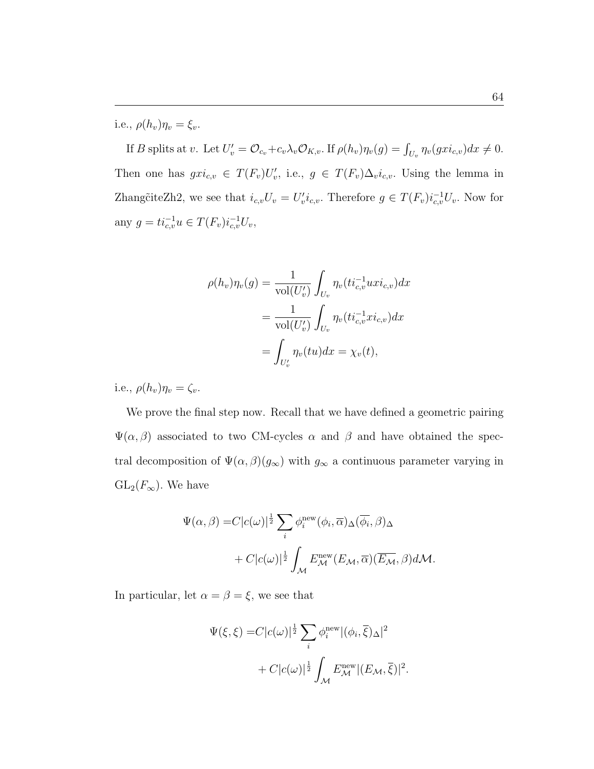i.e.,  $\rho(h_v)\eta_v = \xi_v$ .

If B splits at v. Let  $U'_v = \mathcal{O}_{c_v} + c_v \lambda_v \mathcal{O}_{K,v}$ . If  $\rho(h_v)\eta_v(g) = \int_{U_v} \eta_v(gxi_{c,v})dx \neq 0$ . Then one has  $gxi_{c,v} \in T(F_v)U'_v$ , i.e.,  $g \in T(F_v)\Delta_v i_{c,v}$ . Using the lemma in Zhang $\tilde{c}$ iteZh2, we see that  $i_{c,v}U_v = U'_v i_{c,v}$ . Therefore  $g \in T(F_v)i_{c,v}^{-1}U_v$ . Now for any  $g = ti_{c,v}^{-1}u \in T(F_v)i_{c,v}^{-1}U_v,$ 

$$
\rho(h_v)\eta_v(g) = \frac{1}{\text{vol}(U'_v)} \int_{U_v} \eta_v(t_i_{c,v}^{-1} uxi_{c,v}) dx
$$
  
= 
$$
\frac{1}{\text{vol}(U'_v)} \int_{U_v} \eta_v(t_i_{c,v}^{-1} x i_{c,v}) dx
$$
  
= 
$$
\int_{U'_v} \eta_v(tu) dx = \chi_v(t),
$$

i.e.,  $\rho(h_v)\eta_v = \zeta_v$ .

We prove the final step now. Recall that we have defined a geometric pairing  $\Psi(\alpha, \beta)$  associated to two CM-cycles  $\alpha$  and  $\beta$  and have obtained the spectral decomposition of  $\Psi(\alpha, \beta)(g_{\infty})$  with  $g_{\infty}$  a continuous parameter varying in  $GL_2(F_{\infty})$ . We have

$$
\Psi(\alpha,\beta) = C|c(\omega)|^{\frac{1}{2}} \sum_{i} \phi_i^{\text{new}}(\phi_i,\overline{\alpha}) \Delta(\overline{\phi_i},\beta) \Delta + C|c(\omega)|^{\frac{1}{2}} \int_{\mathcal{M}} E_{\mathcal{M}}^{\text{new}}(E_{\mathcal{M}},\overline{\alpha}) (\overline{E_{\mathcal{M}}},\beta) d\mathcal{M}.
$$

In particular, let  $\alpha = \beta = \xi$ , we see that

$$
\Psi(\xi,\xi) = C|c(\omega)|^{\frac{1}{2}} \sum_{i} \phi_i^{\text{new}}|(\phi_i,\overline{\xi})_{\Delta}|^2
$$
  
+ 
$$
C|c(\omega)|^{\frac{1}{2}} \int_{\mathcal{M}} E_{\mathcal{M}}^{\text{new}}|(E_{\mathcal{M}},\overline{\xi})|^2.
$$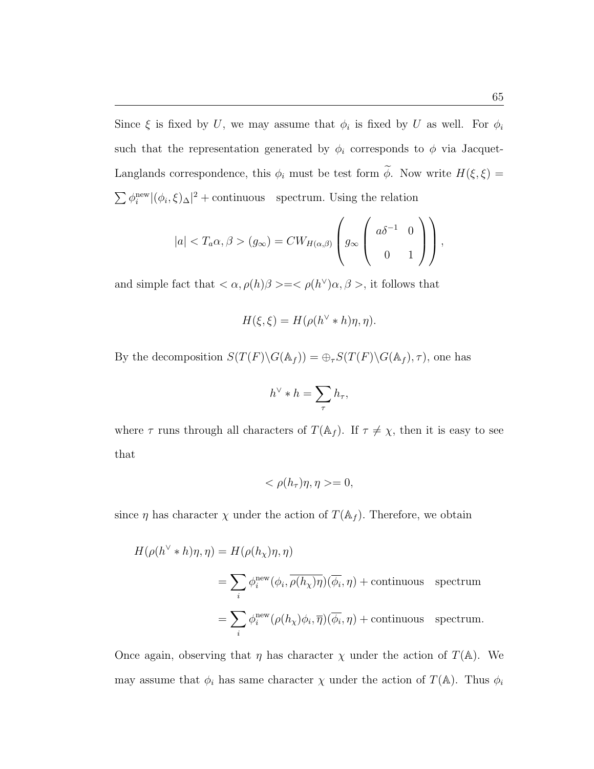Since  $\xi$  is fixed by U, we may assume that  $\phi_i$  is fixed by U as well. For  $\phi_i$ such that the representation generated by  $\phi_i$  corresponds to  $\phi$  via Jacquet-Langlands correspondence, this  $\phi_i$  must be test form  $\widetilde{\phi}$ . Now write  $H(\xi, \xi)$  =  $\sum \phi_i^{\text{new}} |(\phi_i, \xi)_{\Delta}|^2$  + continuous spectrum. Using the relation

$$
|a| < T_a \alpha, \beta > (g_\infty) = CW_{H(\alpha, \beta)} \left( g_\infty \left( \begin{array}{cc} a\delta^{-1} & 0 \\ 0 & 1 \end{array} \right) \right),
$$

and simple fact that  $\langle \alpha, \rho(h) \beta \rangle = \langle \rho(h^{\vee}) \alpha, \beta \rangle$ , it follows that

$$
H(\xi, \xi) = H(\rho(h^{\vee} * h)\eta, \eta).
$$

By the decomposition  $S(T(F)\backslash G(\mathbb{A}_f)) = \bigoplus_{\tau} S(T(F)\backslash G(\mathbb{A}_f), \tau)$ , one has

$$
h^{\vee} * h = \sum_{\tau} h_{\tau},
$$

where  $\tau$  runs through all characters of  $T(\mathbb{A}_f)$ . If  $\tau \neq \chi$ , then it is easy to see that

$$
\langle \rho(h_{\tau})\eta, \eta \rangle = 0,
$$

since  $\eta$  has character  $\chi$  under the action of  $T(\mathbb{A}_f)$ . Therefore, we obtain

$$
H(\rho(h^{\vee} * h)\eta, \eta) = H(\rho(h_{\chi})\eta, \eta)
$$
  
= 
$$
\sum_{i} \phi_i^{\text{new}}(\phi_i, \overline{\rho(h_{\chi})\eta})(\overline{\phi_i}, \eta) + \text{continuous spectrum}
$$
  
= 
$$
\sum_{i} \phi_i^{\text{new}}(\rho(h_{\chi})\phi_i, \overline{\eta})(\overline{\phi_i}, \eta) + \text{continuous spectrum.}
$$

Once again, observing that  $\eta$  has character  $\chi$  under the action of  $T(\mathbb{A})$ . We may assume that  $\phi_i$  has same character  $\chi$  under the action of  $T(\mathbb{A})$ . Thus  $\phi_i$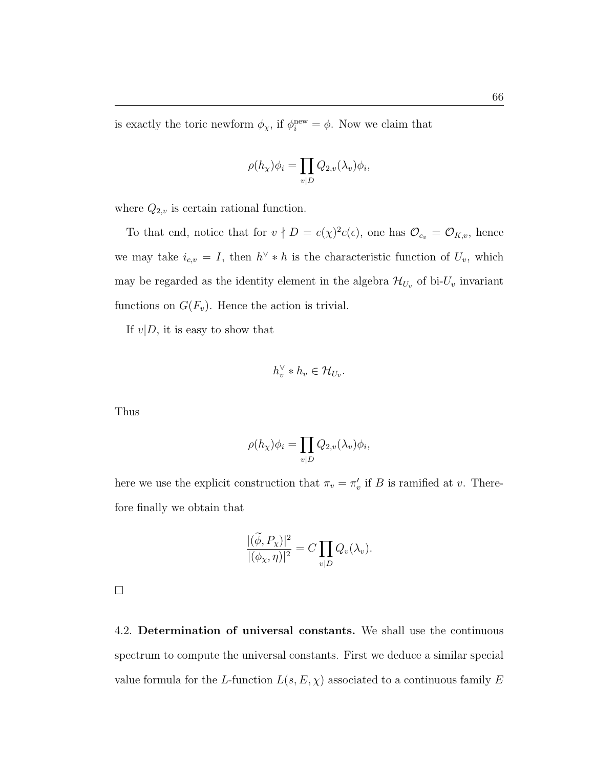is exactly the toric newform  $\phi_{\chi}$ , if  $\phi_i^{\text{new}} = \phi$ . Now we claim that

$$
\rho(h_{\chi})\phi_i = \prod_{v|D} Q_{2,v}(\lambda_v)\phi_i
$$

,

where  $Q_{2,v}$  is certain rational function.

To that end, notice that for  $v \nmid D = c(\chi)^2 c(\epsilon)$ , one has  $\mathcal{O}_{c_v} = \mathcal{O}_{K,v}$ , hence we may take  $i_{c,v} = I$ , then  $h^{\vee} * h$  is the characteristic function of  $U_v$ , which may be regarded as the identity element in the algebra  $\mathcal{H}_{U_v}$  of bi- $U_v$  invariant functions on  $G(F_v)$ . Hence the action is trivial.

If  $v|D$ , it is easy to show that

$$
h_v^{\vee} * h_v \in \mathcal{H}_{U_v}.
$$

Thus

$$
\rho(h_{\chi})\phi_i = \prod_{v|D} Q_{2,v}(\lambda_v)\phi_i,
$$

here we use the explicit construction that  $\pi_v = \pi'_v$  if B is ramified at v. Therefore finally we obtain that

$$
\frac{|(\widetilde{\phi},P_\chi)|^2}{|(\phi_\chi,\eta)|^2}=C\prod_{v|D}Q_v(\lambda_v).
$$

 $\Box$ 

4.2. Determination of universal constants. We shall use the continuous spectrum to compute the universal constants. First we deduce a similar special value formula for the L-function  $L(s, E, \chi)$  associated to a continuous family E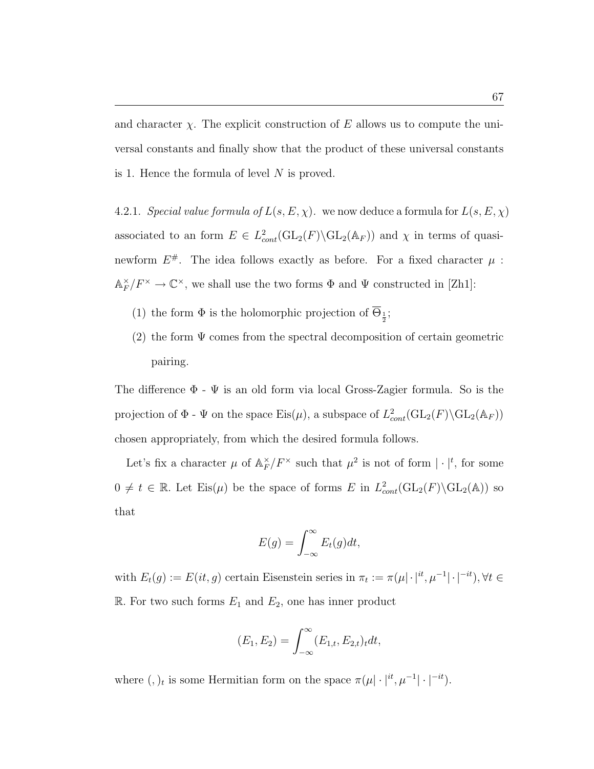and character  $\chi$ . The explicit construction of E allows us to compute the universal constants and finally show that the product of these universal constants is 1. Hence the formula of level  $N$  is proved.

4.2.1. Special value formula of  $L(s, E, \chi)$ . we now deduce a formula for  $L(s, E, \chi)$ associated to an form  $E \in L^2_{cont}(\text{GL}_2(F) \backslash \text{GL}_2(\mathbb{A}_F))$  and  $\chi$  in terms of quasinewform  $E^{\#}$ . The idea follows exactly as before. For a fixed character  $\mu$ :  $\mathbb{A}_F^\times$  $\mathcal{F}_F^{\times}/F^{\times} \to \mathbb{C}^{\times}$ , we shall use the two forms  $\Phi$  and  $\Psi$  constructed in [Zh1]:

- (1) the form  $\Phi$  is the holomorphic projection of  $\overline{\Theta}_{\frac{1}{2}}$ ;
- (2) the form  $\Psi$  comes from the spectral decomposition of certain geometric pairing.

The difference  $\Phi$  -  $\Psi$  is an old form via local Gross-Zagier formula. So is the projection of  $\Phi$  -  $\Psi$  on the space  $\text{Eis}(\mu)$ , a subspace of  $L^2_{cont}(\text{GL}_2(F) \backslash \text{GL}_2(\mathbb{A}_F))$ chosen appropriately, from which the desired formula follows.

Let's fix a character  $\mu$  of  $\mathbb{A}_F^{\times}$  $\int_F^{\times}/F^{\times}$  such that  $\mu^2$  is not of form  $|\cdot|^t$ , for some  $0 \neq t \in \mathbb{R}$ . Let  $Eis(\mu)$  be the space of forms E in  $L^2_{cont}(\text{GL}_2(F) \backslash \text{GL}_2(\mathbb{A}))$  so that

$$
E(g) = \int_{-\infty}^{\infty} E_t(g) dt,
$$

with  $E_t(g) := E(it, g)$  certain Eisenstein series in  $\pi_t := \pi(\mu | \cdot |^{it}, \mu^{-1} | \cdot |^{-it}), \forall t \in$ R. For two such forms  $E_1$  and  $E_2$ , one has inner product

$$
(E_1, E_2) = \int_{-\infty}^{\infty} (E_{1,t}, E_{2,t})_t dt,
$$

where  $(,)$ <sub>t</sub> is some Hermitian form on the space  $\pi(\mu | \cdot |^{it}, \mu^{-1} | \cdot |^{-it}).$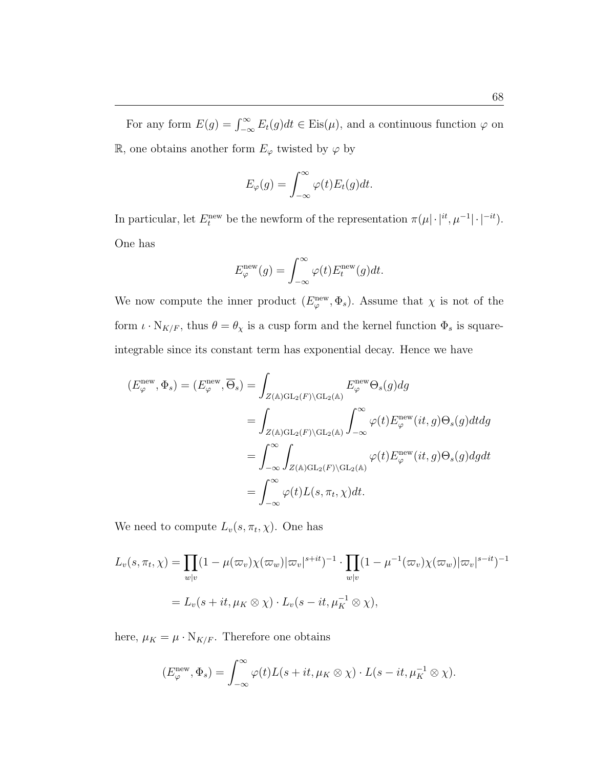For any form  $E(g) = \int_{-\infty}^{\infty} E_t(g) dt \in Eis(\mu)$ , and a continuous function  $\varphi$  on R, one obtains another form  $E_{\varphi}$  twisted by  $\varphi$  by

$$
E_{\varphi}(g) = \int_{-\infty}^{\infty} \varphi(t) E_t(g) dt.
$$

In particular, let  $E_t^{\text{new}}$  be the newform of the representation  $\pi(\mu|\cdot|^{\textit{it}}, \mu^{-1}|\cdot|^{-\textit{it}})$ . One has

$$
E_{\varphi}^{\text{new}}(g) = \int_{-\infty}^{\infty} \varphi(t) E_t^{\text{new}}(g) dt.
$$

We now compute the inner product  $(E_{\varphi}^{\text{new}}, \Phi_s)$ . Assume that  $\chi$  is not of the form  $\iota \cdot N_{K/F}$ , thus  $\theta = \theta_{\chi}$  is a cusp form and the kernel function  $\Phi_s$  is squareintegrable since its constant term has exponential decay. Hence we have

$$
(E_{\varphi}^{\text{new}}, \Phi_s) = (E_{\varphi}^{\text{new}}, \overline{\Theta}_s) = \int_{Z(\mathbb{A})\text{GL}_2(F)\backslash\text{GL}_2(\mathbb{A})} E_{\varphi}^{\text{new}} \Theta_s(g) dg
$$
  
= 
$$
\int_{Z(\mathbb{A})\text{GL}_2(F)\backslash\text{GL}_2(\mathbb{A})} \int_{-\infty}^{\infty} \varphi(t) E_{\varphi}^{\text{new}}(it, g) \Theta_s(g) dt dg
$$
  
= 
$$
\int_{-\infty}^{\infty} \int_{Z(\mathbb{A})\text{GL}_2(F)\backslash\text{GL}_2(\mathbb{A})} \varphi(t) E_{\varphi}^{\text{new}}(it, g) \Theta_s(g) dg dt
$$
  
= 
$$
\int_{-\infty}^{\infty} \varphi(t) L(s, \pi_t, \chi) dt.
$$

We need to compute  $L_v(s, \pi_t, \chi)$ . One has

$$
L_v(s, \pi_t, \chi) = \prod_{w|v} (1 - \mu(\varpi_v) \chi(\varpi_w) |\varpi_v|^{s+it})^{-1} \cdot \prod_{w|v} (1 - \mu^{-1}(\varpi_v) \chi(\varpi_w) |\varpi_v|^{s-it})^{-1}
$$
  
=  $L_v(s + it, \mu_K \otimes \chi) \cdot L_v(s - it, \mu_K^{-1} \otimes \chi),$ 

here,  $\mu_K = \mu \cdot N_{K/F}$ . Therefore one obtains

$$
(E_{\varphi}^{\text{new}}, \Phi_s) = \int_{-\infty}^{\infty} \varphi(t) L(s + it, \mu_K \otimes \chi) \cdot L(s - it, \mu_K^{-1} \otimes \chi).
$$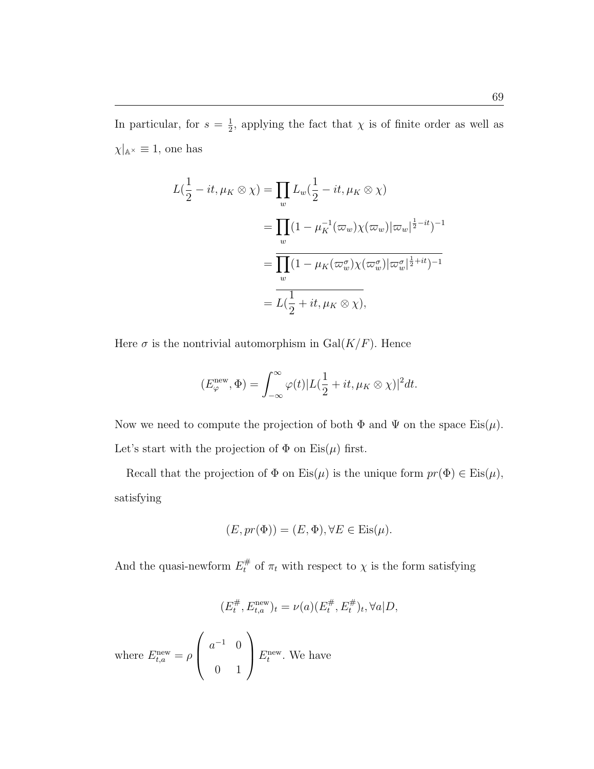In particular, for  $s=\frac{1}{2}$  $\frac{1}{2}$ , applying the fact that  $\chi$  is of finite order as well as  $\chi|_{\mathbb{A}^{\times}} \equiv 1$ , one has

$$
L(\frac{1}{2} - it, \mu_K \otimes \chi) = \prod_w L_w(\frac{1}{2} - it, \mu_K \otimes \chi)
$$
  
= 
$$
\prod_w (1 - \mu_K^{-1}(\varpi_w)\chi(\varpi_w)|\varpi_w|^{\frac{1}{2} - it})^{-1}
$$
  
= 
$$
\overline{\prod_w (1 - \mu_K(\varpi_w^{\sigma})\chi(\varpi_w^{\sigma})|\varpi_w^{\sigma}|^{\frac{1}{2} + it})^{-1}}
$$
  
= 
$$
L(\frac{1}{2} + it, \mu_K \otimes \chi),
$$

Here  $\sigma$  is the nontrivial automorphism in  $Gal(K/F)$ . Hence

$$
(E_{\varphi}^{\text{new}}, \Phi) = \int_{-\infty}^{\infty} \varphi(t) |L(\frac{1}{2} + it, \mu_K \otimes \chi)|^2 dt.
$$

Now we need to compute the projection of both  $\Phi$  and  $\Psi$  on the space  $\mathrm{Eis}(\mu)$ . Let's start with the projection of  $\Phi$  on Eis $(\mu)$  first.

Recall that the projection of  $\Phi$  on  $Eis(\mu)$  is the unique form  $pr(\Phi) \in Eis(\mu)$ , satisfying

$$
(E, pr(\Phi)) = (E, \Phi), \forall E \in Eis(\mu).
$$

And the quasi-newform  $E_t^{\#}$  of  $\pi_t$  with respect to  $\chi$  is the form satisfying

$$
(E_t^{\#}, E_{t,a}^{\text{new}})_t = \nu(a) (E_t^{\#}, E_t^{\#})_t, \forall a | D,
$$

where  $E_{t,a}^{\text{new}} = \rho$  $\overline{\phantom{a}}$  $\begin{pmatrix} a^{-1} & 0 \\ 0 & 0 \\ 0 & 0 \end{pmatrix}$ 0 1  $\mathbf{r}$  $E_t^{\text{new}}$ . We have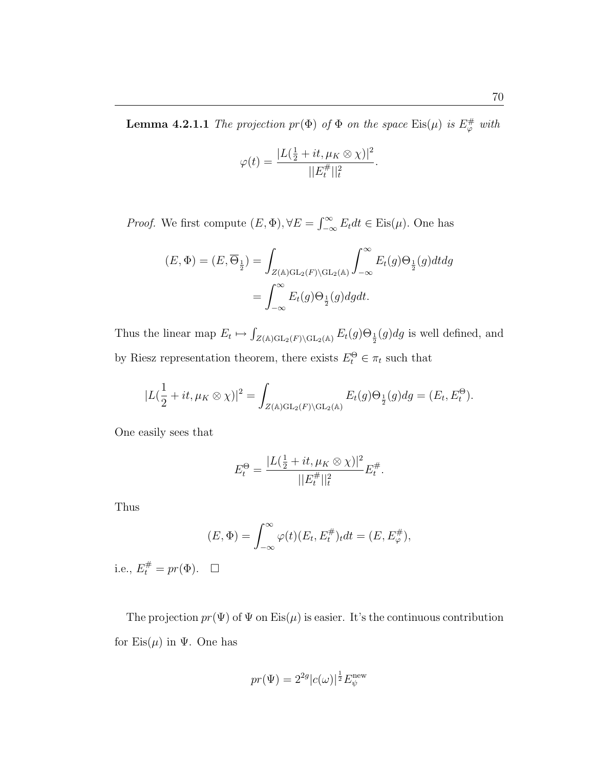$$
\varphi(t) = \frac{|L(\frac{1}{2} + it, \mu_K \otimes \chi)|^2}{||E_t^{\#}||_t^2}.
$$

*Proof.* We first compute  $(E, \Phi), \forall E = \int_{0}^{\infty}$  $\sum_{-\infty}^{\infty} E_t dt \in \text{Eis}(\mu)$ . One has

$$
(E, \Phi) = (E, \overline{\Theta}_{\frac{1}{2}}) = \int_{Z(\mathbb{A})\mathrm{GL}_2(F)\backslash \mathrm{GL}_2(\mathbb{A})} \int_{-\infty}^{\infty} E_t(g) \Theta_{\frac{1}{2}}(g) dt dg
$$
  
= 
$$
\int_{-\infty}^{\infty} E_t(g) \Theta_{\frac{1}{2}}(g) dg dt.
$$

Thus the linear map  $E_t \mapsto$ R  $Z(\mathbb{A})\text{GL}_2(F)\backslash \text{GL}_2(\mathbb{A})$   $E_t(g)\Theta_{\frac{1}{2}}(g)dg$  is well defined, and by Riesz representation theorem, there exists  $E_t^{\Theta} \in \pi_t$  such that

$$
|L(\frac{1}{2} + it, \mu_K \otimes \chi)|^2 = \int_{Z(\mathbb{A})\mathrm{GL}_2(F)\backslash \mathrm{GL}_2(\mathbb{A})} E_t(g)\Theta_{\frac{1}{2}}(g)dg = (E_t, E_t^{\Theta}).
$$

One easily sees that

$$
E_t^{\Theta} = \frac{|L(\frac{1}{2} + it, \mu_K \otimes \chi)|^2}{||E_t^{\#}||_t^2} E_t^{\#}.
$$

Thus

$$
(E, \Phi) = \int_{-\infty}^{\infty} \varphi(t) (E_t, E_t^{\#})_t dt = (E, E_{\varphi}^{\#}),
$$

i.e.,  $E_t^{\#} = pr(\Phi)$ .  $\Box$ 

The projection  $pr(\Psi)$  of  $\Psi$  on Eis $(\mu)$  is easier. It's the continuous contribution for  $Eis(\mu)$  in  $\Psi$ . One has

$$
pr(\Psi) = 2^{2g} |c(\omega)|^{\frac{1}{2}} E_{\psi}^{\text{new}}
$$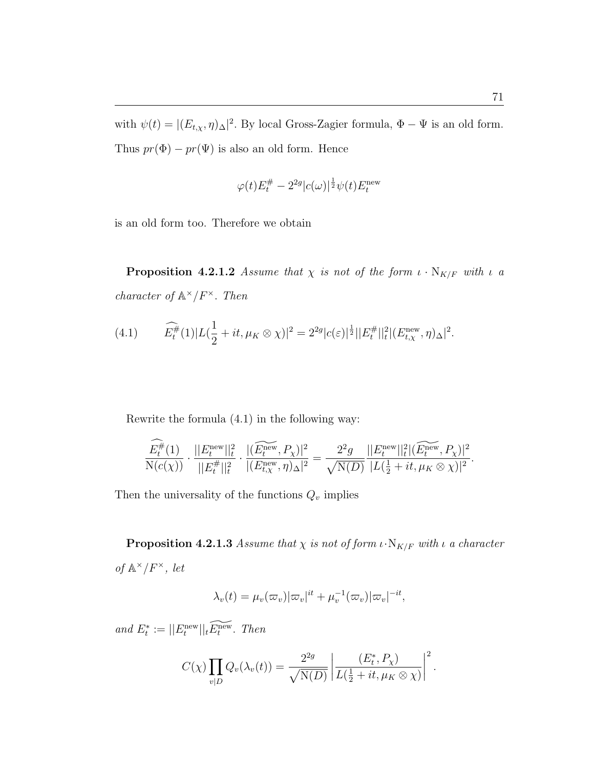with  $\psi(t) = |(E_{t,x}, \eta)_{\Delta}|^2$ . By local Gross-Zagier formula,  $\Phi - \Psi$  is an old form. Thus  $pr(\Phi) - pr(\Psi)$  is also an old form. Hence

$$
\varphi(t)E_t^{\#}-2^{2g}|c(\omega)|^{\frac{1}{2}}\psi(t)E_t^{\rm new}
$$

is an old form too. Therefore we obtain

**Proposition 4.2.1.2** Assume that  $\chi$  is not of the form  $\iota \cdot N_{K/F}$  with  $\iota$  a character of  $\mathbb{A}^{\times}/F^{\times}$ . Then

(4.1) 
$$
\widehat{E_t^{\#}}(1)|L(\frac{1}{2} + it, \mu_K \otimes \chi)|^2 = 2^{2g}|c(\varepsilon)|^{\frac{1}{2}}||E_t^{\#}||_t^2 |(E_{t,\chi}^{\text{new}}, \eta)_{\Delta}|^2.
$$

Rewrite the formula (4.1) in the following way:

$$
\frac{\widehat{E^{\#}_t}(1)}{\mathrm{N}(c(\chi))}\cdot\frac{||E^{\mathrm{new}}_t||^2_t}{||E^{\#}_t||^2_t}\cdot\frac{|\widetilde{(E^{\mathrm{new}}_t, P_\chi)}|^2}{|(E^{\mathrm{new}}_{t,\chi}, \eta)_{\Delta}|^2}=\frac{2^2g}{\sqrt{\mathrm{N}(D)}}\frac{||E^{\mathrm{new}}_t||^2_t|(\widetilde{E^{\mathrm{new}}_t}, P_\chi)|^2}{|L(\frac{1}{2}+it, \mu_K\otimes \chi)|^2}.
$$

Then the universality of the functions  $Q_v$  implies

**Proposition 4.2.1.3** Assume that  $\chi$  is not of form  $\iota \cdot N_{K/F}$  with  $\iota$  a character of  $\mathbb{A}^{\times}/F^{\times}$ , let

$$
\lambda_v(t) = \mu_v(\varpi_v)|\varpi_v|^{it} + \mu_v^{-1}(\varpi_v)|\varpi_v|^{-it},
$$

and  $E_t^* := ||E_t^{\text{new}}||_t \widetilde{E_t^{\text{new}}}$ . Then

$$
C(\chi) \prod_{v|D} Q_v(\lambda_v(t)) = \frac{2^{2g}}{\sqrt{\mathrm{N}(D)}} \left| \frac{(E_t^*, P_\chi)}{L(\frac{1}{2} + it, \mu_K \otimes \chi)} \right|^2.
$$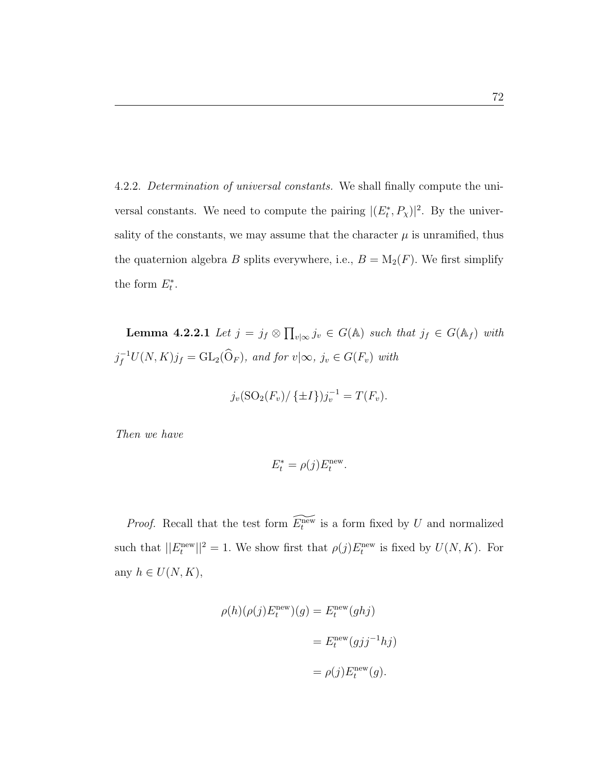4.2.2. Determination of universal constants. We shall finally compute the universal constants. We need to compute the pairing  $|(E_t^*, P_\chi)|^2$ . By the universality of the constants, we may assume that the character  $\mu$  is unramified, thus the quaternion algebra B splits everywhere, i.e.,  $B = M_2(F)$ . We first simplify the form  $E_t^*$ .

Lemma 4.2.2.1 Let  $j = j_f \otimes$  $\overline{a}$  $v_{\infty} j_v \in G(\mathbb{A})$  such that  $j_f \in G(\mathbb{A}_f)$  with  $j_f^{-1}U(N,K)j_f = GL_2(\widehat{O}_F)$ , and for  $v | \infty, j_v \in G(F_v)$  with

$$
j_v(\text{SO}_2(F_v)/\{\pm I\})j_v^{-1} = T(F_v).
$$

Then we have

$$
E_t^* = \rho(j) E_t^{\text{new}}.
$$

*Proof.* Recall that the test form  $\widetilde{E_t^{\text{new}}}$  is a form fixed by U and normalized such that  $||E_t^{\text{new}}||^2 = 1$ . We show first that  $\rho(j)E_t^{\text{new}}$  is fixed by  $U(N, K)$ . For any  $h \in U(N,K)$ ,

$$
\rho(h)(\rho(j)E_t^{\text{new}})(g) = E_t^{\text{new}}(ghj)
$$

$$
= E_t^{\text{new}}(gjj^{-1}hj)
$$

$$
= \rho(j)E_t^{\text{new}}(g).
$$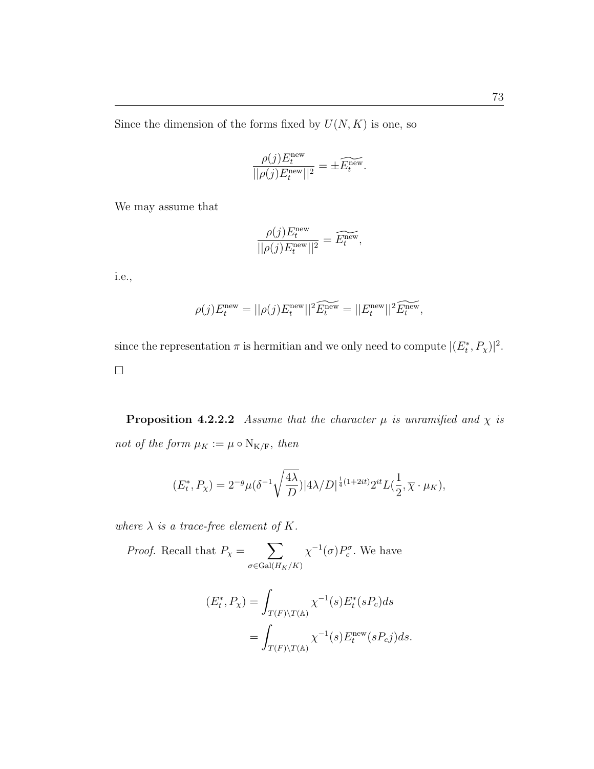Since the dimension of the forms fixed by  $U(N, K)$  is one, so

$$
\frac{\rho(j)E_t^{\text{new}}}{||\rho(j)E_t^{\text{new}}||^2} = \pm \widetilde{E_t^{\text{new}}}.
$$

We may assume that

$$
\frac{\rho(j)E_t^{\text{new}}}{||\rho(j)E_t^{\text{new}}||^2} = \widetilde{E_t^{\text{new}}},
$$

i.e.,

$$
\rho(j)E_t^{\text{new}} = ||\rho(j)E_t^{\text{new}}||^2 \widetilde{E_t^{\text{new}}} = ||E_t^{\text{new}}||^2 \widetilde{E_t^{\text{new}}},
$$

since the representation  $\pi$  is hermitian and we only need to compute  $|(E_t^*, P_\chi)|^2$ .  $\Box$ 

**Proposition 4.2.2.2** Assume that the character  $\mu$  is unramified and  $\chi$  is not of the form  $\mu_K := \mu \circ \mathrm{N}_{\mathrm{K}/\mathrm{F}},$  then

$$
(E_t^*, P_\chi) = 2^{-g} \mu (\delta^{-1} \sqrt{\frac{4\lambda}{D}}) |4\lambda/D|^{\frac{1}{4}(1+2it)} 2^{it} L(\frac{1}{2}, \overline{\chi} \cdot \mu_K),
$$

where  $\lambda$  is a trace-free element of K.

*Proof.* Recall that 
$$
P_{\chi} = \sum_{\sigma \in \text{Gal}(H_K/K)} \chi^{-1}(\sigma) P_c^{\sigma}
$$
. We have

$$
(E_t^*, P_\chi) = \int_{T(F)\backslash T(\mathbb{A})} \chi^{-1}(s) E_t^*(sP_c) ds
$$
  
= 
$$
\int_{T(F)\backslash T(\mathbb{A})} \chi^{-1}(s) E_t^{\text{new}}(sP_cj) ds.
$$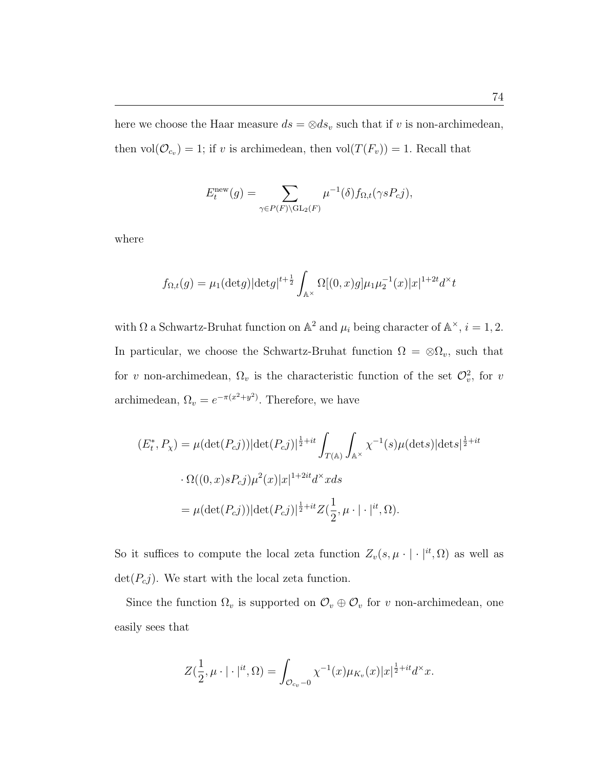here we choose the Haar measure  $ds = \otimes ds_v$  such that if v is non-archimedean, then  $vol(\mathcal{O}_{c_v}) = 1$ ; if v is archimedean, then  $vol(T(F_v)) = 1$ . Recall that

$$
E_t^{\text{new}}(g) = \sum_{\gamma \in P(F) \backslash \text{GL}_2(F)} \mu^{-1}(\delta) f_{\Omega,t}(\gamma s P_c j),
$$

where

$$
f_{\Omega,t}(g) = \mu_1(\det g) |\det g|^{t+\frac{1}{2}} \int_{\mathbb{A}^\times} \Omega[(0, x)g] \mu_1 \mu_2^{-1}(x) |x|^{1+2t} d^\times t
$$

with  $\Omega$  a Schwartz-Bruhat function on  $\mathbb{A}^2$  and  $\mu_i$  being character of  $\mathbb{A}^{\times}$ ,  $i = 1, 2$ . In particular, we choose the Schwartz-Bruhat function  $\Omega = \otimes \Omega_v$ , such that for v non-archimedean,  $\Omega_v$  is the characteristic function of the set  $\mathcal{O}_v^2$ , for v archimedean,  $\Omega_v = e^{-\pi(x^2 + y^2)}$ . Therefore, we have

$$
(E_t^*, P_\chi) = \mu(\det(P_c j)) |\det(P_c j)|^{\frac{1}{2}+it} \int_{T(\mathbb{A})} \int_{\mathbb{A}^\times} \chi^{-1}(s) \mu(\det s) |\det s|^{\frac{1}{2}+it}
$$
  

$$
\cdot \Omega((0, x) s P_c j) \mu^2(x) |x|^{1+2it} d^\times x ds
$$
  

$$
= \mu(\det(P_c j)) |\det(P_c j)|^{\frac{1}{2}+it} Z(\frac{1}{2}, \mu \cdot | \cdot |^{it}, \Omega).
$$

So it suffices to compute the local zeta function  $Z_v(s, \mu \cdot | \cdot |^{it}, \Omega)$  as well as  $\det(P_c j)$ . We start with the local zeta function.

Since the function  $\Omega_v$  is supported on  $\mathcal{O}_v \oplus \mathcal{O}_v$  for v non-archimedean, one easily sees that

$$
Z(\frac{1}{2}, \mu \cdot | \cdot |^{it}, \Omega) = \int_{\mathcal{O}_{c_v} - 0} \chi^{-1}(x) \mu_{K_v}(x) |x|^{\frac{1}{2} + it} d^{\times} x.
$$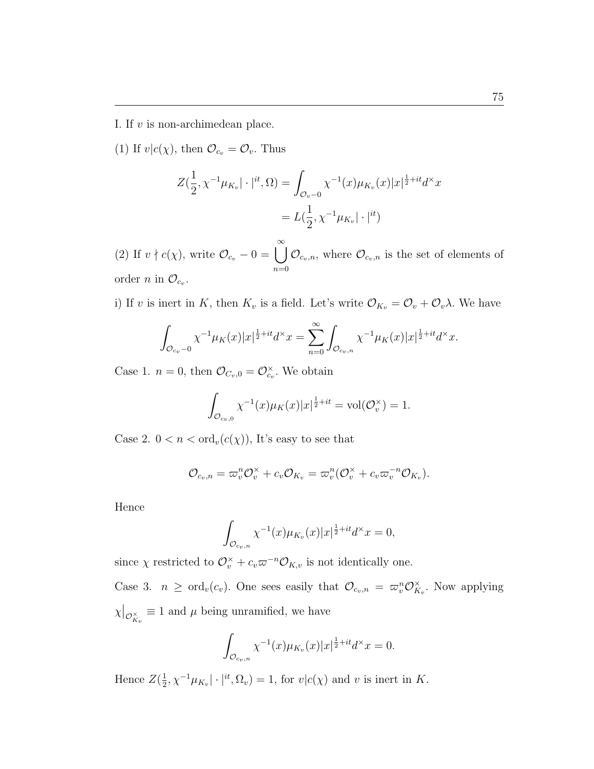I. If v is non-archimedean place.

(1) If  $v|c(\chi)$ , then  $\mathcal{O}_{c_v} = \mathcal{O}_v$ . Thus

$$
Z(\frac{1}{2}, \chi^{-1}\mu_{K_v}|\cdot|^{it}, \Omega) = \int_{\mathcal{O}_v - 0} \chi^{-1}(x)\mu_{K_v}(x)|x|^{\frac{1}{2} + it}d^{\times}x
$$
  
=  $L(\frac{1}{2}, \chi^{-1}\mu_{K_v}|\cdot|^{it})$ 

(2) If  $v \nmid c(\chi)$ , write  $\mathcal{O}_{c_v} - 0 = \bigcup_{i=1}^{\infty}$  $n=0$  $\mathcal{O}_{c_v,n}$ , where  $\mathcal{O}_{c_v,n}$  is the set of elements of order *n* in  $\mathcal{O}_{c_v}$ .

i) If v is inert in K, then  $K_v$  is a field. Let's write  $\mathcal{O}_{K_v} = \mathcal{O}_v + \mathcal{O}_v \lambda$ . We have

$$
\int_{\mathcal{O}_{c_v}-0} \chi^{-1} \mu_K(x)|x|^{\frac{1}{2}+it} d^{\times} x = \sum_{n=0}^{\infty} \int_{\mathcal{O}_{c_v,n}} \chi^{-1} \mu_K(x)|x|^{\frac{1}{2}+it} d^{\times} x.
$$

Case 1.  $n = 0$ , then  $\mathcal{O}_{C_v,0} = \mathcal{O}_{c_v}^{\times}$ . We obtain

$$
\int_{\mathcal{O}_{c_v,0}} \chi^{-1}(x)\mu_K(x)|x|^{\frac{1}{2}+it} = \text{vol}(\mathcal{O}_v^{\times}) = 1.
$$

Case 2.  $0 < n < \text{ord}_v(c(\chi))$ , It's easy to see that

$$
\mathcal{O}_{c_v,n}=\varpi_v^n\mathcal{O}_v^\times+c_v\mathcal{O}_{K_v}=\varpi_v^n(\mathcal{O}_v^\times+c_v\varpi_v^{-n}\mathcal{O}_{K_v}).
$$

Hence

$$
\int_{\mathcal{O}_{c_v,n}} \chi^{-1}(x) \mu_{K_v}(x) |x|^{\frac{1}{2}+it} d^{\times} x = 0,
$$

since  $\chi$  restricted to  $\mathcal{O}_v^{\times} + c_v \varpi^{-n} \mathcal{O}_{K,v}$  is not identically one.

Case 3.  $n \geq \text{ord}_v(c_v)$ . One sees easily that  $\mathcal{O}_{c_v,n} = \varpi_v^n \mathcal{O}_K^{\times}$  $\mathcal{X}_{K_v}$ . Now applying χ  $\big|_{\mathcal{O}_{K_v}^{\times}} \equiv 1$  and  $\mu$  being unramified, we have

$$
\int_{\mathcal{O}_{c_v,n}} \chi^{-1}(x) \mu_{K_v}(x) |x|^{\frac{1}{2}+it} d^{\times} x = 0.
$$

Hence  $Z(\frac{1}{2})$  $\frac{1}{2}$ ,  $\chi^{-1}\mu_{K_v}|\cdot|^{it}, \Omega_v) = 1$ , for  $v|c(\chi)$  and v is inert in K.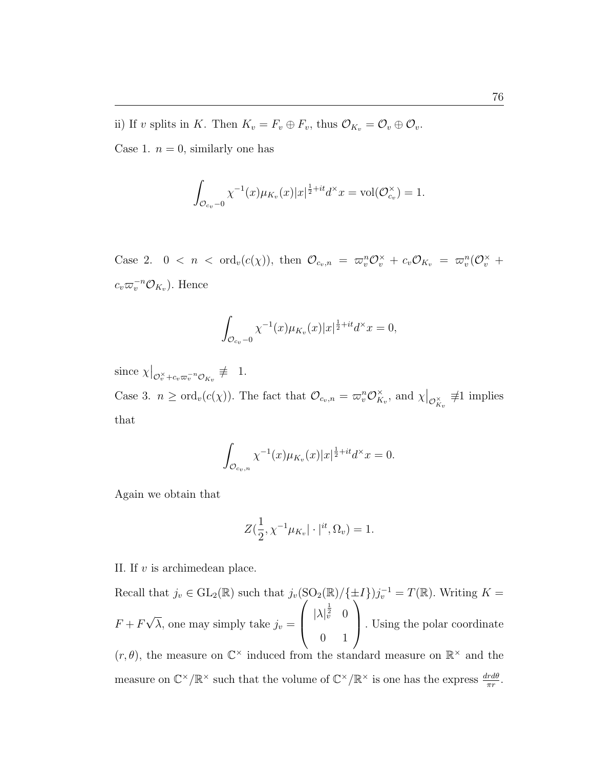ii) If v splits in K. Then  $K_v = F_v \oplus F_v$ , thus  $\mathcal{O}_{K_v} = \mathcal{O}_v \oplus \mathcal{O}_v$ .

Case 1.  $n = 0$ , similarly one has

$$
\int_{\mathcal{O}_{c_v}-0} \chi^{-1}(x)\mu_{K_v}(x)|x|^{\frac{1}{2}+it}d^{\times}x = \text{vol}(\mathcal{O}_{c_v}^{\times}) = 1.
$$

Case 2.  $0 < n < \text{ord}_v(c(\chi))$ , then  $\mathcal{O}_{c_v,n} = \overline{\omega}_v^n \mathcal{O}_v^{\times} + c_v \mathcal{O}_{K_v} = \overline{\omega}_v^n (\mathcal{O}_v^{\times} +$  $c_v \varpi_v^{-n} \mathcal{O}_{K_v}$ ). Hence

$$
\int_{\mathcal{O}_{c_v}-0} \chi^{-1}(x)\mu_{K_v}(x)|x|^{\frac{1}{2}+it}d^{\times}x = 0,
$$

since  $\chi$  $\big|_{\mathcal{O}_v^{\times}+c_v\varpi_v^{-n}\mathcal{O}_{K_v}}\neq 1.$ Case 3.  $n \geq \text{ord}_v(c(\chi))$ . The fact that  $\mathcal{O}_{c_v,n} = \varpi_v^n \mathcal{O}_K^{\times}$  $\chi_{K_v}^{\times}$ , and  $\chi$  $\big|_{\mathcal{O}_{K_v}^\times} \neq 1$  implies that

$$
\int_{\mathcal{O}_{c_v,n}} \chi^{-1}(x) \mu_{K_v}(x) |x|^{\frac{1}{2}+it} d^{\times} x = 0.
$$

Again we obtain that

$$
Z(\frac{1}{2}, \chi^{-1}\mu_{K_v}|\cdot|^{it}, \Omega_v) = 1.
$$

II. If v is archimedean place.

Recall that  $j_v \in GL_2(\mathbb{R})$  such that  $j_v(SO_2(\mathbb{R})/\{\pm I\})j_v^{-1} = T(\mathbb{R})$ . Writing  $K =$  $F + F$ √  $\lambda$ , one may simply take  $j_v =$  $\tilde{\mathcal{C}}$  $\int |\lambda|_v^{\frac{1}{2}}$  0 0 1 ±I<br>∖ . Using the polar coordinate  $(r, \theta)$ , the measure on  $\mathbb{C}^{\times}$  induced from the standard measure on  $\mathbb{R}^{\times}$  and the measure on  $\mathbb{C}^{\times}/\mathbb{R}^{\times}$  such that the volume of  $\mathbb{C}^{\times}/\mathbb{R}^{\times}$  is one has the express  $\frac{drd\theta}{\pi r}$ .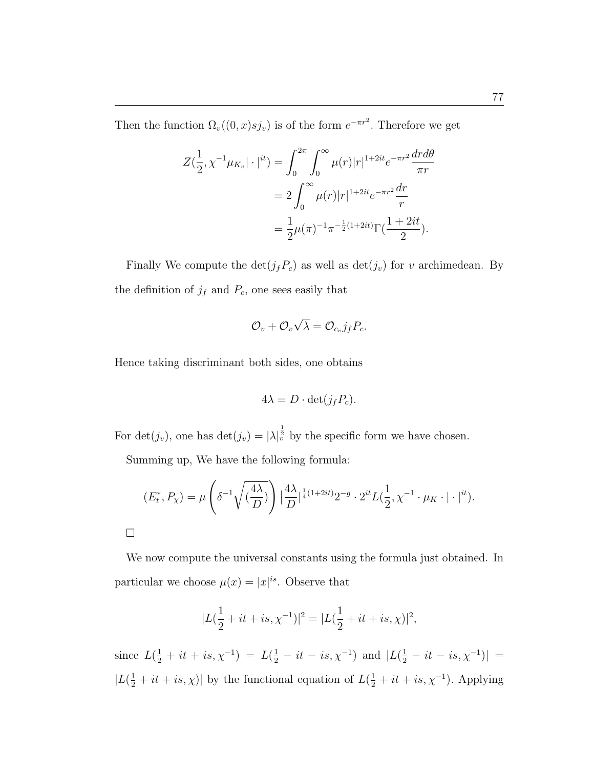Then the function  $\Omega_v((0, x) s j_v)$  is of the form  $e^{-\pi r^2}$ . Therefore we get

$$
Z(\frac{1}{2}, \chi^{-1}\mu_{K_v}|\cdot|^{it}) = \int_0^{2\pi} \int_0^{\infty} \mu(r)|r|^{1+2it} e^{-\pi r^2} \frac{dr d\theta}{\pi r}
$$
  
=  $2 \int_0^{\infty} \mu(r)|r|^{1+2it} e^{-\pi r^2} \frac{dr}{r}$   
=  $\frac{1}{2} \mu(\pi)^{-1} \pi^{-\frac{1}{2}(1+2it)} \Gamma(\frac{1+2it}{2}).$ 

Finally We compute the  $\det(j_fP_c)$  as well as  $\det(j_v)$  for v archimedean. By the definition of  $j_f$  and  $P_c$ , one sees easily that

$$
\mathcal{O}_v + \mathcal{O}_v \sqrt{\lambda} = \mathcal{O}_{c_v} j_f P_c.
$$

Hence taking discriminant both sides, one obtains

$$
4\lambda = D \cdot \det(j_f P_c).
$$

For  $\det(j_v)$ , one has  $\det(j_v) = |\lambda|_v^{\frac{1}{2}}$  by the specific form we have chosen.

Summing up, We have the following formula:

$$
(E_t^*, P_\chi) = \mu \left( \delta^{-1} \sqrt{\left(\frac{4\lambda}{D}\right)} \right) \left| \frac{4\lambda}{D} \right|^{1/4} (1+2it) 2^{-g} \cdot 2^{it} L\left(\frac{1}{2}, \chi^{-1} \cdot \mu_K \cdot |\cdot|^{it}\right).
$$

¤

We now compute the universal constants using the formula just obtained. In particular we choose  $\mu(x) = |x|^{is}$ . Observe that

$$
|L(\frac{1}{2} + it + is, \chi^{-1})|^2 = |L(\frac{1}{2} + it + is, \chi)|^2,
$$

since  $L(\frac{1}{2} + it + is, \chi^{-1}) = L(\frac{1}{2} - it - is, \chi^{-1})$  and  $|L(\frac{1}{2} - it - is, \chi^{-1})|$  =  $|L(\frac{1}{2} + it + is, \chi)|$  by the functional equation of  $L(\frac{1}{2} + it + is, \chi^{-1})$ . Applying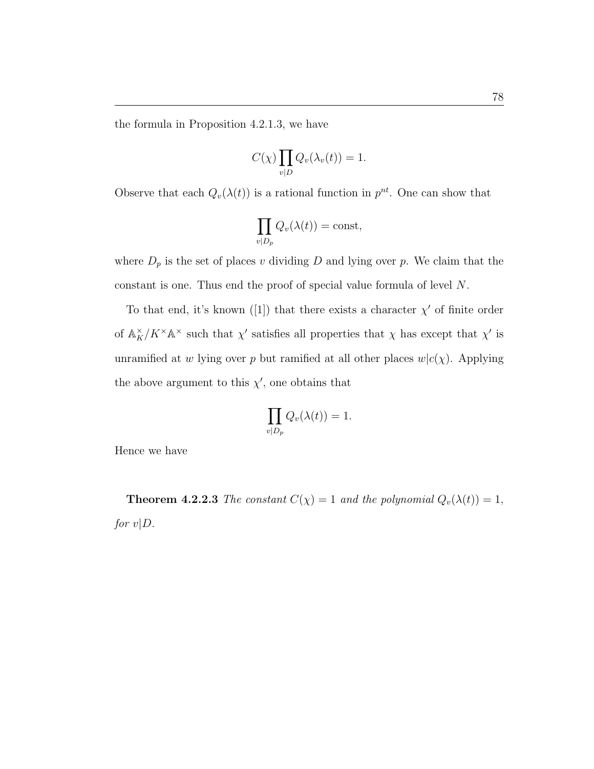the formula in Proposition 4.2.1.3, we have

$$
C(\chi) \prod_{v|D} Q_v(\lambda_v(t)) = 1.
$$

Observe that each  $Q_v(\lambda(t))$  is a rational function in  $p^{nt}$ . One can show that

$$
\prod_{v|D_p} Q_v(\lambda(t)) = \text{const},
$$

where  $D_p$  is the set of places v dividing D and lying over p. We claim that the constant is one. Thus end the proof of special value formula of level N.

To that end, it's known ([1]) that there exists a character  $\chi'$  of finite order of  $\mathbb{A}_K^{\times}/K^{\times}\mathbb{A}^{\times}$  such that  $\chi'$  satisfies all properties that  $\chi$  has except that  $\chi'$  is unramified at w lying over p but ramified at all other places  $w|c(\chi)$ . Applying the above argument to this  $\chi'$ , one obtains that

$$
\prod_{v|D_p} Q_v(\lambda(t)) = 1.
$$

Hence we have

**Theorem 4.2.2.3** The constant  $C(\chi) = 1$  and the polynomial  $Q_v(\lambda(t)) = 1$ , for  $v|D$ .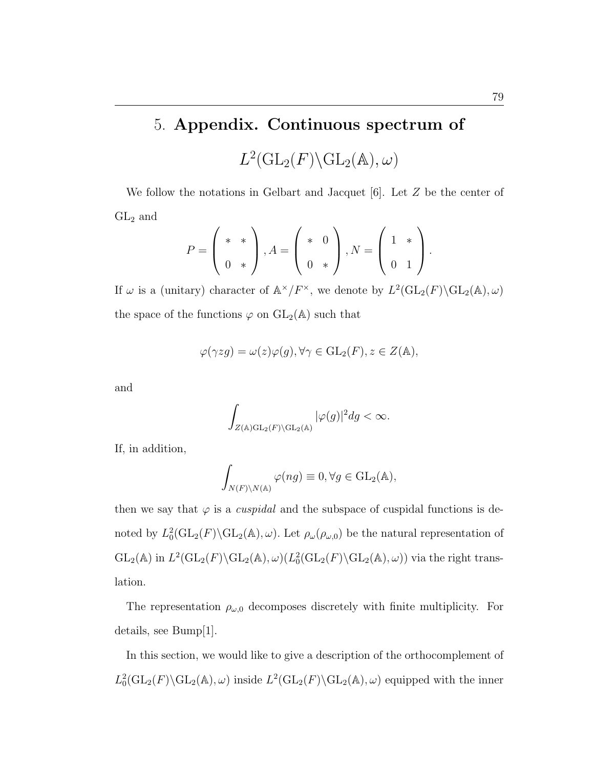## 5. Appendix. Continuous spectrum of

 $L^2(\mathrm{GL}_2(F)\backslash \mathrm{GL}_2(\mathbb{A}),\omega)$ 

We follow the notations in Gelbart and Jacquet  $[6]$ . Let Z be the center of  $GL_2$  and  $\overline{\phantom{a}}$  $\mathbf{r}$  $\overline{\phantom{a}}$  $\mathbf{r}$  $\overline{\phantom{a}}$  $\mathbf{r}$ 

$$
P = \left(\begin{array}{c} * & * \\ 0 & * \end{array}\right), A = \left(\begin{array}{c} * & 0 \\ 0 & * \end{array}\right), N = \left(\begin{array}{c} 1 & * \\ 0 & 1 \end{array}\right).
$$

If  $\omega$  is a (unitary) character of  $\mathbb{A}^{\times}/F^{\times}$ , we denote by  $L^2(\mathrm{GL}_2(F) \backslash \mathrm{GL}_2(\mathbb{A}), \omega)$ the space of the functions  $\varphi$  on  $GL_2(\mathbb{A})$  such that

$$
\varphi(\gamma zg) = \omega(z)\varphi(g), \forall \gamma \in \mathrm{GL}_2(F), z \in Z(\mathbb{A}),
$$

and

$$
\int_{Z(\mathbb{A})\mathrm{GL}_2(F)\backslash\mathrm{GL}_2(\mathbb{A})} |\varphi(g)|^2 dg < \infty.
$$

If, in addition,

$$
\int_{N(F)\backslash N(\mathbb{A})} \varphi(ng) \equiv 0, \forall g \in GL_2(\mathbb{A}),
$$

then we say that  $\varphi$  is a *cuspidal* and the subspace of cuspidal functions is denoted by  $L_0^2(\text{GL}_2(F)\backslash \text{GL}_2(\mathbb{A}), \omega)$ . Let  $\rho_\omega(\rho_{\omega,0})$  be the natural representation of  $GL_2(\mathbb{A})$  in  $L^2(\mathrm{GL}_2(F)\backslash \mathrm{GL}_2(\mathbb{A}), \omega)(L_0^2(\mathrm{GL}_2(F)\backslash \mathrm{GL}_2(\mathbb{A}), \omega))$  via the right translation.

The representation  $\rho_{\omega,0}$  decomposes discretely with finite multiplicity. For details, see Bump[1].

In this section, we would like to give a description of the orthocomplement of  $L_0^2(\text{GL}_2(F)\backslash \text{GL}_2(\mathbb{A}),\omega)$  inside  $L^2(\text{GL}_2(F)\backslash \text{GL}_2(\mathbb{A}),\omega)$  equipped with the inner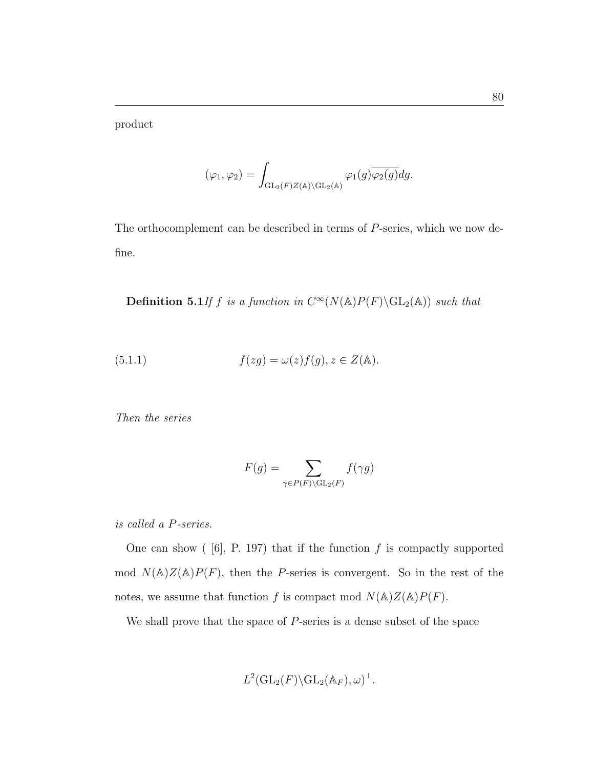product

$$
(\varphi_1, \varphi_2) = \int_{\mathrm{GL}_2(F)Z(\mathbb{A}) \backslash \mathrm{GL}_2(\mathbb{A})} \varphi_1(g) \overline{\varphi_2(g)} dg.
$$

The orthocomplement can be described in terms of P-series, which we now define.

**Definition 5.1** If f is a function in  $C^{\infty}(N(\mathbb{A})P(F) \backslash GL_2(\mathbb{A}))$  such that

(5.1.1) 
$$
f(zg) = \omega(z)f(g), z \in Z(\mathbb{A}).
$$

Then the series

$$
F(g) = \sum_{\gamma \in P(F) \backslash \mathrm{GL}_2(F)} f(\gamma g)
$$

is called a P-series.

One can show  $(6]$ , P. 197) that if the function f is compactly supported mod  $N(\mathbb{A})Z(\mathbb{A})P(F)$ , then the P-series is convergent. So in the rest of the notes, we assume that function  $f$  is compact mod  $N(\mathbb{A})Z(\mathbb{A})P(F).$ 

We shall prove that the space of P-series is a dense subset of the space

$$
L^2(\mathrm{GL}_2(F)\backslash \mathrm{GL}_2(\mathbb{A}_F),\omega)^{\perp}.
$$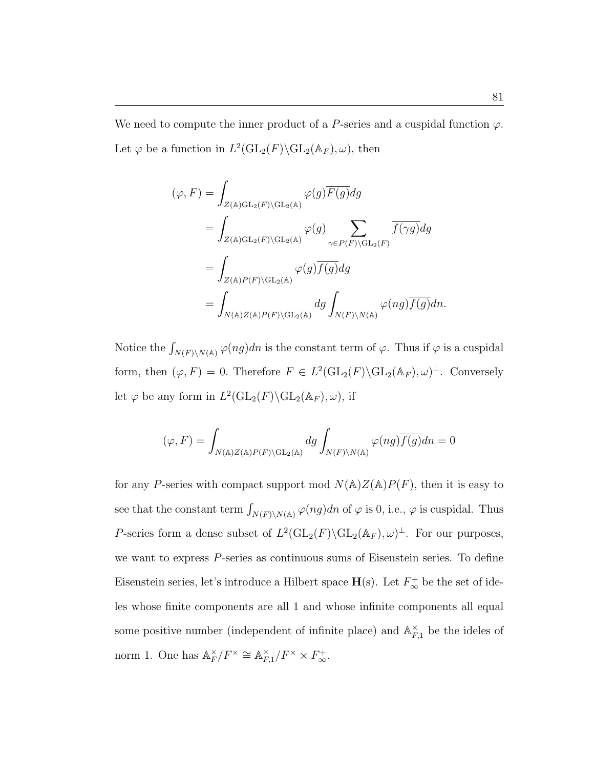We need to compute the inner product of a P-series and a cuspidal function  $\varphi$ . Let  $\varphi$  be a function in  $L^2(\mathrm{GL}_2(F) \backslash \mathrm{GL}_2(\mathbb{A}_F), \omega)$ , then

$$
(\varphi, F) = \int_{Z(\mathbb{A})\mathrm{GL}_2(F)\backslash \mathrm{GL}_2(\mathbb{A})} \varphi(g) \overline{F(g)} dg
$$
  
\n
$$
= \int_{Z(\mathbb{A})\mathrm{GL}_2(F)\backslash \mathrm{GL}_2(\mathbb{A})} \varphi(g) \sum_{\gamma \in P(F)\backslash \mathrm{GL}_2(F)} \overline{f(\gamma g)} dg
$$
  
\n
$$
= \int_{Z(\mathbb{A})P(F)\backslash \mathrm{GL}_2(\mathbb{A})} \varphi(g) \overline{f(g)} dg
$$
  
\n
$$
= \int_{N(\mathbb{A})Z(\mathbb{A})P(F)\backslash \mathrm{GL}_2(\mathbb{A})} dg \int_{N(F)\backslash N(\mathbb{A})} \varphi(ng) \overline{f(g)} dn.
$$

Notice the  $\int_{N(F)\backslash N(A)} \varphi(ng)dn$  is the constant term of  $\varphi$ . Thus if  $\varphi$  is a cuspidal form, then  $(\varphi, F) = 0$ . Therefore  $F \in L^2(\mathrm{GL}_2(F) \backslash \mathrm{GL}_2(\mathbb{A}_F), \omega)^\perp$ . Conversely let  $\varphi$  be any form in  $L^2(\mathrm{GL}_2(F)\backslash \mathrm{GL}_2(\mathbb{A}_F),\omega)$ , if

$$
(\varphi, F) = \int_{N(\mathbb{A})Z(\mathbb{A})P(F)\backslash\mathrm{GL}_2(\mathbb{A})} dg \int_{N(F)\backslash N(\mathbb{A})} \varphi(ng) \overline{f(g)} dn = 0
$$

for any P-series with compact support mod  $N(\mathbb{A})Z(\mathbb{A})P(F)$ , then it is easy to see that the constant term  $\int_{N(F)\backslash N(A)} \varphi(ng)dn$  of  $\varphi$  is 0, i.e.,  $\varphi$  is cuspidal. Thus P-series form a dense subset of  $L^2(\mathrm{GL}_2(F)\backslash \mathrm{GL}_2(\mathbb{A}_F),\omega)^{\perp}$ . For our purposes, we want to express P-series as continuous sums of Eisenstein series. To define Eisenstein series, let's introduce a Hilbert space  $\mathbf{H}(\mathbf{s})$ . Let  $F_{\infty}^{+}$  be the set of ideles whose finite components are all 1 and whose infinite components all equal some positive number (independent of infinite place) and  $\mathbb{A}_{F,1}^{\times}$  be the ideles of norm 1. One has  $\mathbb{A}_F^{\times}$  $_{F}^{\times}/F^{\times} \cong \mathbb{A}_{F}^{\times}$  $_{F,1}^{\times}/F^{\times} \times F_{\infty}^{+}.$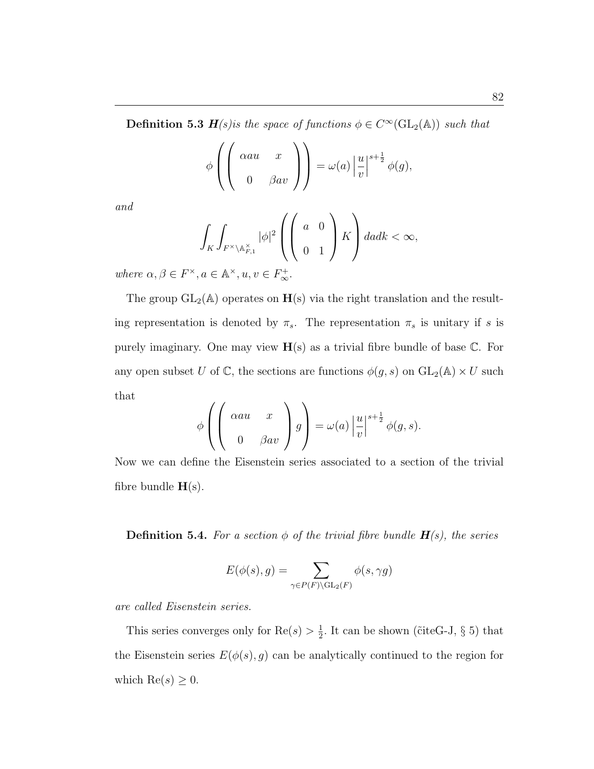**Definition 5.3 H**(s) is the space of functions  $\phi \in C^{\infty}(\text{GL}_2(\mathbb{A}))$  such that

$$
\phi\left(\left(\begin{array}{cc} \alpha a u & x \\ 0 & \beta a v \end{array}\right)\right) = \omega(a) \left|\frac{u}{v}\right|^{s+\frac{1}{2}} \phi(g),
$$

and

$$
\int_{K} \int_{F^{\times} \backslash \mathbb{A}_{F,1}^{\times}} |\phi|^{2} \left( \begin{pmatrix} a & 0 \\ 0 & 1 \end{pmatrix} K \right) da dk < \infty,
$$
\n
$$
a \in \mathbb{A}^{\times} \quad u, v \in F^{+}
$$

where  $\alpha, \beta \in F^{\times}, a \in \mathbb{A}^{\times}, u, v \in F_{\infty}^{+}$ .

The group  $GL_2(\mathbb{A})$  operates on  $H(s)$  via the right translation and the resulting representation is denoted by  $\pi_s$ . The representation  $\pi_s$  is unitary if s is purely imaginary. One may view  $H(s)$  as a trivial fibre bundle of base  $\mathbb{C}$ . For any open subset U of C, the sections are functions  $\phi(g, s)$  on  $GL_2(\mathbb{A}) \times U$  such that  $\overline{\phantom{a}}$  $\overline{\phantom{a}}$  $\mathbf{r}$  $\mathbf{r}$ 

$$
\phi\left(\left(\begin{array}{cc} \alpha a u & x \\ 0 & \beta a v \end{array}\right)g\right) = \omega(a)\left|\frac{u}{v}\right|^{s+\frac{1}{2}}\phi(g,s).
$$

Now we can define the Eisenstein series associated to a section of the trivial fibre bundle  $H(s)$ .

**Definition 5.4.** For a section  $\phi$  of the trivial fibre bundle  $H(s)$ , the series

$$
E(\phi(s), g) = \sum_{\gamma \in P(F) \backslash \mathrm{GL}_2(F)} \phi(s, \gamma g)
$$

are called Eisenstein series.

This series converges only for  $Re(s) > \frac{1}{2}$  $\frac{1}{2}$ . It can be shown ( $\tilde{c}$ iteG-J,  $\S$  5) that the Eisenstein series  $E(\phi(s), g)$  can be analytically continued to the region for which  $\text{Re}(s) \geq 0$ .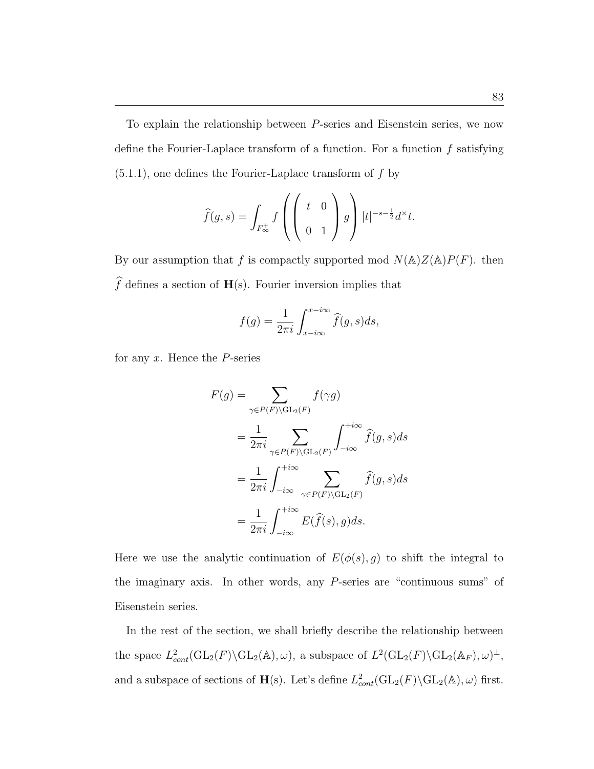To explain the relationship between P-series and Eisenstein series, we now define the Fourier-Laplace transform of a function. For a function  $f$  satisfying  $(5.1.1)$ , one defines the Fourier-Laplace transform of f by

$$
\widehat{f}(g,s) = \int_{F_{\infty}^+} f\left(\begin{pmatrix} t & 0\\ 0 & 1 \end{pmatrix} g\right) |t|^{-s-\frac{1}{2}} d^{\times} t.
$$

By our assumption that f is compactly supported mod  $N(\mathbb{A})Z(\mathbb{A})P(F)$ . then  $\widehat{f}$  defines a section of  $\mathbf{H}(\mathbf{s}).$  Fourier inversion implies that

$$
f(g) = \frac{1}{2\pi i} \int_{x - i\infty}^{x - i\infty} \widehat{f}(g, s) ds,
$$

for any  $x$ . Hence the  $P$ -series

$$
F(g) = \sum_{\gamma \in P(F) \backslash GL_2(F)} f(\gamma g)
$$
  
= 
$$
\frac{1}{2\pi i} \sum_{\gamma \in P(F) \backslash GL_2(F)} \int_{-i\infty}^{+i\infty} \hat{f}(g, s) ds
$$
  
= 
$$
\frac{1}{2\pi i} \int_{-i\infty}^{+i\infty} \sum_{\gamma \in P(F) \backslash GL_2(F)} \hat{f}(g, s) ds
$$
  
= 
$$
\frac{1}{2\pi i} \int_{-i\infty}^{+i\infty} E(\hat{f}(s), g) ds.
$$

Here we use the analytic continuation of  $E(\phi(s), g)$  to shift the integral to the imaginary axis. In other words, any P-series are "continuous sums" of Eisenstein series.

In the rest of the section, we shall briefly describe the relationship between the space  $L^2_{cont}(\text{GL}_2(F) \backslash \text{GL}_2(\mathbb{A}), \omega)$ , a subspace of  $L^2(\text{GL}_2(F) \backslash \text{GL}_2(\mathbb{A}_F), \omega)^\perp$ , and a subspace of sections of H(s). Let's define  $L^2_{cont}(\text{GL}_2(F) \backslash \text{GL}_2(\mathbb{A}), \omega)$  first.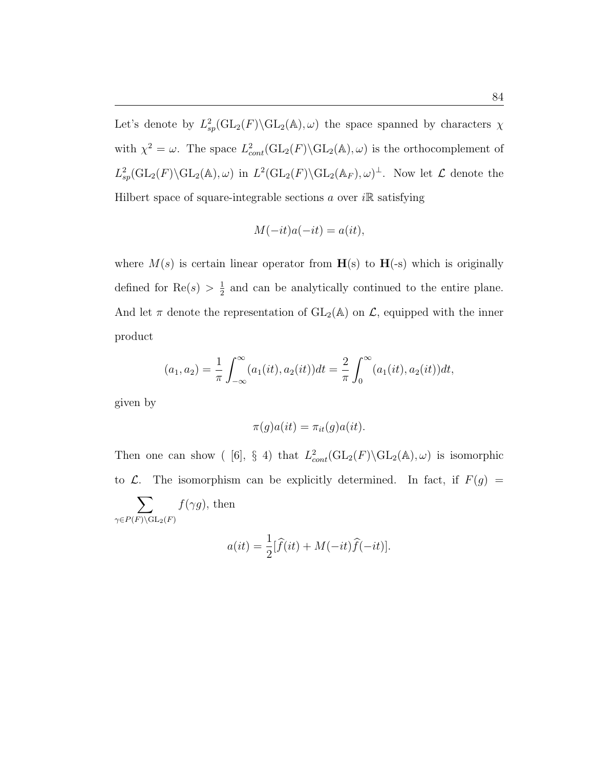Let's denote by  $L^2_{sp}(\text{GL}_2(F)\backslash \text{GL}_2(\mathbb{A}),\omega)$  the space spanned by characters  $\chi$ with  $\chi^2 = \omega$ . The space  $L^2_{cont}(\text{GL}_2(F) \backslash \text{GL}_2(\mathbb{A}), \omega)$  is the orthocomplement of  $L_{sp}^2(\text{GL}_2(F)\backslash\text{GL}_2(\mathbb{A}),\omega)$  in  $L^2(\text{GL}_2(F)\backslash\text{GL}_2(\mathbb{A}_F),\omega)^{\perp}$ . Now let  $\mathcal L$  denote the Hilbert space of square-integrable sections a over  $i\mathbb{R}$  satisfying

$$
M(-it)a(-it) = a(it),
$$

where  $M(s)$  is certain linear operator from  $H(s)$  to  $H(-s)$  which is originally defined for  $\text{Re}(s) > \frac{1}{2}$  $\frac{1}{2}$  and can be analytically continued to the entire plane. And let  $\pi$  denote the representation of  $GL_2(\mathbb{A})$  on  $\mathcal{L}$ , equipped with the inner product

$$
(a_1, a_2) = \frac{1}{\pi} \int_{-\infty}^{\infty} (a_1(it), a_2(it)) dt = \frac{2}{\pi} \int_{0}^{\infty} (a_1(it), a_2(it)) dt,
$$

given by

$$
\pi(g)a(it) = \pi_{it}(g)a(it).
$$

Then one can show ([6], § 4) that  $L^2_{cont}(\text{GL}_2(F) \backslash \text{GL}_2(\mathbb{A}), \omega)$  is isomorphic to  $\mathcal{L}$ . The isomorphism can be explicitly determined. In fact, if  $F(g)$  =

$$
\sum_{\gamma \in P(F) \backslash \mathrm{GL}_2(F)} f(\gamma g)
$$
, then

$$
a(it) = \frac{1}{2} [\widehat{f}(it) + M(-it)\widehat{f}(-it)].
$$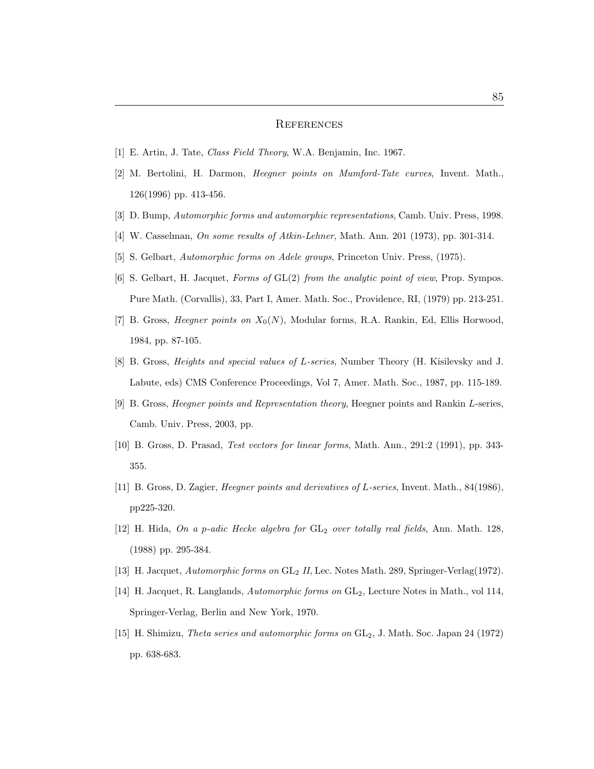## **REFERENCES**

- [1] E. Artin, J. Tate, Class Field Theory, W.A. Benjamin, Inc. 1967.
- [2] M. Bertolini, H. Darmon, Heegner points on Mumford-Tate curves, Invent. Math., 126(1996) pp. 413-456.
- [3] D. Bump, Automorphic forms and automorphic representations, Camb. Univ. Press, 1998.
- [4] W. Casselman, *On some results of Atkin-Lehner*, Math. Ann. 201 (1973), pp. 301-314.
- [5] S. Gelbart, Automorphic forms on Adele groups, Princeton Univ. Press, (1975).
- [6] S. Gelbart, H. Jacquet, Forms of GL(2) from the analytic point of view, Prop. Sympos. Pure Math. (Corvallis), 33, Part I, Amer. Math. Soc., Providence, RI, (1979) pp. 213-251.
- [7] B. Gross, *Heegner points on*  $X_0(N)$ , Modular forms, R.A. Rankin, Ed, Ellis Horwood, 1984, pp. 87-105.
- [8] B. Gross, Heights and special values of L-series, Number Theory (H. Kisilevsky and J. Labute, eds) CMS Conference Proceedings, Vol 7, Amer. Math. Soc., 1987, pp. 115-189.
- [9] B. Gross, Heegner points and Representation theory, Heegner points and Rankin L-series, Camb. Univ. Press, 2003, pp.
- [10] B. Gross, D. Prasad, Test vectors for linear forms, Math. Ann., 291:2 (1991), pp. 343- 355.
- [11] B. Gross, D. Zagier, Heegner points and derivatives of L-series, Invent. Math., 84(1986), pp225-320.
- [12] H. Hida, On a p-adic Hecke algebra for  $GL_2$  over totally real fields, Ann. Math. 128, (1988) pp. 295-384.
- [13] H. Jacquet, Automorphic forms on GL<sub>2</sub> II, Lec. Notes Math. 289, Springer-Verlag(1972).
- [14] H. Jacquet, R. Langlands, Automorphic forms on GL2, Lecture Notes in Math., vol 114, Springer-Verlag, Berlin and New York, 1970.
- [15] H. Shimizu, *Theta series and automorphic forms on*  $GL_2$ , J. Math. Soc. Japan 24 (1972) pp. 638-683.